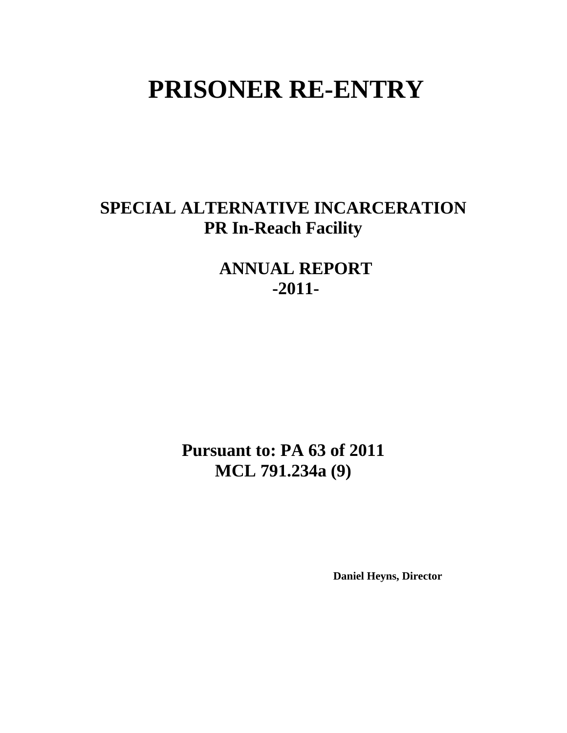# **PRISONER RE-ENTRY**

# **SPECIAL ALTERNATIVE INCARCERATION PR In-Reach Facility**

**ANNUAL REPORT -2011-** 

**Pursuant to: PA 63 of 2011 MCL 791.234a (9)** 

 **Daniel Heyns, Director**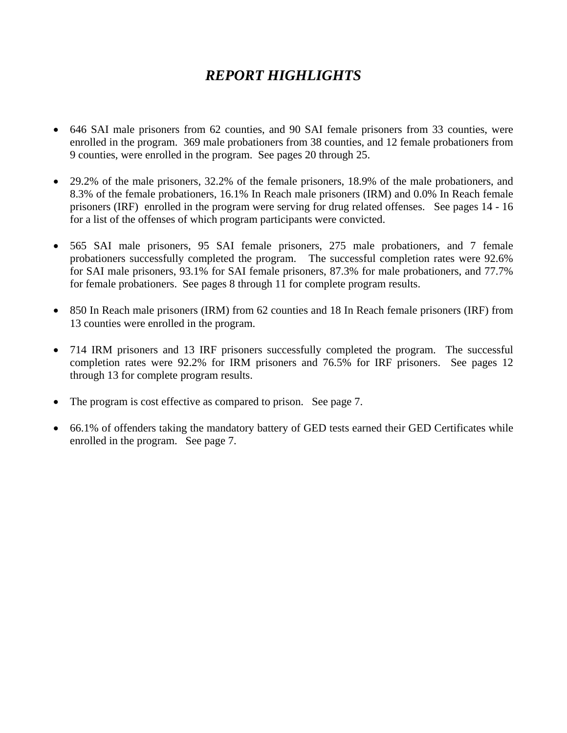# *REPORT HIGHLIGHTS*

- 646 SAI male prisoners from 62 counties, and 90 SAI female prisoners from 33 counties, were enrolled in the program. 369 male probationers from 38 counties, and 12 female probationers from 9 counties, were enrolled in the program. See pages 20 through 25.
- 29.2% of the male prisoners, 32.2% of the female prisoners, 18.9% of the male probationers, and 8.3% of the female probationers, 16.1% In Reach male prisoners (IRM) and 0.0% In Reach female prisoners (IRF) enrolled in the program were serving for drug related offenses. See pages 14 - 16 for a list of the offenses of which program participants were convicted.
- 565 SAI male prisoners, 95 SAI female prisoners, 275 male probationers, and 7 female probationers successfully completed the program. The successful completion rates were 92.6% for SAI male prisoners, 93.1% for SAI female prisoners, 87.3% for male probationers, and 77.7% for female probationers. See pages 8 through 11 for complete program results.
- 850 In Reach male prisoners (IRM) from 62 counties and 18 In Reach female prisoners (IRF) from 13 counties were enrolled in the program.
- 714 IRM prisoners and 13 IRF prisoners successfully completed the program. The successful completion rates were 92.2% for IRM prisoners and 76.5% for IRF prisoners. See pages 12 through 13 for complete program results.
- The program is cost effective as compared to prison. See page 7.
- 66.1% of offenders taking the mandatory battery of GED tests earned their GED Certificates while enrolled in the program. See page 7.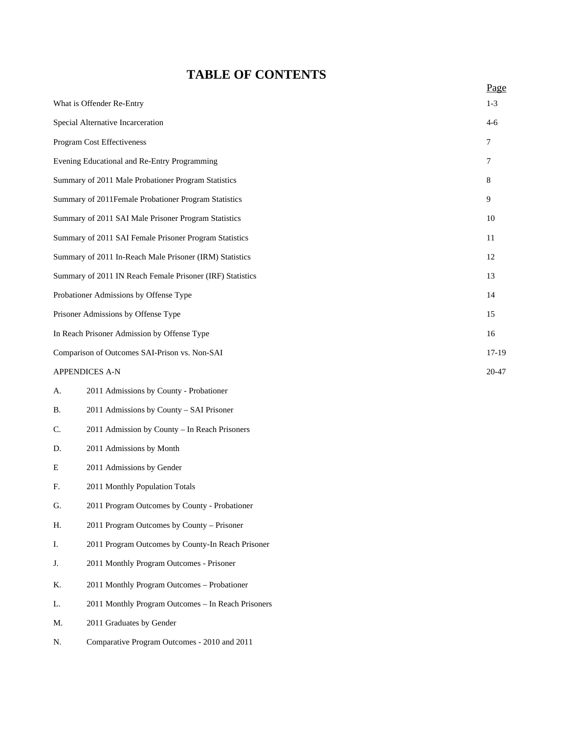# **TABLE OF CONTENTS**

|                                               |                                                           | Page  |  |  |  |
|-----------------------------------------------|-----------------------------------------------------------|-------|--|--|--|
|                                               | What is Offender Re-Entry                                 | $1-3$ |  |  |  |
|                                               | Special Alternative Incarceration                         |       |  |  |  |
|                                               | Program Cost Effectiveness                                | 7     |  |  |  |
|                                               | Evening Educational and Re-Entry Programming              | 7     |  |  |  |
|                                               | Summary of 2011 Male Probationer Program Statistics       | 8     |  |  |  |
|                                               | Summary of 2011Female Probationer Program Statistics      | 9     |  |  |  |
|                                               | Summary of 2011 SAI Male Prisoner Program Statistics      | 10    |  |  |  |
|                                               | Summary of 2011 SAI Female Prisoner Program Statistics    | 11    |  |  |  |
|                                               | Summary of 2011 In-Reach Male Prisoner (IRM) Statistics   | 12    |  |  |  |
|                                               | Summary of 2011 IN Reach Female Prisoner (IRF) Statistics | 13    |  |  |  |
|                                               | Probationer Admissions by Offense Type                    | 14    |  |  |  |
| Prisoner Admissions by Offense Type           |                                                           |       |  |  |  |
| In Reach Prisoner Admission by Offense Type   |                                                           |       |  |  |  |
| Comparison of Outcomes SAI-Prison vs. Non-SAI |                                                           |       |  |  |  |
|                                               | <b>APPENDICES A-N</b>                                     | 20-47 |  |  |  |
| А.                                            | 2011 Admissions by County - Probationer                   |       |  |  |  |
| В.                                            | 2011 Admissions by County – SAI Prisoner                  |       |  |  |  |
| C.                                            | 2011 Admission by County - In Reach Prisoners             |       |  |  |  |
| D.                                            | 2011 Admissions by Month                                  |       |  |  |  |
| Ε                                             | 2011 Admissions by Gender                                 |       |  |  |  |
| F.                                            | 2011 Monthly Population Totals                            |       |  |  |  |
| G.                                            | 2011 Program Outcomes by County - Probationer             |       |  |  |  |
| Η.                                            | 2011 Program Outcomes by County - Prisoner                |       |  |  |  |
| Ι.                                            | 2011 Program Outcomes by County-In Reach Prisoner         |       |  |  |  |
| J.                                            | 2011 Monthly Program Outcomes - Prisoner                  |       |  |  |  |
| Κ.                                            | 2011 Monthly Program Outcomes - Probationer               |       |  |  |  |
| L.                                            | 2011 Monthly Program Outcomes - In Reach Prisoners        |       |  |  |  |
| M.                                            | 2011 Graduates by Gender                                  |       |  |  |  |
| N.                                            | Comparative Program Outcomes - 2010 and 2011              |       |  |  |  |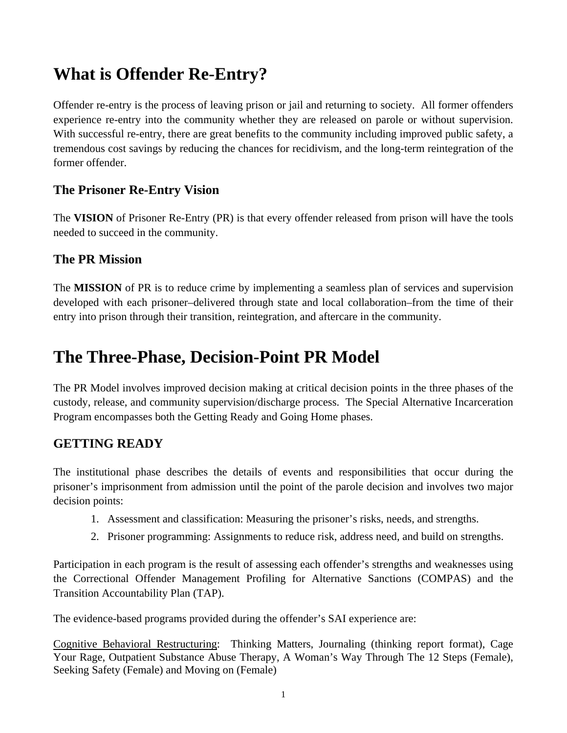# **What is Offender Re-Entry?**

Offender re-entry is the process of leaving prison or jail and returning to society. All former offenders experience re-entry into the community whether they are released on parole or without supervision. With successful re-entry, there are great benefits to the community including improved public safety, a tremendous cost savings by reducing the chances for recidivism, and the long-term reintegration of the former offender.

## **The Prisoner Re-Entry Vision**

The **VISION** of Prisoner Re-Entry (PR) is that every offender released from prison will have the tools needed to succeed in the community.

### **The PR Mission**

The **MISSION** of PR is to reduce crime by implementing a seamless plan of services and supervision developed with each prisoner–delivered through state and local collaboration–from the time of their entry into prison through their transition, reintegration, and aftercare in the community.

# **The Three-Phase, Decision-Point PR Model**

The PR Model involves improved decision making at critical decision points in the three phases of the custody, release, and community supervision/discharge process. The Special Alternative Incarceration Program encompasses both the Getting Ready and Going Home phases.

### **GETTING READY**

The institutional phase describes the details of events and responsibilities that occur during the prisoner's imprisonment from admission until the point of the parole decision and involves two major decision points:

- 1. Assessment and classification: Measuring the prisoner's risks, needs, and strengths.
- 2. Prisoner programming: Assignments to reduce risk, address need, and build on strengths.

Participation in each program is the result of assessing each offender's strengths and weaknesses using the Correctional Offender Management Profiling for Alternative Sanctions (COMPAS) and the Transition Accountability Plan (TAP).

The evidence-based programs provided during the offender's SAI experience are:

Cognitive Behavioral Restructuring: Thinking Matters, Journaling (thinking report format), Cage Your Rage, Outpatient Substance Abuse Therapy, A Woman's Way Through The 12 Steps (Female), Seeking Safety (Female) and Moving on (Female)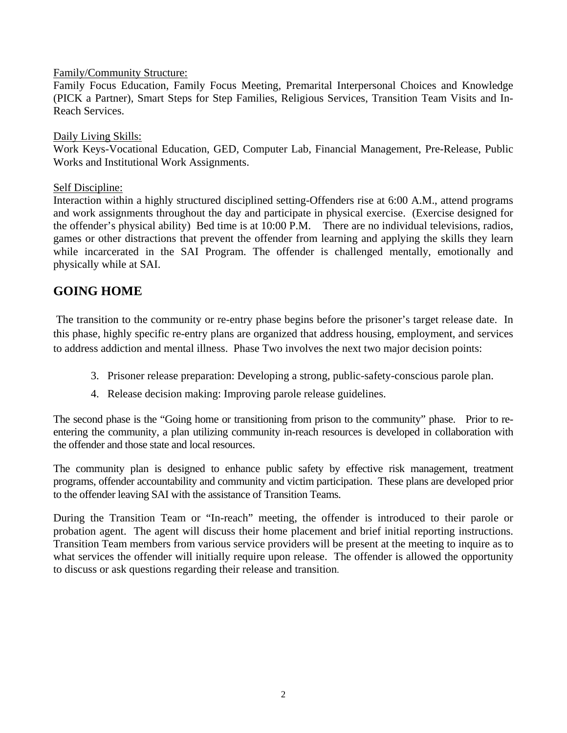Family/Community Structure:

Family Focus Education, Family Focus Meeting, Premarital Interpersonal Choices and Knowledge (PICK a Partner), Smart Steps for Step Families, Religious Services, Transition Team Visits and In-Reach Services.

### Daily Living Skills:

Work Keys-Vocational Education, GED, Computer Lab, Financial Management, Pre-Release, Public Works and Institutional Work Assignments.

### Self Discipline:

Interaction within a highly structured disciplined setting-Offenders rise at 6:00 A.M., attend programs and work assignments throughout the day and participate in physical exercise. (Exercise designed for the offender's physical ability) Bed time is at 10:00 P.M. There are no individual televisions, radios, games or other distractions that prevent the offender from learning and applying the skills they learn while incarcerated in the SAI Program. The offender is challenged mentally, emotionally and physically while at SAI.

### **GOING HOME**

 The transition to the community or re-entry phase begins before the prisoner's target release date. In this phase, highly specific re-entry plans are organized that address housing, employment, and services to address addiction and mental illness. Phase Two involves the next two major decision points:

- 3. Prisoner release preparation: Developing a strong, public-safety-conscious parole plan.
- 4. Release decision making: Improving parole release guidelines.

The second phase is the "Going home or transitioning from prison to the community" phase. Prior to reentering the community, a plan utilizing community in-reach resources is developed in collaboration with the offender and those state and local resources.

The community plan is designed to enhance public safety by effective risk management, treatment programs, offender accountability and community and victim participation. These plans are developed prior to the offender leaving SAI with the assistance of Transition Teams.

During the Transition Team or "In-reach" meeting, the offender is introduced to their parole or probation agent. The agent will discuss their home placement and brief initial reporting instructions. Transition Team members from various service providers will be present at the meeting to inquire as to what services the offender will initially require upon release. The offender is allowed the opportunity to discuss or ask questions regarding their release and transition.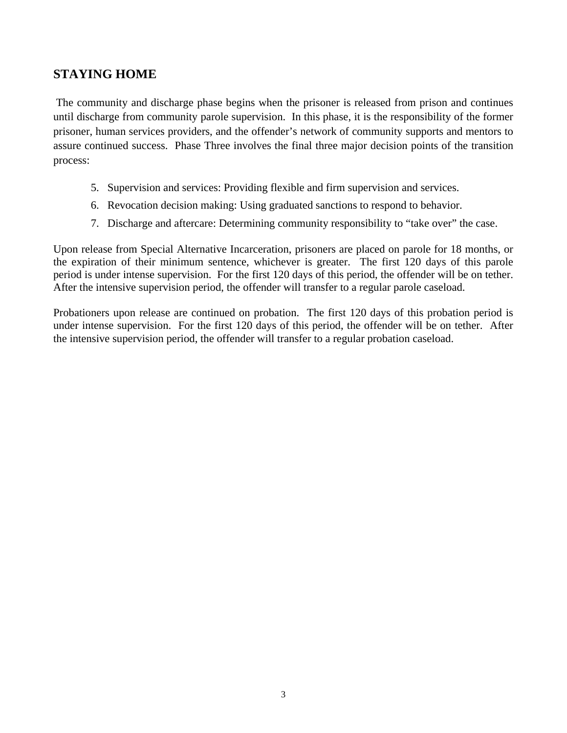### **STAYING HOME**

 The community and discharge phase begins when the prisoner is released from prison and continues until discharge from community parole supervision. In this phase, it is the responsibility of the former prisoner, human services providers, and the offender's network of community supports and mentors to assure continued success. Phase Three involves the final three major decision points of the transition process:

- 5. Supervision and services: Providing flexible and firm supervision and services.
- 6. Revocation decision making: Using graduated sanctions to respond to behavior.
- 7. Discharge and aftercare: Determining community responsibility to "take over" the case.

Upon release from Special Alternative Incarceration, prisoners are placed on parole for 18 months, or the expiration of their minimum sentence, whichever is greater. The first 120 days of this parole period is under intense supervision. For the first 120 days of this period, the offender will be on tether. After the intensive supervision period, the offender will transfer to a regular parole caseload.

Probationers upon release are continued on probation. The first 120 days of this probation period is under intense supervision. For the first 120 days of this period, the offender will be on tether. After the intensive supervision period, the offender will transfer to a regular probation caseload.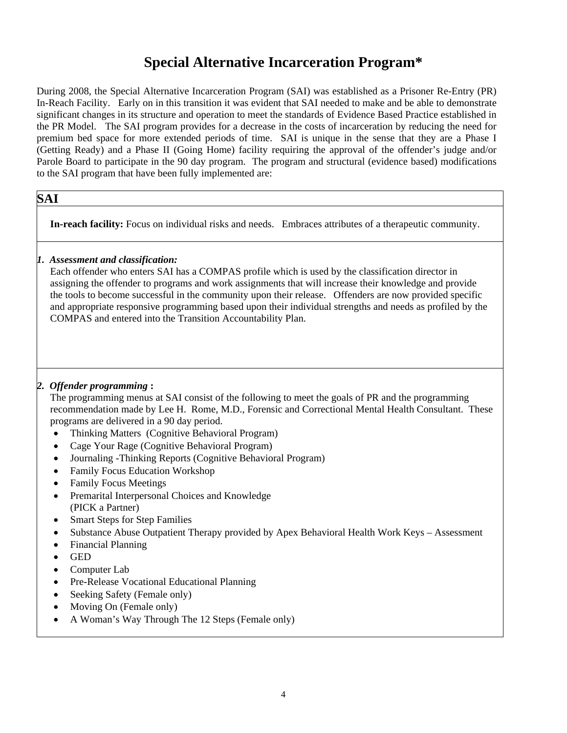# **Special Alternative Incarceration Program\***

During 2008, the Special Alternative Incarceration Program (SAI) was established as a Prisoner Re-Entry (PR) In-Reach Facility. Early on in this transition it was evident that SAI needed to make and be able to demonstrate significant changes in its structure and operation to meet the standards of Evidence Based Practice established in the PR Model. The SAI program provides for a decrease in the costs of incarceration by reducing the need for premium bed space for more extended periods of time. SAI is unique in the sense that they are a Phase I (Getting Ready) and a Phase II (Going Home) facility requiring the approval of the offender's judge and/or Parole Board to participate in the 90 day program. The program and structural (evidence based) modifications to the SAI program that have been fully implemented are:

### **SAI**

**In-reach facility:** Focus on individual risks and needs. Embraces attributes of a therapeutic community.

### *1. Assessment and classification:*

Each offender who enters SAI has a COMPAS profile which is used by the classification director in assigning the offender to programs and work assignments that will increase their knowledge and provide the tools to become successful in the community upon their release. Offenders are now provided specific and appropriate responsive programming based upon their individual strengths and needs as profiled by the COMPAS and entered into the Transition Accountability Plan.

#### *2. Offender programming* **:**

The programming menus at SAI consist of the following to meet the goals of PR and the programming recommendation made by Lee H. Rome, M.D., Forensic and Correctional Mental Health Consultant. These programs are delivered in a 90 day period.

- Thinking Matters (Cognitive Behavioral Program)
- Cage Your Rage (Cognitive Behavioral Program)
- Journaling -Thinking Reports (Cognitive Behavioral Program)
- Family Focus Education Workshop
- Family Focus Meetings
- Premarital Interpersonal Choices and Knowledge (PICK a Partner)
- Smart Steps for Step Families
- Substance Abuse Outpatient Therapy provided by Apex Behavioral Health Work Keys Assessment
- Financial Planning
- GED
- Computer Lab
- Pre-Release Vocational Educational Planning
- Seeking Safety (Female only)
- Moving On (Female only)
- A Woman's Way Through The 12 Steps (Female only)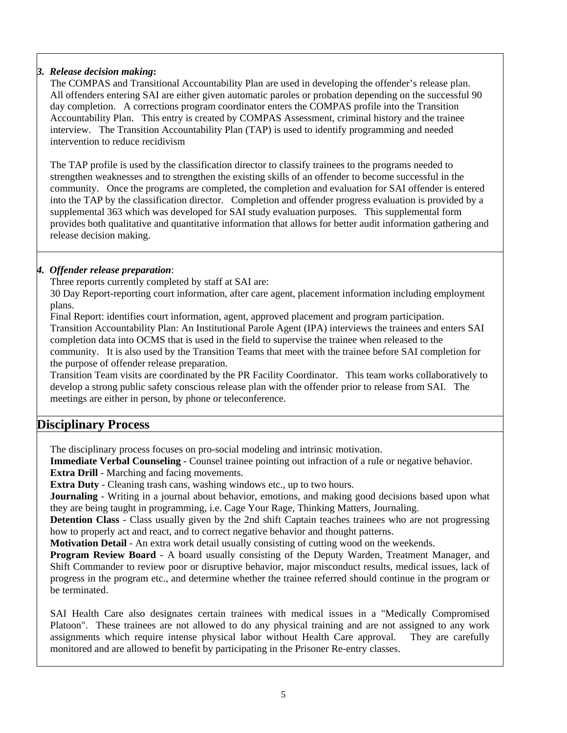### *3. Release decision making***:**

The COMPAS and Transitional Accountability Plan are used in developing the offender's release plan. All offenders entering SAI are either given automatic paroles or probation depending on the successful 90 day completion. A corrections program coordinator enters the COMPAS profile into the Transition Accountability Plan. This entry is created by COMPAS Assessment, criminal history and the trainee interview. The Transition Accountability Plan (TAP) is used to identify programming and needed intervention to reduce recidivism

The TAP profile is used by the classification director to classify trainees to the programs needed to strengthen weaknesses and to strengthen the existing skills of an offender to become successful in the community. Once the programs are completed, the completion and evaluation for SAI offender is entered into the TAP by the classification director. Completion and offender progress evaluation is provided by a supplemental 363 which was developed for SAI study evaluation purposes. This supplemental form provides both qualitative and quantitative information that allows for better audit information gathering and release decision making.

### *4. Offender release preparation*:

Three reports currently completed by staff at SAI are:

30 Day Report-reporting court information, after care agent, placement information including employment plans.

Final Report: identifies court information, agent, approved placement and program participation. Transition Accountability Plan: An Institutional Parole Agent (IPA) interviews the trainees and enters SAI completion data into OCMS that is used in the field to supervise the trainee when released to the community. It is also used by the Transition Teams that meet with the trainee before SAI completion for the purpose of offender release preparation.

Transition Team visits are coordinated by the PR Facility Coordinator. This team works collaboratively to develop a strong public safety conscious release plan with the offender prior to release from SAI. The meetings are either in person, by phone or teleconference.

### **Disciplinary Process**

The disciplinary process focuses on pro-social modeling and intrinsic motivation.

**Immediate Verbal Counseling** - Counsel trainee pointing out infraction of a rule or negative behavior. **Extra Drill** - Marching and facing movements.

**Extra Duty** - Cleaning trash cans, washing windows etc., up to two hours.

**Journaling** - Writing in a journal about behavior, emotions, and making good decisions based upon what they are being taught in programming, i.e. Cage Your Rage, Thinking Matters, Journaling.

**Detention Class** - Class usually given by the 2nd shift Captain teaches trainees who are not progressing how to properly act and react, and to correct negative behavior and thought patterns.

**Motivation Detail** - An extra work detail usually consisting of cutting wood on the weekends.

**Program Review Board** - A board usually consisting of the Deputy Warden, Treatment Manager, and Shift Commander to review poor or disruptive behavior, major misconduct results, medical issues, lack of progress in the program etc., and determine whether the trainee referred should continue in the program or be terminated.

SAI Health Care also designates certain trainees with medical issues in a "Medically Compromised Platoon". These trainees are not allowed to do any physical training and are not assigned to any work assignments which require intense physical labor without Health Care approval. They are carefully monitored and are allowed to benefit by participating in the Prisoner Re-entry classes.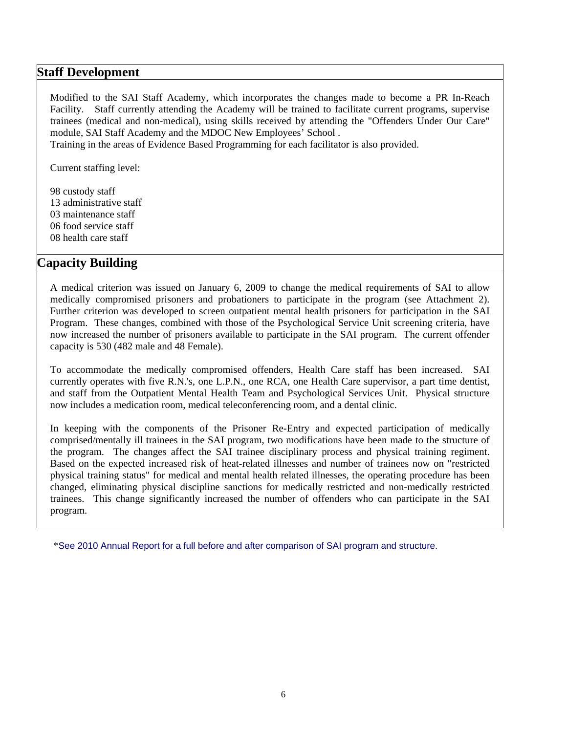### **Staff Development**

Modified to the SAI Staff Academy, which incorporates the changes made to become a PR In-Reach Facility. Staff currently attending the Academy will be trained to facilitate current programs, supervise trainees (medical and non-medical), using skills received by attending the "Offenders Under Our Care" module, SAI Staff Academy and the MDOC New Employees' School .

Training in the areas of Evidence Based Programming for each facilitator is also provided.

Current staffing level:

98 custody staff 13 administrative staff 03 maintenance staff 06 food service staff 08 health care staff

### **Capacity Building**

A medical criterion was issued on January 6, 2009 to change the medical requirements of SAI to allow medically compromised prisoners and probationers to participate in the program (see Attachment 2). Further criterion was developed to screen outpatient mental health prisoners for participation in the SAI Program. These changes, combined with those of the Psychological Service Unit screening criteria, have now increased the number of prisoners available to participate in the SAI program. The current offender capacity is 530 (482 male and 48 Female).

To accommodate the medically compromised offenders, Health Care staff has been increased. SAI currently operates with five R.N.'s, one L.P.N., one RCA, one Health Care supervisor, a part time dentist, and staff from the Outpatient Mental Health Team and Psychological Services Unit. Physical structure now includes a medication room, medical teleconferencing room, and a dental clinic.

In keeping with the components of the Prisoner Re-Entry and expected participation of medically comprised/mentally ill trainees in the SAI program, two modifications have been made to the structure of the program. The changes affect the SAI trainee disciplinary process and physical training regiment. Based on the expected increased risk of heat-related illnesses and number of trainees now on "restricted physical training status" for medical and mental health related illnesses, the operating procedure has been changed, eliminating physical discipline sanctions for medically restricted and non-medically restricted trainees. This change significantly increased the number of offenders who can participate in the SAI program.

\*See 2010 Annual Report for a full before and after comparison of SAI program and structure.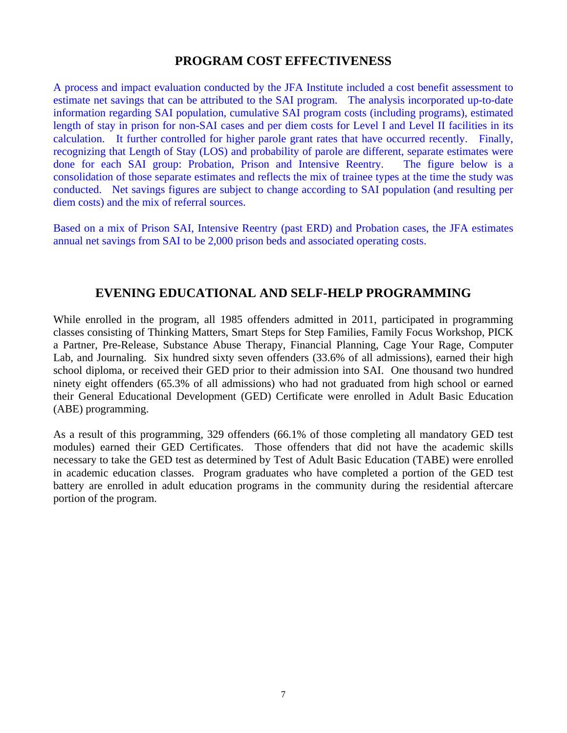### **PROGRAM COST EFFECTIVENESS**

A process and impact evaluation conducted by the JFA Institute included a cost benefit assessment to estimate net savings that can be attributed to the SAI program. The analysis incorporated up-to-date information regarding SAI population, cumulative SAI program costs (including programs), estimated length of stay in prison for non-SAI cases and per diem costs for Level I and Level II facilities in its calculation. It further controlled for higher parole grant rates that have occurred recently. Finally, recognizing that Length of Stay (LOS) and probability of parole are different, separate estimates were done for each SAI group: Probation, Prison and Intensive Reentry. The figure below is a consolidation of those separate estimates and reflects the mix of trainee types at the time the study was conducted. Net savings figures are subject to change according to SAI population (and resulting per diem costs) and the mix of referral sources.

Based on a mix of Prison SAI, Intensive Reentry (past ERD) and Probation cases, the JFA estimates annual net savings from SAI to be 2,000 prison beds and associated operating costs.

### **EVENING EDUCATIONAL AND SELF-HELP PROGRAMMING**

While enrolled in the program, all 1985 offenders admitted in 2011, participated in programming classes consisting of Thinking Matters, Smart Steps for Step Families, Family Focus Workshop, PICK a Partner, Pre-Release, Substance Abuse Therapy, Financial Planning, Cage Your Rage, Computer Lab, and Journaling. Six hundred sixty seven offenders (33.6% of all admissions), earned their high school diploma, or received their GED prior to their admission into SAI. One thousand two hundred ninety eight offenders (65.3% of all admissions) who had not graduated from high school or earned their General Educational Development (GED) Certificate were enrolled in Adult Basic Education (ABE) programming.

As a result of this programming, 329 offenders (66.1% of those completing all mandatory GED test modules) earned their GED Certificates. Those offenders that did not have the academic skills necessary to take the GED test as determined by Test of Adult Basic Education (TABE) were enrolled in academic education classes. Program graduates who have completed a portion of the GED test battery are enrolled in adult education programs in the community during the residential aftercare portion of the program.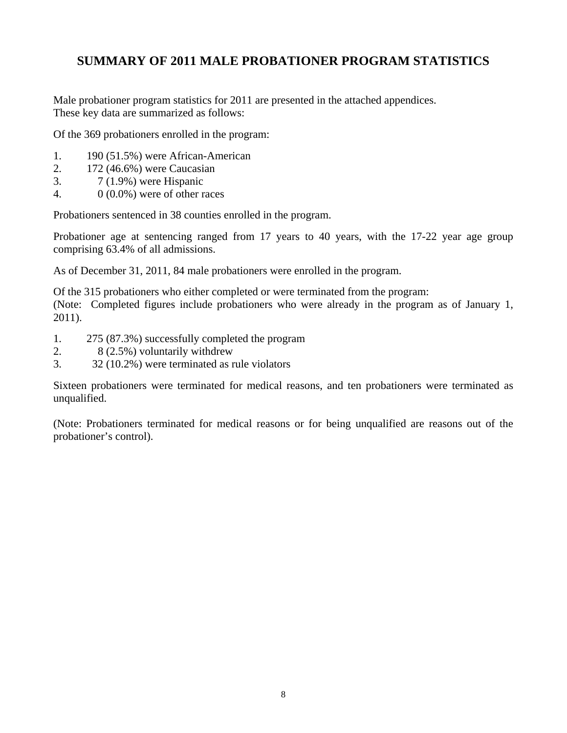# **SUMMARY OF 2011 MALE PROBATIONER PROGRAM STATISTICS**

Male probationer program statistics for 2011 are presented in the attached appendices. These key data are summarized as follows:

Of the 369 probationers enrolled in the program:

- 1. 190 (51.5%) were African-American
- 2. 172 (46.6%) were Caucasian
- 3. 7 (1.9%) were Hispanic
- 4. 0 (0.0%) were of other races

Probationers sentenced in 38 counties enrolled in the program.

Probationer age at sentencing ranged from 17 years to 40 years, with the 17-22 year age group comprising 63.4% of all admissions.

As of December 31, 2011, 84 male probationers were enrolled in the program.

Of the 315 probationers who either completed or were terminated from the program:

(Note: Completed figures include probationers who were already in the program as of January 1, 2011).

- 1. 275 (87.3%) successfully completed the program
- 2. 8 (2.5%) voluntarily withdrew
- 3. 32 (10.2%) were terminated as rule violators

Sixteen probationers were terminated for medical reasons, and ten probationers were terminated as unqualified.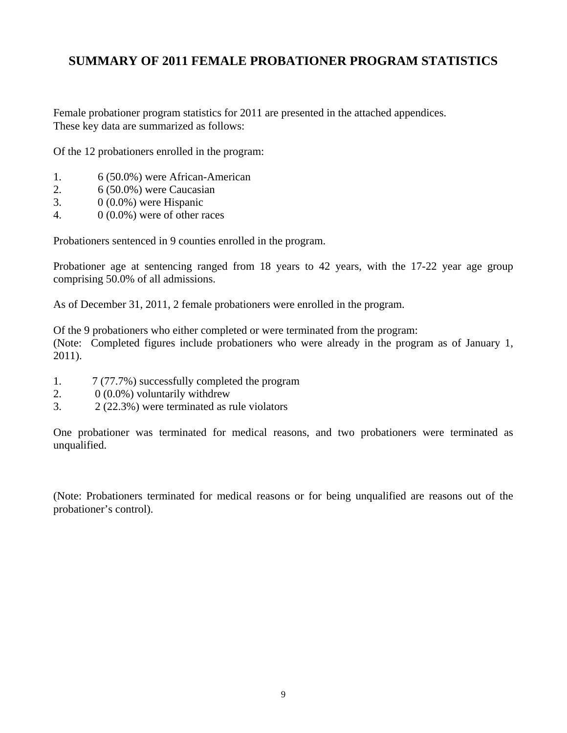### **SUMMARY OF 2011 FEMALE PROBATIONER PROGRAM STATISTICS**

Female probationer program statistics for 2011 are presented in the attached appendices. These key data are summarized as follows:

Of the 12 probationers enrolled in the program:

- 1. 6 (50.0%) were African-American
- 2. 6 (50.0%) were Caucasian
- 3.  $0(0.0\%)$  were Hispanic
- 4.  $0(0.0\%)$  were of other races

Probationers sentenced in 9 counties enrolled in the program.

Probationer age at sentencing ranged from 18 years to 42 years, with the 17-22 year age group comprising 50.0% of all admissions.

As of December 31, 2011, 2 female probationers were enrolled in the program.

Of the 9 probationers who either completed or were terminated from the program:

(Note: Completed figures include probationers who were already in the program as of January 1, 2011).

- 1. 7 (77.7%) successfully completed the program
- 2.  $0(0.0\%)$  voluntarily withdrew
- 3. 2 (22.3%) were terminated as rule violators

One probationer was terminated for medical reasons, and two probationers were terminated as unqualified.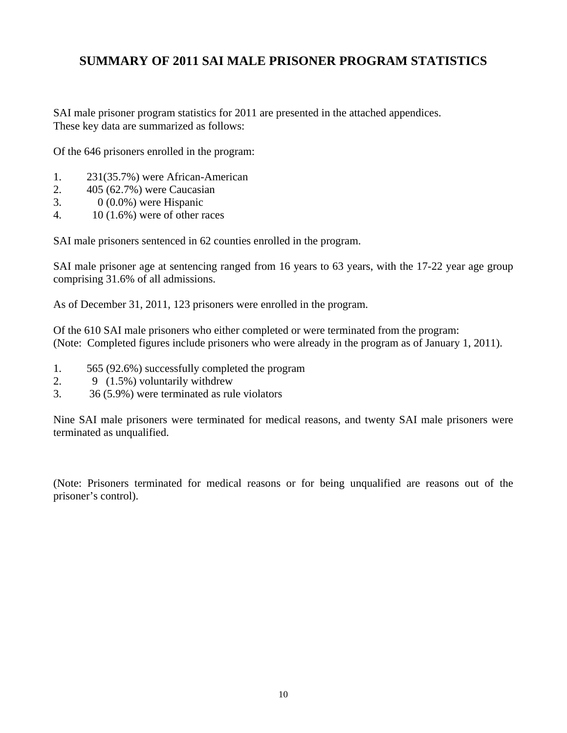## **SUMMARY OF 2011 SAI MALE PRISONER PROGRAM STATISTICS**

SAI male prisoner program statistics for 2011 are presented in the attached appendices. These key data are summarized as follows:

Of the 646 prisoners enrolled in the program:

- 1. 231(35.7%) were African-American
- 2. 405 (62.7%) were Caucasian
- 3.  $0(0.0\%)$  were Hispanic
- 4. 10 (1.6%) were of other races

SAI male prisoners sentenced in 62 counties enrolled in the program.

SAI male prisoner age at sentencing ranged from 16 years to 63 years, with the 17-22 year age group comprising 31.6% of all admissions.

As of December 31, 2011, 123 prisoners were enrolled in the program.

Of the 610 SAI male prisoners who either completed or were terminated from the program: (Note: Completed figures include prisoners who were already in the program as of January 1, 2011).

- 1. 565 (92.6%) successfully completed the program
- 2. 9 (1.5%) voluntarily withdrew
- 3. 36 (5.9%) were terminated as rule violators

Nine SAI male prisoners were terminated for medical reasons, and twenty SAI male prisoners were terminated as unqualified.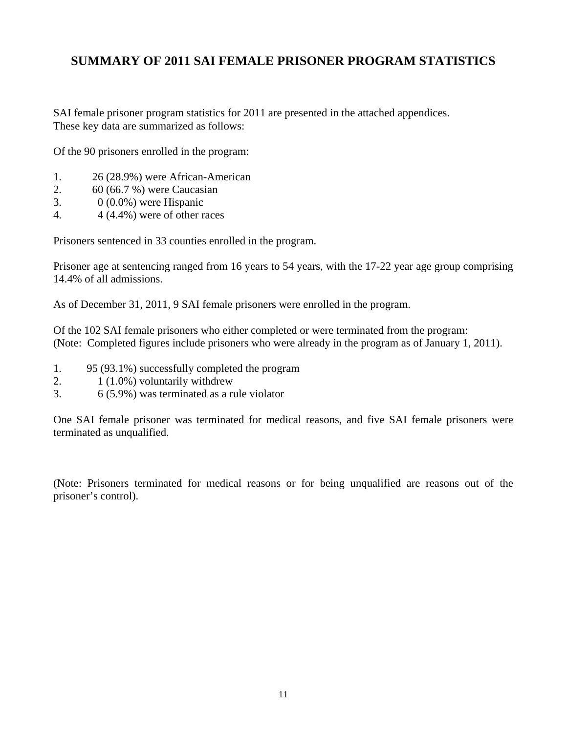## **SUMMARY OF 2011 SAI FEMALE PRISONER PROGRAM STATISTICS**

SAI female prisoner program statistics for 2011 are presented in the attached appendices. These key data are summarized as follows:

Of the 90 prisoners enrolled in the program:

- 1. 26 (28.9%) were African-American
- 2. 60 (66.7 %) were Caucasian
- 3.  $0(0.0\%)$  were Hispanic
- 4.  $4(4.4\%)$  were of other races

Prisoners sentenced in 33 counties enrolled in the program.

Prisoner age at sentencing ranged from 16 years to 54 years, with the 17-22 year age group comprising 14.4% of all admissions.

As of December 31, 2011, 9 SAI female prisoners were enrolled in the program.

Of the 102 SAI female prisoners who either completed or were terminated from the program: (Note: Completed figures include prisoners who were already in the program as of January 1, 2011).

- 1. 95 (93.1%) successfully completed the program
- 2.  $1(1.0\%)$  voluntarily withdrew
- 3. 6 (5.9%) was terminated as a rule violator

One SAI female prisoner was terminated for medical reasons, and five SAI female prisoners were terminated as unqualified.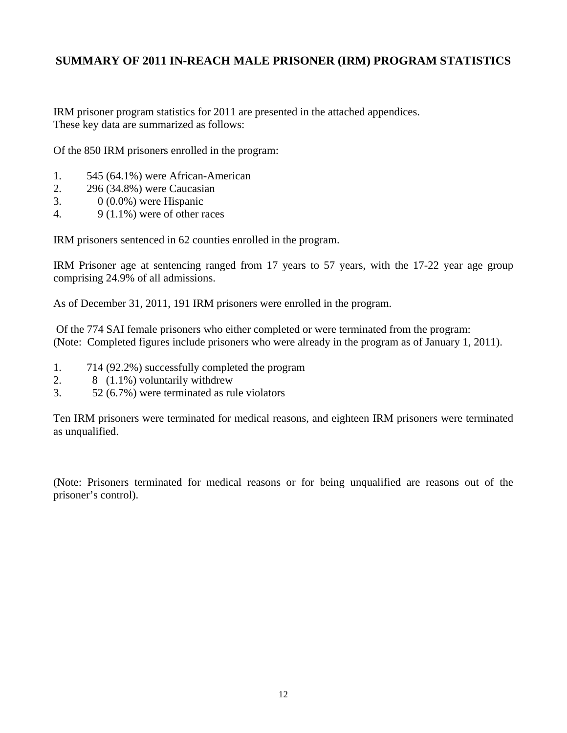### **SUMMARY OF 2011 IN-REACH MALE PRISONER (IRM) PROGRAM STATISTICS**

IRM prisoner program statistics for 2011 are presented in the attached appendices. These key data are summarized as follows:

Of the 850 IRM prisoners enrolled in the program:

- 1. 545 (64.1%) were African-American
- 2. 296 (34.8%) were Caucasian
- 3. 0 (0.0%) were Hispanic
- 4.  $9(1.1\%)$  were of other races

IRM prisoners sentenced in 62 counties enrolled in the program.

IRM Prisoner age at sentencing ranged from 17 years to 57 years, with the 17-22 year age group comprising 24.9% of all admissions.

As of December 31, 2011, 191 IRM prisoners were enrolled in the program.

 Of the 774 SAI female prisoners who either completed or were terminated from the program: (Note: Completed figures include prisoners who were already in the program as of January 1, 2011).

- 1. 714 (92.2%) successfully completed the program
- 2. 8 (1.1%) voluntarily withdrew
- 3. 52 (6.7%) were terminated as rule violators

Ten IRM prisoners were terminated for medical reasons, and eighteen IRM prisoners were terminated as unqualified.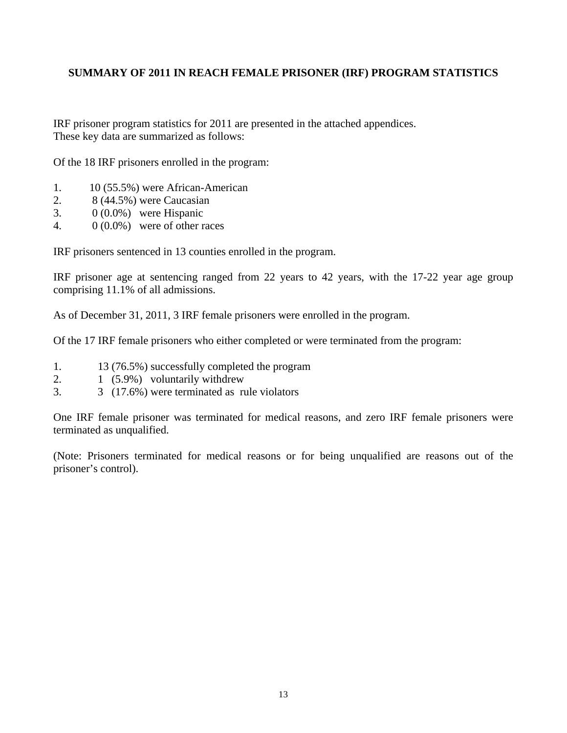### **SUMMARY OF 2011 IN REACH FEMALE PRISONER (IRF) PROGRAM STATISTICS**

IRF prisoner program statistics for 2011 are presented in the attached appendices. These key data are summarized as follows:

Of the 18 IRF prisoners enrolled in the program:

- 1. 10 (55.5%) were African-American
- 2. 8 (44.5%) were Caucasian
- 3. 0 (0.0%) were Hispanic
- 4. 0 (0.0%) were of other races

IRF prisoners sentenced in 13 counties enrolled in the program.

IRF prisoner age at sentencing ranged from 22 years to 42 years, with the 17-22 year age group comprising 11.1% of all admissions.

As of December 31, 2011, 3 IRF female prisoners were enrolled in the program.

Of the 17 IRF female prisoners who either completed or were terminated from the program:

- 1. 13 (76.5%) successfully completed the program
- 2. 1 (5.9%) voluntarily withdrew
- 3. 3 (17.6%) were terminated as rule violators

One IRF female prisoner was terminated for medical reasons, and zero IRF female prisoners were terminated as unqualified.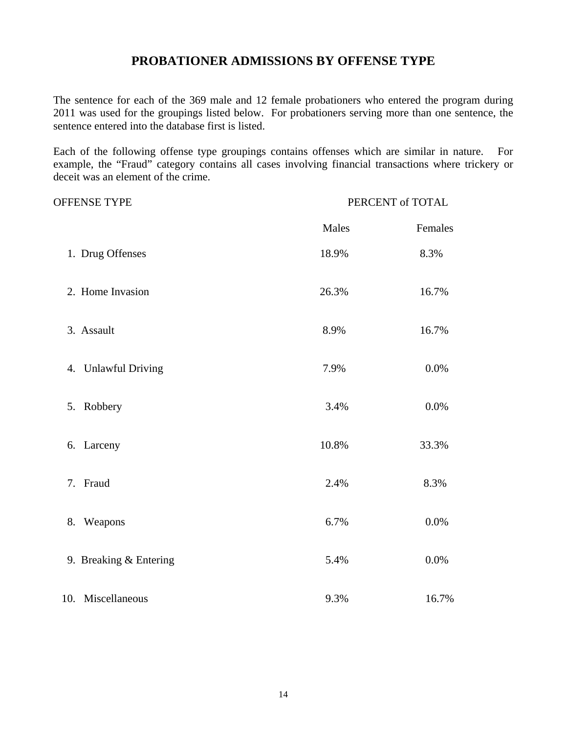### **PROBATIONER ADMISSIONS BY OFFENSE TYPE**

The sentence for each of the 369 male and 12 female probationers who entered the program during 2011 was used for the groupings listed below. For probationers serving more than one sentence, the sentence entered into the database first is listed.

Each of the following offense type groupings contains offenses which are similar in nature. For example, the "Fraud" category contains all cases involving financial transactions where trickery or deceit was an element of the crime.

| <b>OFFENSE TYPE</b>    | PERCENT of TOTAL |         |  |
|------------------------|------------------|---------|--|
|                        | Males            | Females |  |
| 1. Drug Offenses       | 18.9%            | 8.3%    |  |
| 2. Home Invasion       | 26.3%            | 16.7%   |  |
| 3. Assault             | 8.9%             | 16.7%   |  |
| 4. Unlawful Driving    | 7.9%             | 0.0%    |  |
| 5. Robbery             | 3.4%             | 0.0%    |  |
| 6. Larceny             | 10.8%            | 33.3%   |  |
| 7. Fraud               | 2.4%             | 8.3%    |  |
| Weapons<br>8.          | 6.7%             | 0.0%    |  |
| 9. Breaking & Entering | 5.4%             | 0.0%    |  |
| 10.<br>Miscellaneous   | 9.3%             | 16.7%   |  |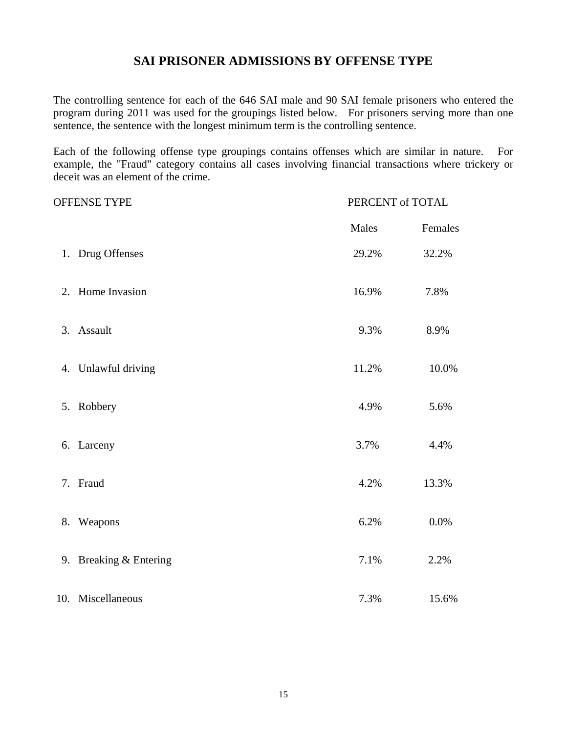### **SAI PRISONER ADMISSIONS BY OFFENSE TYPE**

The controlling sentence for each of the 646 SAI male and 90 SAI female prisoners who entered the program during 2011 was used for the groupings listed below. For prisoners serving more than one sentence, the sentence with the longest minimum term is the controlling sentence.

Each of the following offense type groupings contains offenses which are similar in nature. For example, the "Fraud" category contains all cases involving financial transactions where trickery or deceit was an element of the crime.

| <b>OFFENSE TYPE</b>    | PERCENT of TOTAL |          |
|------------------------|------------------|----------|
|                        | Males            | Females  |
| 1. Drug Offenses       | 29.2%            | 32.2%    |
| 2. Home Invasion       | 16.9%            | 7.8%     |
| 3. Assault             | 9.3%             | 8.9%     |
| 4. Unlawful driving    | 11.2%            | $10.0\%$ |
| 5. Robbery             | 4.9%             | 5.6%     |
| 6. Larceny             | 3.7%             | 4.4%     |
| 7. Fraud               | 4.2%             | 13.3%    |
| 8. Weapons             | 6.2%             | $0.0\%$  |
| 9. Breaking & Entering | 7.1%             | 2.2%     |
| 10. Miscellaneous      | 7.3%             | 15.6%    |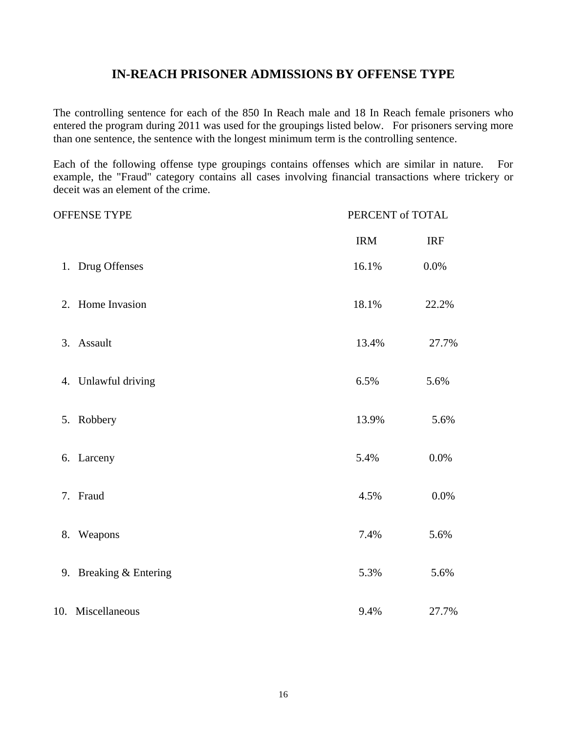### **IN-REACH PRISONER ADMISSIONS BY OFFENSE TYPE**

The controlling sentence for each of the 850 In Reach male and 18 In Reach female prisoners who entered the program during 2011 was used for the groupings listed below. For prisoners serving more than one sentence, the sentence with the longest minimum term is the controlling sentence.

Each of the following offense type groupings contains offenses which are similar in nature. For example, the "Fraud" category contains all cases involving financial transactions where trickery or deceit was an element of the crime.

| <b>OFFENSE TYPE</b> |                        | PERCENT of TOTAL |            |  |  |
|---------------------|------------------------|------------------|------------|--|--|
|                     |                        | <b>IRM</b>       | <b>IRF</b> |  |  |
|                     | 1. Drug Offenses       | 16.1%            | 0.0%       |  |  |
|                     | 2. Home Invasion       | 18.1%            | 22.2%      |  |  |
|                     | 3. Assault             | 13.4%            | 27.7%      |  |  |
|                     | 4. Unlawful driving    | 6.5%             | 5.6%       |  |  |
|                     | 5. Robbery             | 13.9%            | 5.6%       |  |  |
|                     | 6. Larceny             | 5.4%             | 0.0%       |  |  |
|                     | 7. Fraud               | 4.5%             | 0.0%       |  |  |
|                     | 8. Weapons             | 7.4%             | 5.6%       |  |  |
|                     | 9. Breaking & Entering | 5.3%             | 5.6%       |  |  |
|                     | 10. Miscellaneous      | 9.4%             | 27.7%      |  |  |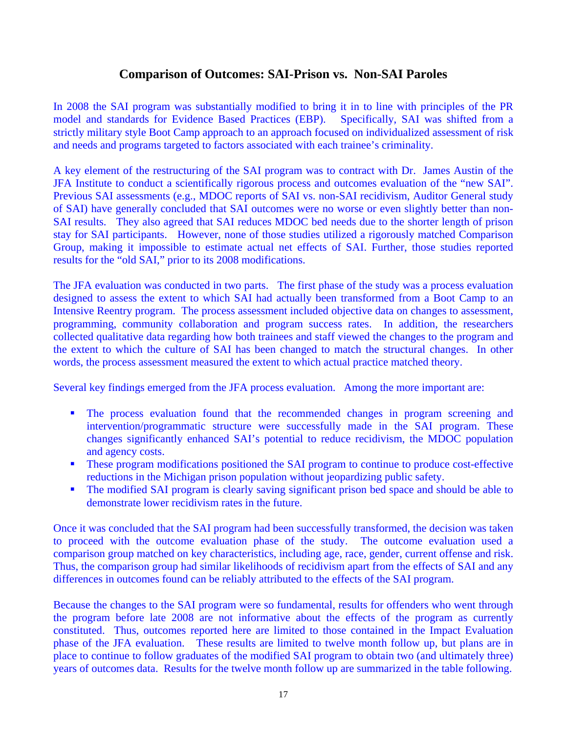### **Comparison of Outcomes: SAI-Prison vs. Non-SAI Paroles**

In 2008 the SAI program was substantially modified to bring it in to line with principles of the PR model and standards for Evidence Based Practices (EBP). Specifically, SAI was shifted from a strictly military style Boot Camp approach to an approach focused on individualized assessment of risk and needs and programs targeted to factors associated with each trainee's criminality.

A key element of the restructuring of the SAI program was to contract with Dr. James Austin of the JFA Institute to conduct a scientifically rigorous process and outcomes evaluation of the "new SAI". Previous SAI assessments (e.g., MDOC reports of SAI vs. non-SAI recidivism, Auditor General study of SAI) have generally concluded that SAI outcomes were no worse or even slightly better than non-SAI results. They also agreed that SAI reduces MDOC bed needs due to the shorter length of prison stay for SAI participants. However, none of those studies utilized a rigorously matched Comparison Group, making it impossible to estimate actual net effects of SAI. Further, those studies reported results for the "old SAI," prior to its 2008 modifications.

The JFA evaluation was conducted in two parts. The first phase of the study was a process evaluation designed to assess the extent to which SAI had actually been transformed from a Boot Camp to an Intensive Reentry program. The process assessment included objective data on changes to assessment, programming, community collaboration and program success rates. In addition, the researchers collected qualitative data regarding how both trainees and staff viewed the changes to the program and the extent to which the culture of SAI has been changed to match the structural changes. In other words, the process assessment measured the extent to which actual practice matched theory.

Several key findings emerged from the JFA process evaluation. Among the more important are:

- The process evaluation found that the recommended changes in program screening and intervention/programmatic structure were successfully made in the SAI program. These changes significantly enhanced SAI's potential to reduce recidivism, the MDOC population and agency costs.
- **These program modifications positioned the SAI program to continue to produce cost-effective** reductions in the Michigan prison population without jeopardizing public safety.
- The modified SAI program is clearly saving significant prison bed space and should be able to demonstrate lower recidivism rates in the future.

Once it was concluded that the SAI program had been successfully transformed, the decision was taken to proceed with the outcome evaluation phase of the study. The outcome evaluation used a comparison group matched on key characteristics, including age, race, gender, current offense and risk. Thus, the comparison group had similar likelihoods of recidivism apart from the effects of SAI and any differences in outcomes found can be reliably attributed to the effects of the SAI program.

Because the changes to the SAI program were so fundamental, results for offenders who went through the program before late 2008 are not informative about the effects of the program as currently constituted. Thus, outcomes reported here are limited to those contained in the Impact Evaluation phase of the JFA evaluation. These results are limited to twelve month follow up, but plans are in place to continue to follow graduates of the modified SAI program to obtain two (and ultimately three) years of outcomes data. Results for the twelve month follow up are summarized in the table following.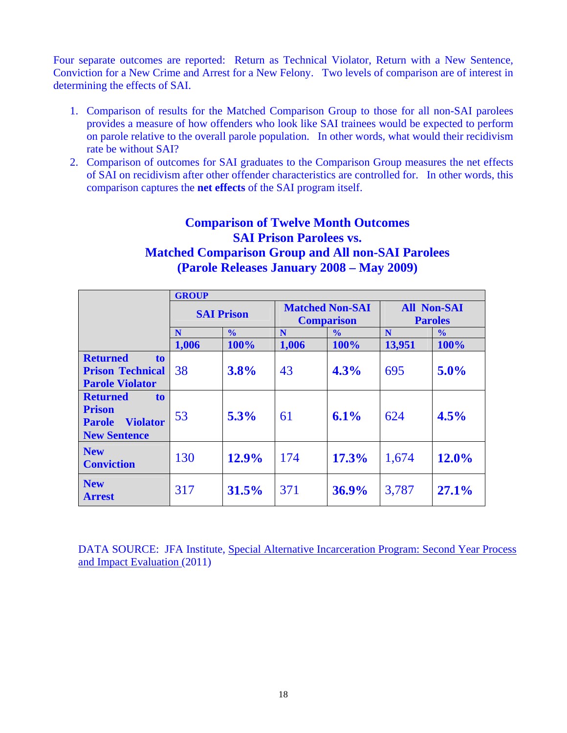Four separate outcomes are reported: Return as Technical Violator, Return with a New Sentence, Conviction for a New Crime and Arrest for a New Felony. Two levels of comparison are of interest in determining the effects of SAI.

- 1. Comparison of results for the Matched Comparison Group to those for all non-SAI parolees provides a measure of how offenders who look like SAI trainees would be expected to perform on parole relative to the overall parole population. In other words, what would their recidivism rate be without SAI?
- 2. Comparison of outcomes for SAI graduates to the Comparison Group measures the net effects of SAI on recidivism after other offender characteristics are controlled for. In other words, this comparison captures the **net effects** of the SAI program itself.

# **Comparison of Twelve Month Outcomes SAI Prison Parolees vs. Matched Comparison Group and All non-SAI Parolees (Parole Releases January 2008 – May 2009)**

|                                                                                                               | <b>GROUP</b> |                   |       |                                             |                                      |               |
|---------------------------------------------------------------------------------------------------------------|--------------|-------------------|-------|---------------------------------------------|--------------------------------------|---------------|
|                                                                                                               |              | <b>SAI Prison</b> |       | <b>Matched Non-SAI</b><br><b>Comparison</b> | <b>All Non-SAI</b><br><b>Paroles</b> |               |
|                                                                                                               | N            | $\frac{0}{0}$     | N     | $\frac{0}{0}$                               | N                                    | $\frac{0}{0}$ |
|                                                                                                               | 1,006        | 100%              | 1,006 | 100%                                        | 13,951                               | 100%          |
| <b>Returned</b><br>to.                                                                                        |              |                   |       |                                             |                                      |               |
| <b>Prison Technical</b>                                                                                       | 38           | 3.8%              | 43    | 4.3%                                        | 695                                  | 5.0%          |
| <b>Parole Violator</b>                                                                                        |              |                   |       |                                             |                                      |               |
| <b>Returned</b><br>t <sub>0</sub><br><b>Prison</b><br><b>Violator</b><br><b>Parole</b><br><b>New Sentence</b> | 53           | 5.3%              | 61    | 6.1%                                        | 624                                  | 4.5%          |
| <b>New</b><br><b>Conviction</b>                                                                               | 130          | 12.9%             | 174   | 17.3%                                       | 1,674                                | 12.0%         |
| <b>New</b><br><b>Arrest</b>                                                                                   | 317          | 31.5%             | 371   | 36.9%                                       | 3,787                                | 27.1%         |

DATA SOURCE: JFA Institute, Special Alternative Incarceration Program: Second Year Process and Impact Evaluation (2011)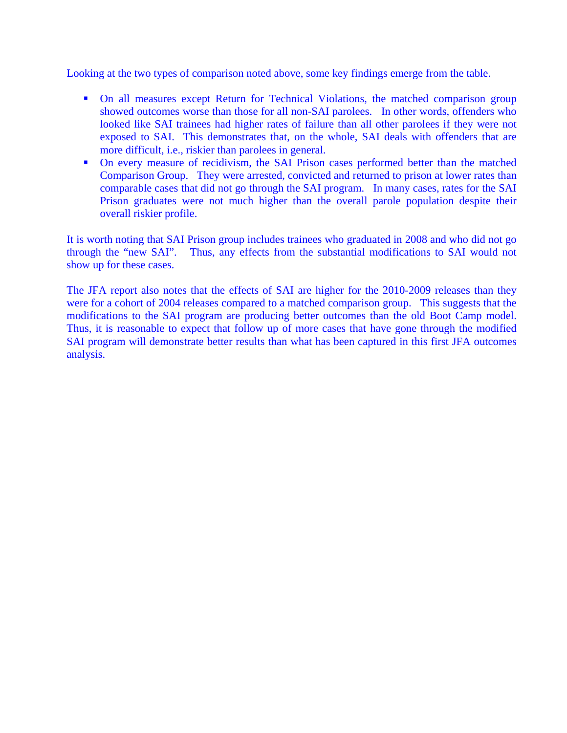Looking at the two types of comparison noted above, some key findings emerge from the table.

- On all measures except Return for Technical Violations, the matched comparison group showed outcomes worse than those for all non-SAI parolees. In other words, offenders who looked like SAI trainees had higher rates of failure than all other parolees if they were not exposed to SAI. This demonstrates that, on the whole, SAI deals with offenders that are more difficult, i.e., riskier than parolees in general.
- On every measure of recidivism, the SAI Prison cases performed better than the matched Comparison Group. They were arrested, convicted and returned to prison at lower rates than comparable cases that did not go through the SAI program. In many cases, rates for the SAI Prison graduates were not much higher than the overall parole population despite their overall riskier profile.

It is worth noting that SAI Prison group includes trainees who graduated in 2008 and who did not go through the "new SAI". Thus, any effects from the substantial modifications to SAI would not show up for these cases.

The JFA report also notes that the effects of SAI are higher for the 2010-2009 releases than they were for a cohort of 2004 releases compared to a matched comparison group. This suggests that the modifications to the SAI program are producing better outcomes than the old Boot Camp model. Thus, it is reasonable to expect that follow up of more cases that have gone through the modified SAI program will demonstrate better results than what has been captured in this first JFA outcomes analysis.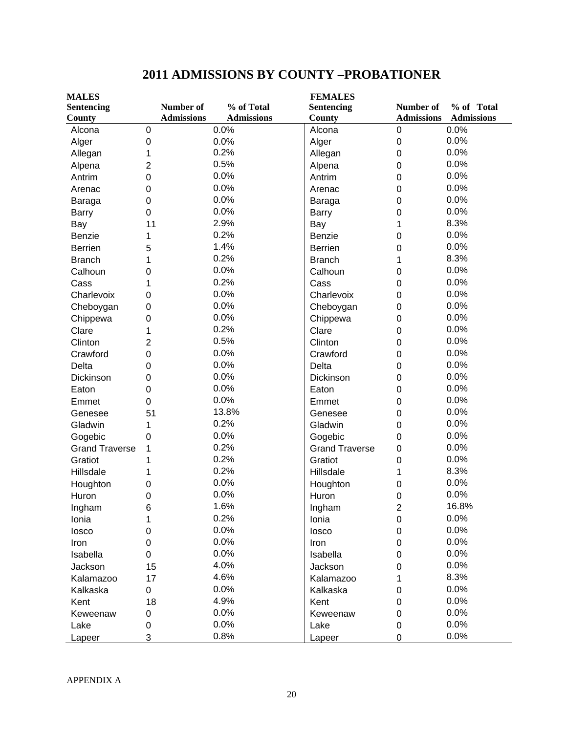| <b>MALES</b>          |                  | <b>FEMALES</b>    |                   |  |                       |                         |                   |
|-----------------------|------------------|-------------------|-------------------|--|-----------------------|-------------------------|-------------------|
| <b>Sentencing</b>     |                  | Number of         | % of Total        |  | <b>Sentencing</b>     | Number of               | % of Total        |
| County                |                  | <b>Admissions</b> | <b>Admissions</b> |  | County                | <b>Admissions</b>       | <b>Admissions</b> |
| Alcona                | $\boldsymbol{0}$ |                   | 0.0%              |  | Alcona                | $\pmb{0}$               | 0.0%              |
| Alger                 | $\boldsymbol{0}$ |                   | 0.0%              |  | Alger                 | 0                       | 0.0%              |
| Allegan               | 1                |                   | 0.2%              |  | Allegan               | 0                       | 0.0%              |
| Alpena                | $\overline{2}$   |                   | 0.5%              |  | Alpena                | 0                       | 0.0%              |
| Antrim                | $\mathbf 0$      |                   | 0.0%              |  | Antrim                | 0                       | 0.0%              |
| Arenac                | $\mathbf 0$      |                   | 0.0%              |  | Arenac                | 0                       | 0.0%              |
| Baraga                | $\mathbf 0$      |                   | 0.0%              |  | Baraga                | 0                       | 0.0%              |
| <b>Barry</b>          | $\mathbf 0$      |                   | 0.0%              |  | <b>Barry</b>          | 0                       | 0.0%              |
| Bay                   | 11               |                   | 2.9%              |  | Bay                   | 1                       | 8.3%              |
| Benzie                | 1                |                   | 0.2%              |  | Benzie                | 0                       | 0.0%              |
| <b>Berrien</b>        | 5                |                   | 1.4%              |  | <b>Berrien</b>        | 0                       | 0.0%              |
| <b>Branch</b>         | 1                |                   | 0.2%              |  | <b>Branch</b>         | 1                       | 8.3%              |
| Calhoun               | 0                |                   | 0.0%              |  | Calhoun               | 0                       | 0.0%              |
| Cass                  | 1                |                   | 0.2%              |  | Cass                  | 0                       | 0.0%              |
| Charlevoix            | 0                |                   | 0.0%              |  | Charlevoix            | 0                       | 0.0%              |
| Cheboygan             | $\mathbf 0$      |                   | 0.0%              |  | Cheboygan             | 0                       | 0.0%              |
| Chippewa              | $\mathbf 0$      |                   | 0.0%              |  | Chippewa              | 0                       | 0.0%              |
| Clare                 | 1                |                   | 0.2%              |  | Clare                 | 0                       | 0.0%              |
| Clinton               | $\overline{2}$   |                   | 0.5%              |  | Clinton               | 0                       | 0.0%              |
| Crawford              | $\mathbf 0$      |                   | 0.0%              |  | Crawford              | 0                       | 0.0%              |
| Delta                 | $\mathbf 0$      |                   | 0.0%              |  | Delta                 | 0                       | 0.0%              |
| Dickinson             | 0                |                   | 0.0%              |  | Dickinson             | 0                       | 0.0%              |
| Eaton                 | $\mathbf 0$      |                   | 0.0%              |  | Eaton                 | 0                       | 0.0%              |
| Emmet                 | $\mathbf 0$      |                   | 0.0%              |  | Emmet                 | 0                       | 0.0%              |
| Genesee               | 51               |                   | 13.8%             |  | Genesee               | 0                       | 0.0%              |
| Gladwin               | 1                |                   | 0.2%              |  | Gladwin               | 0                       | 0.0%              |
| Gogebic               | 0                |                   | 0.0%              |  | Gogebic               | 0                       | 0.0%              |
| <b>Grand Traverse</b> | 1                |                   | 0.2%              |  | <b>Grand Traverse</b> | 0                       | 0.0%              |
| Gratiot               | 1                |                   | 0.2%              |  | Gratiot               | 0                       | 0.0%              |
| Hillsdale             | 1                |                   | 0.2%              |  | Hillsdale             | 1                       | 8.3%              |
| Houghton              | 0                |                   | 0.0%              |  | Houghton              | 0                       | 0.0%              |
| Huron                 | $\mathbf 0$      |                   | 0.0%              |  | Huron                 | 0                       | 0.0%              |
| Ingham                | ี                |                   | 1.6%              |  | Ingham                | $\overline{\mathbf{c}}$ | 16.8%             |
| Ionia                 | 1                |                   | 0.2%              |  | Ionia                 | 0                       | 0.0%              |
| losco                 | $\pmb{0}$        |                   | 0.0%              |  | losco                 | 0                       | 0.0%              |
| Iron                  | 0                |                   | 0.0%              |  | Iron                  | 0                       | 0.0%              |
| Isabella              | 0                |                   | 0.0%              |  | Isabella              | 0                       | 0.0%              |
| Jackson               | 15               |                   | 4.0%              |  | Jackson               | 0                       | 0.0%              |
| Kalamazoo             | 17               |                   | 4.6%              |  | Kalamazoo             |                         | 8.3%              |
| Kalkaska              | $\pmb{0}$        |                   | 0.0%              |  | Kalkaska              | 0                       | 0.0%              |
| Kent                  | 18               |                   | 4.9%              |  | Kent                  | 0                       | 0.0%              |
| Keweenaw              | 0                |                   | 0.0%              |  | Keweenaw              | 0                       | 0.0%              |
| Lake                  | 0                |                   | 0.0%              |  | Lake                  | 0                       | 0.0%              |
| Lapeer                | 3                |                   | 0.8%              |  | Lapeer                | 0                       | 0.0%              |

# **2011 ADMISSIONS BY COUNTY –PROBATIONER**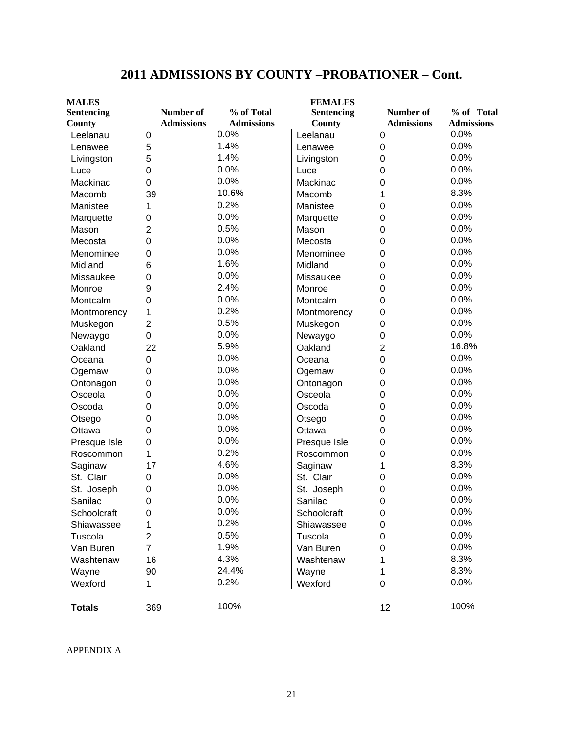| <b>MALES</b>      |                   |                   | <b>FEMALES</b>    |                   |                   |
|-------------------|-------------------|-------------------|-------------------|-------------------|-------------------|
| <b>Sentencing</b> | Number of         | % of Total        | <b>Sentencing</b> | Number of         | % of Total        |
| County            | <b>Admissions</b> | <b>Admissions</b> | <b>County</b>     | <b>Admissions</b> | <b>Admissions</b> |
| Leelanau          | 0                 | 0.0%              | Leelanau          | 0                 | 0.0%              |
| Lenawee           | 5                 | 1.4%              | Lenawee           | 0                 | 0.0%              |
| Livingston        | 5                 | 1.4%              | Livingston        | 0                 | 0.0%              |
| Luce              | $\mathbf 0$       | 0.0%              | Luce              | 0                 | 0.0%              |
| Mackinac          | 0                 | 0.0%              | Mackinac          | 0                 | 0.0%              |
| Macomb            | 39                | 10.6%             | Macomb            | 1                 | 8.3%              |
| Manistee          | 1                 | 0.2%              | Manistee          | 0                 | 0.0%              |
| Marquette         | 0                 | 0.0%              | Marquette         | 0                 | 0.0%              |
| Mason             | 2                 | 0.5%              | Mason             | 0                 | 0.0%              |
| Mecosta           | 0                 | 0.0%              | Mecosta           | 0                 | 0.0%              |
| Menominee         | 0                 | 0.0%              | Menominee         | 0                 | 0.0%              |
| Midland           | 6                 | 1.6%              | Midland           | 0                 | 0.0%              |
| Missaukee         | 0                 | 0.0%              | Missaukee         | 0                 | 0.0%              |
| Monroe            | 9                 | 2.4%              | Monroe            | 0                 | 0.0%              |
| Montcalm          | 0                 | 0.0%              | Montcalm          | 0                 | 0.0%              |
| Montmorency       | 1                 | 0.2%              | Montmorency       | 0                 | 0.0%              |
| Muskegon          | $\overline{2}$    | 0.5%              | Muskegon          | 0                 | 0.0%              |
| Newaygo           | 0                 | 0.0%              | Newaygo           | 0                 | 0.0%              |
| Oakland           | 22                | 5.9%              | Oakland           | $\overline{2}$    | 16.8%             |
| Oceana            | $\mathbf 0$       | 0.0%              | Oceana            | 0                 | 0.0%              |
| Ogemaw            | 0                 | 0.0%              | Ogemaw            | 0                 | 0.0%              |
| Ontonagon         | 0                 | 0.0%              | Ontonagon         | 0                 | 0.0%              |
| Osceola           | 0                 | 0.0%              | Osceola           | 0                 | 0.0%              |
| Oscoda            | 0                 | 0.0%              | Oscoda            | 0                 | 0.0%              |
| Otsego            | 0                 | 0.0%              | Otsego            | 0                 | 0.0%              |
| Ottawa            | 0                 | 0.0%              | Ottawa            | 0                 | 0.0%              |
| Presque Isle      | 0                 | 0.0%              | Presque Isle      | 0                 | 0.0%              |
| Roscommon         | 1                 | 0.2%              | Roscommon         | 0                 | 0.0%              |
| Saginaw           | 17                | 4.6%              | Saginaw           | 1                 | 8.3%              |
| St. Clair         | 0                 | 0.0%              | St. Clair         | 0                 | 0.0%              |
| St. Joseph        | 0                 | 0.0%              | St. Joseph        | 0                 | 0.0%              |
| Sanilac           | 0                 | 0.0%              | Sanilac           | 0                 | 0.0%              |
| Schoolcraft       | 0                 | 0.0%              | Schoolcraft       | 0                 | 0.0%              |
| Shiawassee        | 1                 | 0.2%              | Shiawassee        | 0                 | 0.0%              |
| Tuscola           | $\overline{2}$    | 0.5%              | Tuscola           | 0                 | 0.0%              |
| Van Buren         | $\overline{7}$    | 1.9%              | Van Buren         | 0                 | 0.0%              |
| Washtenaw         | 16                | 4.3%              | Washtenaw         | 1                 | 8.3%              |
| Wayne             | 90                | 24.4%             | Wayne             | 1                 | 8.3%              |
| Wexford           | 1                 | 0.2%              | Wexford           | 0                 | 0.0%              |
|                   |                   |                   |                   |                   |                   |
| <b>Totals</b>     | 369               | 100%              |                   | 12                | 100%              |

# **2011 ADMISSIONS BY COUNTY –PROBATIONER – Cont.**

APPENDIX A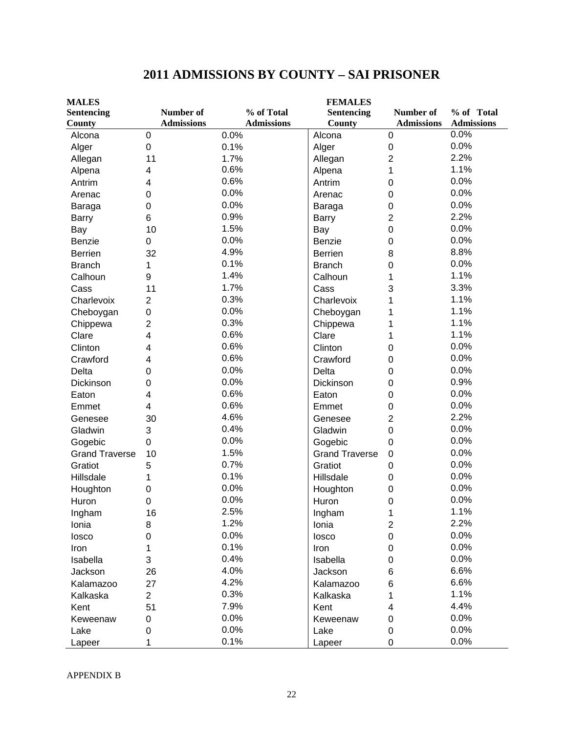| <b>MALES</b>          |                   |                   | <b>FEMALES</b>        |                   |                   |
|-----------------------|-------------------|-------------------|-----------------------|-------------------|-------------------|
| <b>Sentencing</b>     | Number of         | % of Total        | Sentencing            | Number of         | % of Total        |
| County                | <b>Admissions</b> | <b>Admissions</b> | County                | <b>Admissions</b> | <b>Admissions</b> |
| Alcona                | 0                 | 0.0%              | Alcona                | $\boldsymbol{0}$  | 0.0%              |
| Alger                 | 0                 | 0.1%              | Alger                 | $\mathbf 0$       | 0.0%              |
| Allegan               | 11                | 1.7%              | Allegan               | $\overline{2}$    | 2.2%              |
| Alpena                | 4                 | 0.6%              | Alpena                | 1                 | 1.1%              |
| Antrim                | 4                 | 0.6%              | Antrim                | $\mathbf 0$       | 0.0%              |
| Arenac                | 0                 | 0.0%              | Arenac                | $\mathbf 0$       | 0.0%              |
| Baraga                | 0                 | 0.0%              | Baraga                | 0                 | 0.0%              |
| <b>Barry</b>          | 6                 | 0.9%              | <b>Barry</b>          | $\overline{c}$    | 2.2%              |
| Bay                   | 10                | 1.5%              | Bay                   | 0                 | 0.0%              |
| Benzie                | 0                 | 0.0%              | Benzie                | 0                 | 0.0%              |
| Berrien               | 32                | 4.9%              | <b>Berrien</b>        | 8                 | 8.8%              |
| <b>Branch</b>         | 1                 | 0.1%              | <b>Branch</b>         | 0                 | 0.0%              |
| Calhoun               | 9                 | 1.4%              | Calhoun               | 1                 | 1.1%              |
| Cass                  | 11                | 1.7%              | Cass                  | 3                 | 3.3%              |
| Charlevoix            | $\overline{2}$    | 0.3%              | Charlevoix            | 1                 | 1.1%              |
| Cheboygan             | 0                 | 0.0%              | Cheboygan             | 1                 | 1.1%              |
| Chippewa              | $\overline{c}$    | 0.3%              | Chippewa              | 1                 | 1.1%              |
| Clare                 | 4                 | 0.6%              | Clare                 | 1                 | 1.1%              |
| Clinton               | 4                 | 0.6%              | Clinton               | $\Omega$          | 0.0%              |
| Crawford              | 4                 | 0.6%              | Crawford              | 0                 | 0.0%              |
| Delta                 | 0                 | 0.0%              | Delta                 | 0                 | 0.0%              |
| Dickinson             | 0                 | 0.0%              | Dickinson             | $\mathbf 0$       | 0.9%              |
| Eaton                 | 4                 | 0.6%              | Eaton                 | 0                 | 0.0%              |
| Emmet                 | 4                 | 0.6%              | Emmet                 | 0                 | 0.0%              |
| Genesee               | 30                | 4.6%              | Genesee               | $\overline{2}$    | 2.2%              |
| Gladwin               | 3                 | 0.4%              | Gladwin               | $\mathbf 0$       | 0.0%              |
| Gogebic               | 0                 | 0.0%              | Gogebic               | 0                 | 0.0%              |
| <b>Grand Traverse</b> | 10                | 1.5%              | <b>Grand Traverse</b> | 0                 | 0.0%              |
| Gratiot               | 5                 | 0.7%              | Gratiot               | 0                 | 0.0%              |
| Hillsdale             | 1                 | 0.1%              | Hillsdale             | $\mathbf 0$       | 0.0%              |
| Houghton              | 0                 | 0.0%              | Houghton              | 0                 | 0.0%              |
| Huron                 | 0                 | 0.0%              | Huron                 | 0                 | 0.0%              |
| Ingham                | 16                | 2.5%              | Ingham                | 1                 | 1.1%              |
| Ionia                 | 8                 | 1.2%              | Ionia                 | $\overline{2}$    | 2.2%              |
| losco                 | 0                 | 0.0%              | losco                 | 0                 | 0.0%              |
| Iron                  | 1                 | 0.1%              | Iron                  | 0                 | 0.0%              |
| Isabella              | 3                 | 0.4%              | Isabella              | 0                 | 0.0%              |
| Jackson               | 26                | 4.0%              | Jackson               | 6                 | 6.6%              |
| Kalamazoo             | 27                | 4.2%              | Kalamazoo             | 6                 | 6.6%              |
| Kalkaska              | $\overline{2}$    | 0.3%              | Kalkaska              | 1                 | 1.1%              |
| Kent                  | 51                | 7.9%              | Kent                  | 4                 | 4.4%              |
| Keweenaw              | 0                 | 0.0%              | Keweenaw              | 0                 | 0.0%              |
| Lake                  | 0                 | 0.0%              | Lake                  | 0                 | 0.0%              |
| Lapeer                | 1                 | 0.1%              | Lapeer                | 0                 | 0.0%              |

# **2011 ADMISSIONS BY COUNTY – SAI PRISONER**

APPENDIX B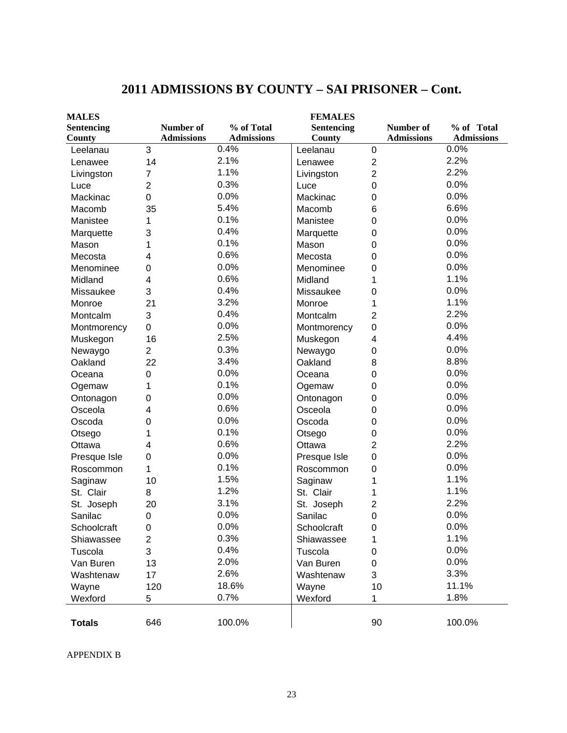| <b>MALES</b>      |                   |                   | <b>FEMALES</b> |                         |                   |                   |
|-------------------|-------------------|-------------------|----------------|-------------------------|-------------------|-------------------|
| <b>Sentencing</b> | Number of         | % of Total        | Sentencing     |                         | Number of         | % of Total        |
| County            | <b>Admissions</b> | <b>Admissions</b> | County         |                         | <b>Admissions</b> | <b>Admissions</b> |
| Leelanau          | 3                 | 0.4%              | Leelanau       | $\boldsymbol{0}$        |                   | 0.0%              |
| Lenawee           | 14                | 2.1%              | Lenawee        | $\mathbf 2$             |                   | 2.2%              |
| Livingston        | 7                 | 1.1%              | Livingston     | $\overline{2}$          |                   | 2.2%              |
| Luce              | $\overline{2}$    | 0.3%              | Luce           | 0                       |                   | 0.0%              |
| Mackinac          | $\mathbf 0$       | 0.0%              | Mackinac       | 0                       |                   | 0.0%              |
| Macomb            | 35                | 5.4%              | Macomb         | 6                       |                   | 6.6%              |
| Manistee          | 1                 | 0.1%              | Manistee       | 0                       |                   | 0.0%              |
| Marquette         | 3                 | 0.4%              | Marquette      | 0                       |                   | 0.0%              |
| Mason             | 1                 | 0.1%              | Mason          | 0                       |                   | 0.0%              |
| Mecosta           | 4                 | 0.6%              | Mecosta        | 0                       |                   | 0.0%              |
| Menominee         | 0                 | 0.0%              | Menominee      | 0                       |                   | 0.0%              |
| Midland           | 4                 | 0.6%              | Midland        | 1                       |                   | 1.1%              |
| Missaukee         | 3                 | 0.4%              | Missaukee      | 0                       |                   | 0.0%              |
| Monroe            | 21                | 3.2%              | Monroe         | 1                       |                   | 1.1%              |
| Montcalm          | 3                 | 0.4%              | Montcalm       | $\mathbf 2$             |                   | 2.2%              |
| Montmorency       | $\overline{0}$    | 0.0%              | Montmorency    | 0                       |                   | 0.0%              |
| Muskegon          | 16                | 2.5%              | Muskegon       | $\overline{\mathbf{4}}$ |                   | 4.4%              |
| Newaygo           | $\overline{2}$    | 0.3%              | Newaygo        | 0                       |                   | 0.0%              |
| Oakland           | 22                | 3.4%              | Oakland        | 8                       |                   | 8.8%              |
| Oceana            | $\mathbf 0$       | 0.0%              | Oceana         | 0                       |                   | 0.0%              |
| Ogemaw            | 1                 | 0.1%              | Ogemaw         | 0                       |                   | 0.0%              |
| Ontonagon         | $\mathbf 0$       | 0.0%              | Ontonagon      | 0                       |                   | 0.0%              |
| Osceola           | 4                 | 0.6%              | Osceola        | 0                       |                   | 0.0%              |
| Oscoda            | 0                 | 0.0%              | Oscoda         | 0                       |                   | 0.0%              |
| Otsego            | 1                 | 0.1%              | Otsego         | 0                       |                   | 0.0%              |
| Ottawa            | 4                 | 0.6%              | Ottawa         | 2                       |                   | 2.2%              |
| Presque Isle      | $\mathbf 0$       | 0.0%              | Presque Isle   | $\mathbf 0$             |                   | 0.0%              |
| Roscommon         | 1                 | 0.1%              | Roscommon      | 0                       |                   | 0.0%              |
| Saginaw           | 10                | 1.5%              | Saginaw        | 1                       |                   | 1.1%              |
| St. Clair         | 8                 | 1.2%              | St. Clair      | 1                       |                   | 1.1%              |
| St. Joseph        | 20                | 3.1%              | St. Joseph     | $\overline{c}$          |                   | 2.2%              |
| Sanilac           | $\mathbf 0$       | 0.0%              | Sanilac        | 0                       |                   | 0.0%              |
| Schoolcraft       | 0                 | 0.0%              | Schoolcraft    | 0                       |                   | 0.0%              |
| Shiawassee        | 2                 | 0.3%              | Shiawassee     | 1                       |                   | 1.1%              |
| Tuscola           | 3                 | 0.4%              | Tuscola        | 0                       |                   | 0.0%              |
| Van Buren         | 13                | 2.0%              | Van Buren      | 0                       |                   | 0.0%              |
| Washtenaw         | 17                | 2.6%              | Washtenaw      | 3                       |                   | 3.3%              |
| Wayne             | 120               | 18.6%             | Wayne          | 10                      |                   | 11.1%             |
| Wexford           | 5                 | 0.7%              | Wexford        | 1                       |                   | 1.8%              |
|                   |                   |                   |                |                         |                   |                   |
| <b>Totals</b>     | 646               | 100.0%            |                | 90                      |                   | 100.0%            |

# **2011 ADMISSIONS BY COUNTY – SAI PRISONER – Cont.**

APPENDIX B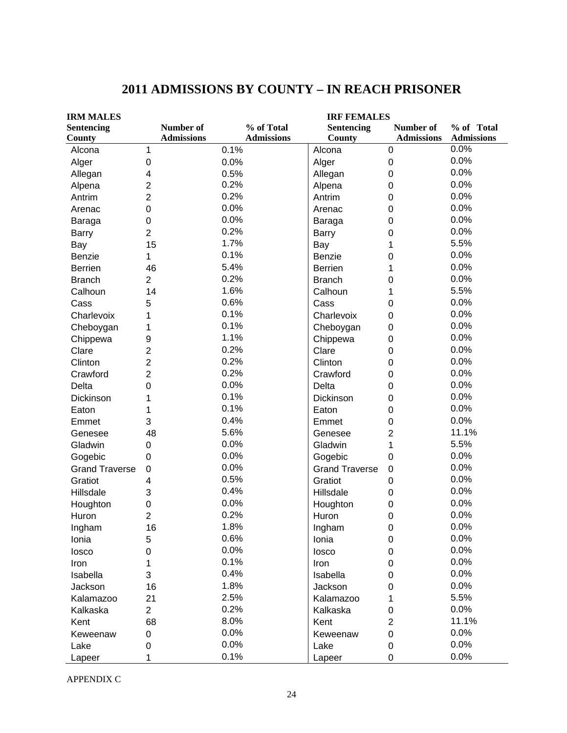| <b>IRM MALES</b>      |                   |                   | <b>IRF FEMALES</b>    |                   |                   |  |  |
|-----------------------|-------------------|-------------------|-----------------------|-------------------|-------------------|--|--|
| <b>Sentencing</b>     | Number of         | % of Total        | <b>Sentencing</b>     | Number of         | % of Total        |  |  |
| County                | <b>Admissions</b> | <b>Admissions</b> | County                | <b>Admissions</b> | <b>Admissions</b> |  |  |
| Alcona                | 1                 | 0.1%              | Alcona                | $\boldsymbol{0}$  | 0.0%              |  |  |
| Alger                 | 0                 | 0.0%              | Alger                 | $\boldsymbol{0}$  | 0.0%              |  |  |
| Allegan               | 4                 | 0.5%              | Allegan               | 0                 | 0.0%              |  |  |
| Alpena                | $\overline{2}$    | 0.2%              | Alpena                | 0                 | 0.0%              |  |  |
| Antrim                | $\overline{2}$    | 0.2%              | Antrim                | 0                 | 0.0%              |  |  |
| Arenac                | $\mathbf 0$       | 0.0%              | Arenac                | 0                 | 0.0%              |  |  |
| Baraga                | $\boldsymbol{0}$  | 0.0%              | Baraga                | 0                 | 0.0%              |  |  |
| <b>Barry</b>          | $\overline{2}$    | 0.2%              | <b>Barry</b>          | 0                 | 0.0%              |  |  |
| Bay                   | 15                | 1.7%              | Bay                   | 1                 | 5.5%              |  |  |
| Benzie                | 1                 | 0.1%              | Benzie                | 0                 | 0.0%              |  |  |
| <b>Berrien</b>        | 46                | 5.4%              | <b>Berrien</b>        | 1                 | 0.0%              |  |  |
| <b>Branch</b>         | $\overline{2}$    | 0.2%              | <b>Branch</b>         | 0                 | 0.0%              |  |  |
| Calhoun               | 14                | 1.6%              | Calhoun               | 1                 | 5.5%              |  |  |
| Cass                  | 5                 | 0.6%              | Cass                  | 0                 | 0.0%              |  |  |
| Charlevoix            | 1                 | 0.1%              | Charlevoix            | 0                 | 0.0%              |  |  |
| Cheboygan             | 1                 | 0.1%              | Cheboygan             | 0                 | 0.0%              |  |  |
| Chippewa              | 9                 | 1.1%              | Chippewa              | 0                 | 0.0%              |  |  |
| Clare                 | $\overline{2}$    | 0.2%              | Clare                 | 0                 | 0.0%              |  |  |
| Clinton               | $\overline{2}$    | 0.2%              | Clinton               | 0                 | 0.0%              |  |  |
| Crawford              | $\overline{2}$    | 0.2%              | Crawford              | 0                 | 0.0%              |  |  |
| Delta                 | $\overline{0}$    | 0.0%              | Delta                 | 0                 | 0.0%              |  |  |
| Dickinson             | 1                 | 0.1%              | Dickinson             | 0                 | 0.0%              |  |  |
| Eaton                 | 1                 | 0.1%              | Eaton                 | 0                 | 0.0%              |  |  |
| Emmet                 | 3                 | 0.4%              | Emmet                 | 0                 | 0.0%              |  |  |
| Genesee               | 48                | 5.6%              | Genesee               | $\overline{2}$    | 11.1%             |  |  |
| Gladwin               | 0                 | 0.0%              | Gladwin               | 1                 | 5.5%              |  |  |
| Gogebic               | 0                 | 0.0%              | Gogebic               | 0                 | 0.0%              |  |  |
| <b>Grand Traverse</b> | 0                 | 0.0%              | <b>Grand Traverse</b> | $\pmb{0}$         | 0.0%              |  |  |
| Gratiot               | 4                 | 0.5%              | Gratiot               | 0                 | 0.0%              |  |  |
| Hillsdale             | 3                 | 0.4%              | Hillsdale             | 0                 | 0.0%              |  |  |
| Houghton              | 0                 | 0.0%              | Houghton              | 0                 | 0.0%              |  |  |
| Huron                 | 2                 | 0.2%              | Huron                 | 0                 | 0.0%              |  |  |
| Ingham                | 16                | 1.8%              | Ingham                | 0                 | 0.0%              |  |  |
| Ionia                 | 5                 | 0.6%              | Ionia                 | 0                 | 0.0%              |  |  |
| losco                 | 0                 | 0.0%              | losco                 | $\Omega$          | 0.0%              |  |  |
| Iron                  | 1                 | 0.1%              | Iron                  | 0                 | 0.0%              |  |  |
| Isabella              | 3                 | 0.4%              | Isabella              | 0                 | 0.0%              |  |  |
| Jackson               | 16                | 1.8%              | Jackson               | 0                 | 0.0%              |  |  |
| Kalamazoo             | 21                | 2.5%              | Kalamazoo             | 1                 | 5.5%              |  |  |
| Kalkaska              | $\overline{2}$    | 0.2%              | Kalkaska              | 0                 | 0.0%              |  |  |
| Kent                  | 68                | 8.0%              | Kent                  | $\overline{2}$    | 11.1%             |  |  |
| Keweenaw              | 0                 | 0.0%              | Keweenaw              | 0                 | 0.0%              |  |  |
| Lake                  | 0                 | 0.0%              | Lake                  | 0                 | 0.0%              |  |  |
| Lapeer                | 1                 | 0.1%              | Lapeer                | 0                 | 0.0%              |  |  |

# **2011 ADMISSIONS BY COUNTY – IN REACH PRISONER**

APPENDIX C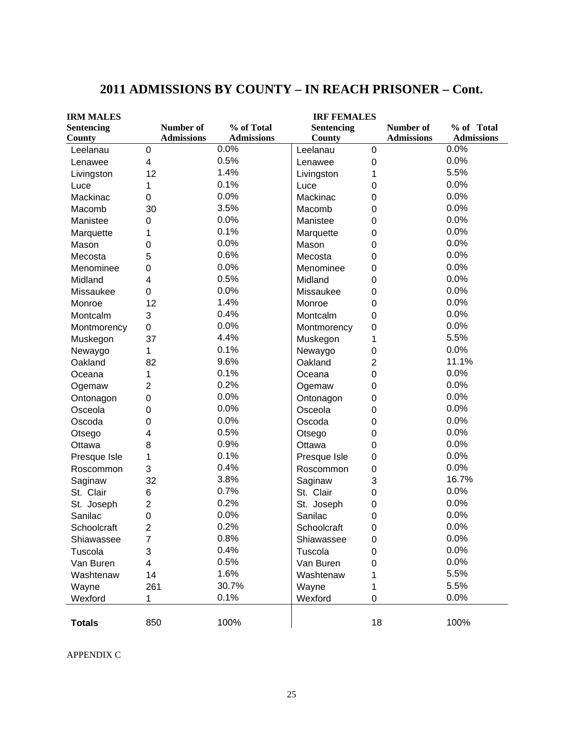| <b>IRM MALES</b>  |                   | <b>IRF FEMALES</b> |                   |                  |                   |                   |  |  |
|-------------------|-------------------|--------------------|-------------------|------------------|-------------------|-------------------|--|--|
| <b>Sentencing</b> | Number of         | % of Total         | <b>Sentencing</b> |                  | Number of         | % of Total        |  |  |
| County            | <b>Admissions</b> | <b>Admissions</b>  | <b>County</b>     |                  | <b>Admissions</b> | <b>Admissions</b> |  |  |
| Leelanau          | 0                 | 0.0%               | Leelanau          | $\boldsymbol{0}$ |                   | 0.0%              |  |  |
| Lenawee           | 4                 | 0.5%               | Lenawee           | $\boldsymbol{0}$ |                   | 0.0%              |  |  |
| Livingston        | 12                | 1.4%               | Livingston        | 1                |                   | 5.5%              |  |  |
| Luce              | 1                 | 0.1%               | Luce              | $\mathbf 0$      |                   | 0.0%              |  |  |
| Mackinac          | $\mathbf 0$       | 0.0%               | Mackinac          | $\mathbf 0$      |                   | 0.0%              |  |  |
| Macomb            | 30                | 3.5%               | Macomb            | $\mathbf 0$      |                   | 0.0%              |  |  |
| Manistee          | 0                 | 0.0%               | Manistee          | $\mathbf 0$      |                   | 0.0%              |  |  |
| Marquette         | 1                 | 0.1%               | Marquette         | $\boldsymbol{0}$ |                   | 0.0%              |  |  |
| Mason             | 0                 | 0.0%               | Mason             | $\boldsymbol{0}$ |                   | 0.0%              |  |  |
| Mecosta           | 5                 | 0.6%               | Mecosta           | $\mathbf 0$      |                   | 0.0%              |  |  |
| Menominee         | 0                 | 0.0%               | Menominee         | $\mathbf 0$      |                   | 0.0%              |  |  |
| Midland           | 4                 | 0.5%               | Midland           | $\mathbf 0$      |                   | 0.0%              |  |  |
| Missaukee         | 0                 | 0.0%               | Missaukee         | $\mathbf 0$      |                   | 0.0%              |  |  |
| Monroe            | 12                | 1.4%               | Monroe            | $\mathbf 0$      |                   | 0.0%              |  |  |
| Montcalm          | 3                 | 0.4%               | Montcalm          | 0                |                   | 0.0%              |  |  |
| Montmorency       | $\mathbf 0$       | 0.0%               | Montmorency       | $\mathbf 0$      |                   | 0.0%              |  |  |
| Muskegon          | 37                | 4.4%               | Muskegon          | 1                |                   | 5.5%              |  |  |
| Newaygo           | 1                 | 0.1%               | Newaygo           | $\boldsymbol{0}$ |                   | 0.0%              |  |  |
| Oakland           | 82                | 9.6%               | Oakland           | $\overline{2}$   |                   | 11.1%             |  |  |
| Oceana            | 1                 | 0.1%               | Oceana            | $\mathbf 0$      |                   | 0.0%              |  |  |
| Ogemaw            | 2                 | 0.2%               | Ogemaw            | $\mathbf 0$      |                   | 0.0%              |  |  |
| Ontonagon         | 0                 | 0.0%               | Ontonagon         | $\boldsymbol{0}$ |                   | 0.0%              |  |  |
| Osceola           | 0                 | 0.0%               | Osceola           | 0                |                   | 0.0%              |  |  |
| Oscoda            | 0                 | 0.0%               | Oscoda            | $\boldsymbol{0}$ |                   | 0.0%              |  |  |
| Otsego            | 4                 | 0.5%               | Otsego            | $\boldsymbol{0}$ |                   | 0.0%              |  |  |
| Ottawa            | 8                 | 0.9%               | Ottawa            | $\mathbf 0$      |                   | 0.0%              |  |  |
| Presque Isle      | 1                 | 0.1%               | Presque Isle      | $\mathbf 0$      |                   | 0.0%              |  |  |
| Roscommon         | 3                 | 0.4%               | Roscommon         | $\mathbf 0$      |                   | 0.0%              |  |  |
| Saginaw           | 32                | 3.8%               | Saginaw           | 3                |                   | 16.7%             |  |  |
| St. Clair         | 6                 | 0.7%               | St. Clair         | $\mathbf 0$      |                   | 0.0%              |  |  |
| St. Joseph        | 2                 | 0.2%               | St. Joseph        | 0                |                   | 0.0%              |  |  |
| Sanilac           | 0                 | 0.0%               | Sanilac           | 0                |                   | 0.0%              |  |  |
| Schoolcraft       | 2                 | 0.2%               | Schoolcraft       | 0                |                   | 0.0%              |  |  |
| Shiawassee        | 7                 | 0.8%               | Shiawassee        | $\boldsymbol{0}$ |                   | 0.0%              |  |  |
| Tuscola           | 3                 | 0.4%               | Tuscola           | 0                |                   | 0.0%              |  |  |
| Van Buren         | 4                 | 0.5%               | Van Buren         | 0                |                   | 0.0%              |  |  |
| Washtenaw         | 14                | 1.6%               | Washtenaw         |                  |                   | 5.5%              |  |  |
| Wayne             | 261               | 30.7%              | Wayne             | 1                |                   | 5.5%              |  |  |
| Wexford           | 1                 | 0.1%               | Wexford           | 0                |                   | 0.0%              |  |  |
|                   |                   |                    |                   |                  |                   |                   |  |  |
| <b>Totals</b>     | 850               | 100%               |                   | 18               |                   | 100%              |  |  |

# **2011 ADMISSIONS BY COUNTY – IN REACH PRISONER – Cont.**

APPENDIX C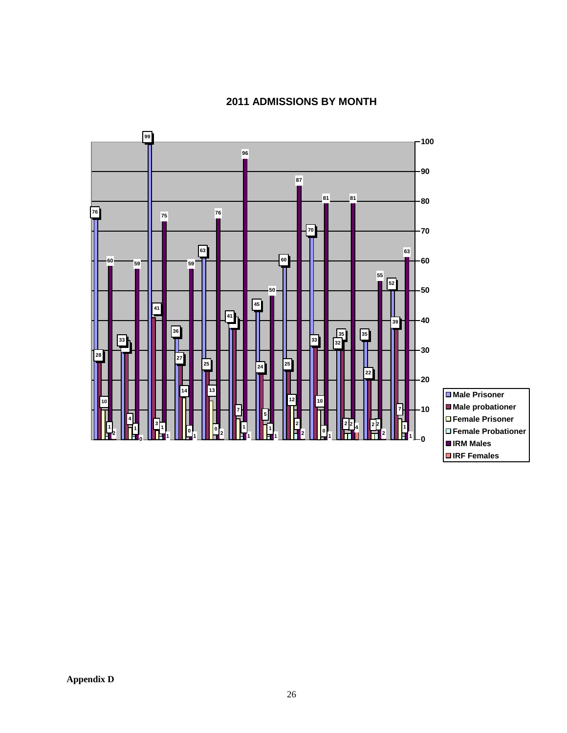



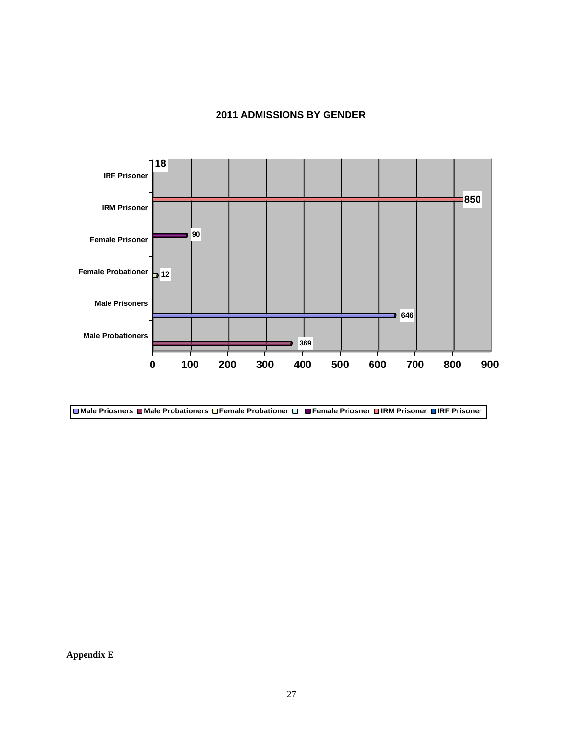#### **2011 ADMISSIONS BY GENDER**





**Appendix E**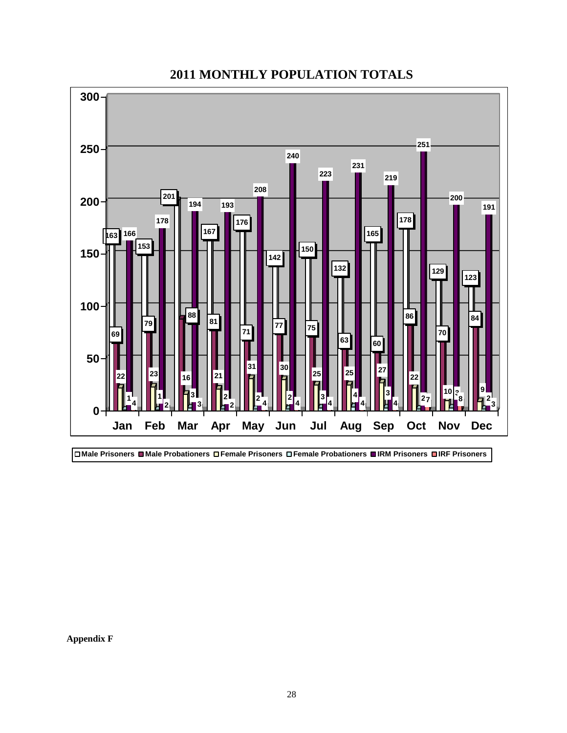

# **2011 MONTHLY POPULATION TOTALS**

**Appendix F**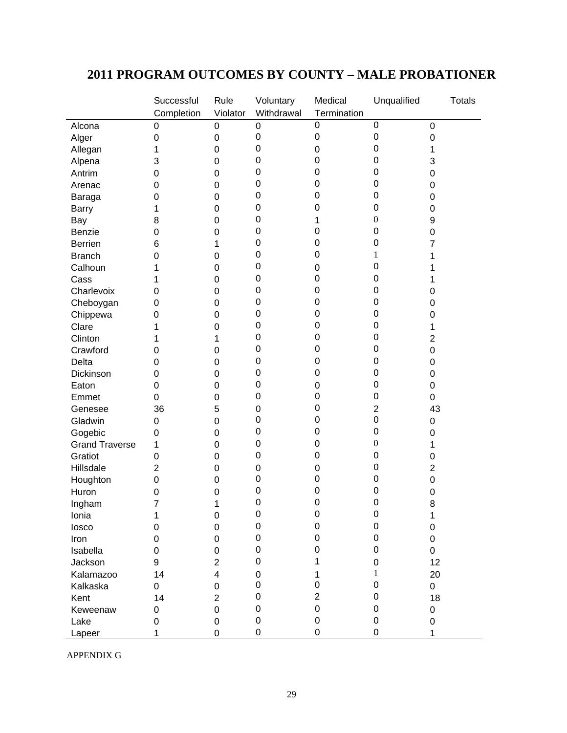# **2011 PROGRAM OUTCOMES BY COUNTY – MALE PROBATIONER**

|                       | Successful     | Rule           | Voluntary   | Medical          | Unqualified      | <b>Totals</b> |
|-----------------------|----------------|----------------|-------------|------------------|------------------|---------------|
|                       | Completion     | Violator       | Withdrawal  | Termination      |                  |               |
| Alcona                | $\mathbf 0$    | 0              | $\mathbf 0$ | $\mathbf 0$      | $\mathbf 0$      | 0             |
| Alger                 | 0              | 0              | $\mathbf 0$ | $\mathbf 0$      | $\boldsymbol{0}$ | 0             |
| Allegan               | 1              | $\mathbf 0$    | 0           | 0                | 0                | 1             |
| Alpena                | 3              | 0              | $\mathbf 0$ | 0                | 0                | 3             |
| Antrim                | 0              | 0              | $\mathbf 0$ | 0                | 0                | 0             |
| Arenac                | 0              | 0              | $\mathbf 0$ | 0                | 0                | 0             |
| Baraga                | 0              | $\mathbf 0$    | 0           | 0                | 0                | 0             |
| <b>Barry</b>          | 1              | $\mathbf 0$    | 0           | 0                | 0                | 0             |
| Bay                   | 8              | $\mathbf 0$    | 0           | 1                | $\boldsymbol{0}$ | 9             |
| <b>Benzie</b>         | 0              | $\mathbf 0$    | 0           | 0                | 0                | 0             |
| <b>Berrien</b>        | 6              | 1              | 0           | 0                | 0                | 7             |
| <b>Branch</b>         | 0              | 0              | 0           | 0                | 1                | 1             |
| Calhoun               | 1              | 0              | $\mathbf 0$ | 0                | 0                |               |
| Cass                  | 1              | 0              | $\mathbf 0$ | 0                | 0                | 1             |
| Charlevoix            | 0              | 0              | 0           | 0                | 0                | 0             |
| Cheboygan             | 0              | $\mathbf 0$    | $\mathbf 0$ | 0                | 0                | 0             |
| Chippewa              | 0              | $\mathbf 0$    | 0           | 0                | 0                | 0             |
| Clare                 |                | 0              | 0           | 0                | 0                | 1             |
| Clinton               |                | 1              | 0           | 0                | 0                | 2             |
| Crawford              | 0              | 0              | $\mathbf 0$ | 0                | 0                | 0             |
| Delta                 | 0              | 0              | $\mathbf 0$ | 0                | 0                | 0             |
| Dickinson             | 0              | 0              | $\mathbf 0$ | 0                | 0                | 0             |
| Eaton                 | 0              | $\mathbf 0$    | $\mathbf 0$ | 0                | 0                | 0             |
| Emmet                 | $\overline{0}$ | $\mathbf 0$    | $\mathbf 0$ | 0                | 0                | 0             |
| Genesee               | 36             | 5              | 0           | 0                | $\mathbf 2$      | 43            |
| Gladwin               | 0              | $\mathbf 0$    | 0           | 0                | 0                | 0             |
| Gogebic               | 0              | 0              | 0           | 0                | 0                | 0             |
| <b>Grand Traverse</b> | 1              | 0              | $\mathbf 0$ | 0                | $\boldsymbol{0}$ | 1             |
| Gratiot               | $\mathbf 0$    | 0              | $\mathbf 0$ | 0                | 0                | 0             |
| Hillsdale             | $\overline{2}$ | 0              | $\mathbf 0$ | 0                | 0                | 2             |
| Houghton              | $\mathbf 0$    | $\mathbf 0$    | 0           | 0                | 0                | 0             |
| Huron                 | $\mathbf 0$    | 0              | $\mathbf 0$ | 0                | 0                | 0             |
| Ingham                | 7              | 1              | $\mathbf 0$ | $\mathbf 0$      | $\mathbf 0$      | 8             |
|                       |                | $\pmb{0}$      | $\pmb{0}$   | $\mathbf 0$      | $\pmb{0}$        |               |
| Ionia                 |                | $\mathbf 0$    | $\mathbf 0$ | $\mathbf 0$      | 0                | 1<br>0        |
| losco                 | 0              |                | $\pmb{0}$   | 0                | 0                |               |
| Iron                  | 0              | 0              | 0           | 0                | 0                | 0             |
| Isabella              | 0              | 0              | $\Omega$    |                  |                  | 0             |
| Jackson               | 9              | $\overline{2}$ |             | 1                | 0                | 12            |
| Kalamazoo             | 14             | 4              | $\Omega$    | 1                | 1                | 20            |
| Kalkaska              | 0              | 0              | $\Omega$    | 0                | $\Omega$         | 0             |
| Kent                  | 14             | $\overline{2}$ | $\Omega$    | $\overline{2}$   | 0                | 18            |
| Keweenaw              | 0              | $\mathbf 0$    | 0           | $\boldsymbol{0}$ | 0                | 0             |
| Lake                  | 0              | 0              | 0           | 0                | 0                | 0             |
| Lapeer                | 1              | $\overline{0}$ | 0           | 0                | 0                | 1             |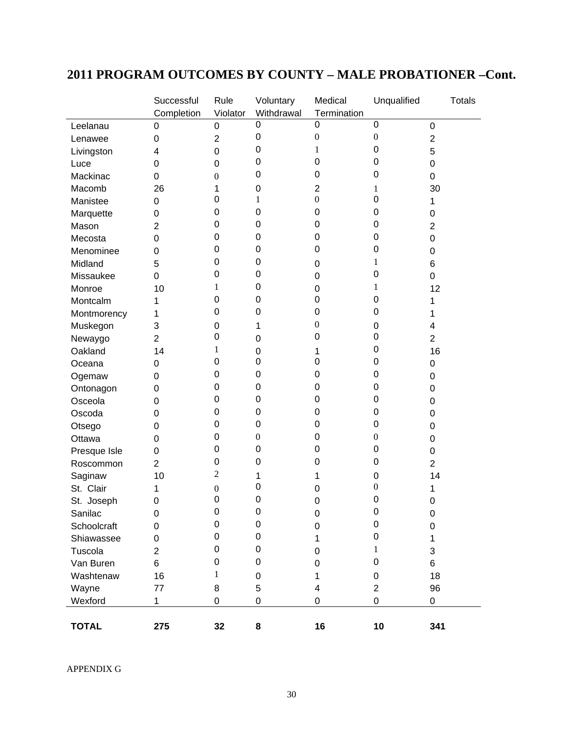# **2011 PROGRAM OUTCOMES BY COUNTY – MALE PROBATIONER –Cont.**

|              | Successful     | Rule             | Voluntary        | Medical          | Unqualified      | <b>Totals</b>  |
|--------------|----------------|------------------|------------------|------------------|------------------|----------------|
|              | Completion     | Violator         | Withdrawal       | Termination      |                  |                |
| Leelanau     | 0              | 0                | $\overline{0}$   | 0                | $\mathbf 0$      | 0              |
| Lenawee      | 0              | $\overline{2}$   | 0                | $\boldsymbol{0}$ | $\boldsymbol{0}$ | 2              |
| Livingston   | 4              | 0                | 0                | 1                | 0                | 5              |
| Luce         | 0              | 0                | 0                | 0                | 0                | 0              |
| Mackinac     | 0              | 0                | 0                | 0                | 0                | 0              |
| Macomb       | 26             | 1                | 0                | 2                | 1                | 30             |
| Manistee     | 0              | 0                | 1                | $\boldsymbol{0}$ | 0                | 1              |
| Marquette    | 0              | 0                | 0                | 0                | 0                | 0              |
| Mason        | 2              | 0                | 0                | 0                | 0                | 2              |
| Mecosta      | 0              | 0                | 0                | 0                | 0                | 0              |
| Menominee    | 0              | 0                | 0                | 0                | 0                | 0              |
| Midland      | 5              | 0                | 0                | 0                | 1                | 6              |
| Missaukee    | 0              | 0                | 0                | 0                | 0                | 0              |
| Monroe       | 10             | 1                | 0                | 0                | 1                | 12             |
| Montcalm     | 1              | 0                | 0                | 0                | 0                | 1              |
| Montmorency  | 1              | 0                | 0                | 0                | 0                | 1              |
| Muskegon     | 3              | 0                | 1                | 0                | 0                | 4              |
| Newaygo      | $\overline{2}$ | 0                | 0                | 0                | 0                | $\overline{2}$ |
| Oakland      | 14             | 1                | 0                | 1                | 0                | 16             |
| Oceana       | 0              | 0                | 0                | 0                | 0                | 0              |
| Ogemaw       | 0              | 0                | 0                | 0                | 0                | 0              |
| Ontonagon    | 0              | 0                | 0                | 0                | 0                | 0              |
| Osceola      | 0              | 0                | 0                | 0                | 0                | 0              |
| Oscoda       | 0              | 0                | 0                | 0                | 0                | 0              |
| Otsego       | 0              | 0                | 0                | 0                | 0                | 0              |
| Ottawa       | 0              | 0                | $\boldsymbol{0}$ | 0                | $\boldsymbol{0}$ | 0              |
| Presque Isle | 0              | 0                | 0                | 0                | 0                | 0              |
| Roscommon    | $\overline{2}$ | 0                | 0                | 0                | 0                | $\overline{2}$ |
| Saginaw      | 10             | 2                | 1                | 1                | 0                | 14             |
| St. Clair    | 1              | $\boldsymbol{0}$ | 0                | 0                | $\boldsymbol{0}$ | 1              |
| St. Joseph   | 0              | 0                | $\mathbf 0$      | 0                | 0                | 0              |
| Sanilac      | 0              | 0                | 0                | 0                | 0                | 0              |
| Schoolcraft  | 0              | 0                | $\mathbf 0$      | 0                | 0                | 0              |
| Shiawassee   | 0              | 0                | 0                | 1                | 0                | 1              |
| Tuscola      | $\overline{2}$ | 0                | 0                | 0                | 1                | 3              |
| Van Buren    | 6              | 0                | 0                | 0                | 0                | 6              |
| Washtenaw    | 16             | 1                | 0                | 1                | 0                | 18             |
| Wayne        | 77             | 8                | 5                | 4                | $\overline{2}$   | 96             |
| Wexford      | $\mathbf{1}$   | 0                | 0                | 0                | 0                | 0              |
|              |                |                  |                  |                  |                  |                |
| <b>TOTAL</b> | 275            | 32               | 8                | 16               | 10               | 341            |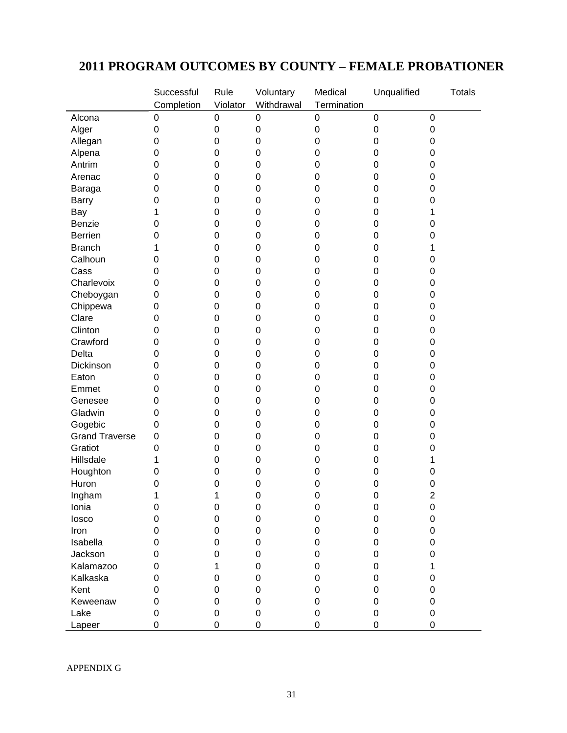# **2011 PROGRAM OUTCOMES BY COUNTY – FEMALE PROBATIONER**

|                                  | Successful       | Rule             | Voluntary        | Medical     | Unqualified      | <b>Totals</b>  |
|----------------------------------|------------------|------------------|------------------|-------------|------------------|----------------|
|                                  | Completion       | Violator         | Withdrawal       | Termination |                  |                |
| Alcona                           | 0                | $\pmb{0}$        | $\mathbf 0$      | 0           | $\boldsymbol{0}$ | $\mathsf 0$    |
| Alger                            | 0                | $\mathbf 0$      | $\boldsymbol{0}$ | 0           | 0                | 0              |
| Allegan                          | $\mathbf 0$      | 0                | $\mathbf 0$      | 0           | $\mathbf 0$      | 0              |
| Alpena                           | $\mathbf 0$      | 0                | $\mathbf 0$      | 0           | 0                | 0              |
| Antrim                           | $\mathbf 0$      | 0                | $\mathbf 0$      | 0           | 0                | 0              |
| Arenac                           | 0                | 0                | $\mathbf 0$      | 0           | 0                | 0              |
| Baraga                           | $\mathbf 0$      | 0                | $\mathbf 0$      | 0           | 0                | 0              |
| <b>Barry</b>                     | 0                | $\mathbf 0$      | $\mathbf 0$      | 0           | $\mathbf 0$      | 0              |
| Bay                              | 1                | $\mathbf 0$      | $\mathbf 0$      | 0           | 0                | 1              |
| Benzie                           | 0                | 0                | $\boldsymbol{0}$ | 0           | 0                | 0              |
| <b>Berrien</b>                   | 0                | 0                | $\mathbf 0$      | 0           | 0                | 0              |
| <b>Branch</b>                    | 1                | 0                | $\mathbf 0$      | 0           | 0                | 1              |
| Calhoun                          | $\mathbf 0$      | 0                | $\mathbf 0$      | 0           | 0                | 0              |
| Cass                             | $\mathbf 0$      | 0                | $\mathbf 0$      | 0           | 0                | 0              |
| Charlevoix                       | $\mathbf 0$      | 0                | $\mathbf 0$      | 0           | 0                | 0              |
| Cheboygan                        | $\mathbf 0$      | 0                | $\mathbf 0$      | 0           | $\mathbf 0$      | 0              |
| Chippewa                         | $\mathbf 0$      | $\mathbf 0$      | $\mathbf 0$      | $\mathbf 0$ | 0                | 0              |
| Clare                            | $\mathbf 0$      | 0                | $\boldsymbol{0}$ | 0           | 0                | 0              |
| Clinton                          | 0                | 0                | $\mathbf 0$      | 0           | 0                | 0              |
| Crawford                         | $\mathbf 0$      | 0                | $\mathbf 0$      | 0           | 0                | 0              |
| Delta                            | $\mathbf 0$      | 0                | $\mathbf 0$      | 0           | 0                | 0              |
| Dickinson                        | $\mathbf 0$      | 0                | $\mathbf 0$      | 0           | 0                | 0              |
| Eaton                            | $\mathbf 0$      | 0                | $\mathbf 0$      | 0           | $\mathbf 0$      | 0              |
| Emmet                            | 0                | 0                | $\mathbf 0$      | 0           | $\mathbf 0$      | 0              |
| Genesee                          | $\mathbf 0$      | $\mathbf 0$      | $\mathbf 0$      | 0           | 0                | 0              |
| Gladwin                          | $\mathbf 0$      | 0                | $\boldsymbol{0}$ | 0           |                  |                |
|                                  | 0                | 0                | $\mathbf 0$      | 0           | 0<br>0           | 0              |
| Gogebic<br><b>Grand Traverse</b> | 0                |                  |                  |             |                  | 0              |
|                                  |                  | 0                | $\mathbf 0$      | 0           | 0                | 0              |
| Gratiot                          | $\mathbf 0$      | 0                | $\mathbf 0$      | 0           | 0                | 0              |
| Hillsdale                        | 1                | 0                | $\mathbf 0$      | 0           | 0                | 1              |
| Houghton                         | $\boldsymbol{0}$ | 0                | $\mathbf 0$      | 0           | 0                | 0              |
| Huron                            | $\mathbf 0$      | 0                | $\mathbf 0$      | 0           | $\mathbf 0$      | 0              |
| Ingham                           | 1                | 1                | $\mathbf 0$      | $\mathbf 0$ | $\mathbf 0$      | $\overline{2}$ |
| Ionia                            | $\pmb{0}$        | $\pmb{0}$        | $\boldsymbol{0}$ | 0           | $\mathbf 0$      | 0              |
| losco                            | 0                | $\boldsymbol{0}$ | $\mathsf 0$      | $\mathbf 0$ | 0                | $\mathsf 0$    |
| Iron                             | 0                | 0                | 0                | 0           | 0                | 0              |
| Isabella                         | 0                | 0                | 0                | 0           | 0                | 0              |
| Jackson                          | 0                | 0                | $\mathbf 0$      | 0           | 0                | 0              |
| Kalamazoo                        | 0                | 1                | 0                | 0           | $\Omega$         | 1              |
| Kalkaska                         | 0                | 0                | $\mathbf 0$      | 0           | 0                | 0              |
| Kent                             | 0                | 0                | 0                | 0           | 0                | 0              |
| Keweenaw                         | 0                | 0                | $\boldsymbol{0}$ | 0           | 0                | 0              |
| Lake                             | 0                | 0                | $\boldsymbol{0}$ | 0           | 0                | 0              |
| Lapeer                           | 0                | 0                | 0                | $\mathsf 0$ | 0                | 0              |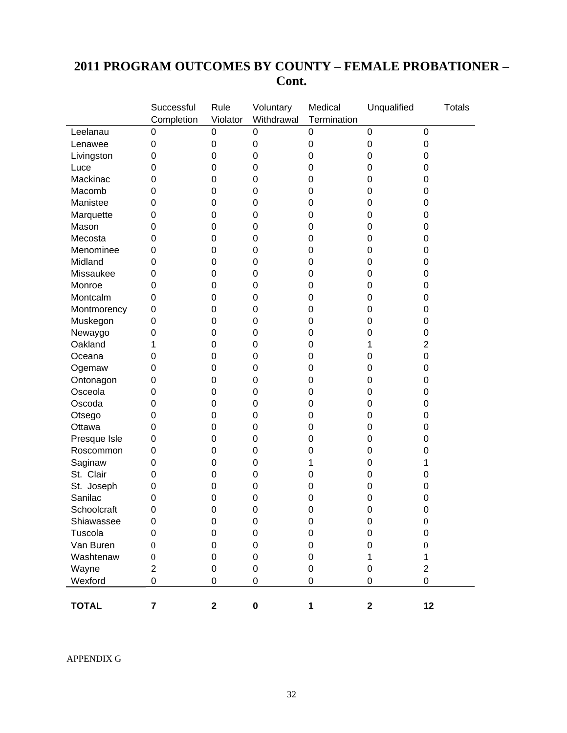# **2011 PROGRAM OUTCOMES BY COUNTY – FEMALE PROBATIONER – Cont.**

|              | Successful              | Rule             | Voluntary   | Medical          | Unqualified      | <b>Totals</b>    |
|--------------|-------------------------|------------------|-------------|------------------|------------------|------------------|
|              | Completion              | Violator         | Withdrawal  | Termination      |                  |                  |
| Leelanau     | 0                       | 0                | 0           | $\boldsymbol{0}$ | $\boldsymbol{0}$ | $\pmb{0}$        |
| Lenawee      | 0                       | $\boldsymbol{0}$ | 0           | $\mathbf 0$      | 0                | 0                |
| Livingston   | 0                       | 0                | $\mathbf 0$ | 0                | 0                | 0                |
| Luce         | 0                       | 0                | $\mathbf 0$ | $\mathbf 0$      | 0                | 0                |
| Mackinac     | 0                       | 0                | $\mathbf 0$ | $\mathbf 0$      | 0                | 0                |
| Macomb       | 0                       | 0                | 0           | $\mathbf 0$      | 0                | 0                |
| Manistee     | 0                       | $\mathbf 0$      | $\mathbf 0$ | $\mathbf 0$      | 0                | 0                |
| Marquette    | 0                       | $\mathbf 0$      | 0           | $\mathbf 0$      | 0                | 0                |
| Mason        | 0                       | 0                | 0           | $\mathbf 0$      | 0                | 0                |
| Mecosta      | 0                       | 0                | 0           | 0                | 0                | 0                |
| Menominee    | 0                       | 0                | 0           | 0                | 0                | 0                |
| Midland      | 0                       | 0                | 0           | $\mathbf 0$      | 0                | 0                |
| Missaukee    | 0                       | 0                | 0           | $\mathbf 0$      | 0                | 0                |
| Monroe       | 0                       | 0                | $\mathbf 0$ | $\mathbf 0$      | 0                | 0                |
| Montcalm     | 0                       | 0                | $\mathbf 0$ | $\mathbf 0$      | 0                | 0                |
| Montmorency  | 0                       | 0                | $\mathbf 0$ | $\mathbf 0$      | 0                | 0                |
| Muskegon     | 0                       | 0                | 0           | $\mathbf 0$      | 0                | 0                |
| Newaygo      | 0                       | 0                | 0           | $\mathbf 0$      | 0                | 0                |
| Oakland      | 1                       | 0                | 0           | 0                | 1                | $\overline{2}$   |
| Oceana       | 0                       | 0                | 0           | $\mathbf 0$      | 0                | 0                |
| Ogemaw       | 0                       | 0                | 0           | $\mathbf 0$      | 0                | 0                |
| Ontonagon    | 0                       | 0                | 0           | $\mathbf 0$      | 0                | 0                |
| Osceola      | 0                       | $\mathbf 0$      | $\mathbf 0$ | $\mathbf 0$      | 0                | 0                |
| Oscoda       | 0                       | $\mathbf 0$      | $\mathbf 0$ | $\mathbf 0$      | 0                | 0                |
| Otsego       | 0                       | 0                | 0           | $\mathbf 0$      | 0                | 0                |
| Ottawa       | 0                       | 0                | 0           | $\mathbf 0$      | 0                | 0                |
| Presque Isle | 0                       | 0                | 0           | 0                | 0                | 0                |
| Roscommon    | 0                       | 0                | 0           | $\mathbf 0$      | 0                | 0                |
| Saginaw      | 0                       | 0                | 0           | 1                | 0                | 1                |
| St. Clair    | 0                       | 0                | $\mathbf 0$ | $\mathbf 0$      | 0                | 0                |
| St. Joseph   | 0                       | 0                | $\mathbf 0$ | $\mathbf 0$      | 0                | 0                |
| Sanilac      | 0                       | 0                | 0           | 0                | 0                | 0                |
| Schoolcraft  | $\mathbf 0$             | $\mathbf 0$      | $\mathbf 0$ | 0                | 0                | 0                |
| Shiawassee   | 0                       | 0                | 0           | $\mathbf 0$      | $\mathbf 0$      | $\boldsymbol{0}$ |
| Tuscola      | 0                       | $\Omega$         | 0           | $\Omega$         | 0                | 0                |
| Van Buren    | $\theta$                | 0                | 0           | 0                | 0                | $\theta$         |
| Washtenaw    | $\boldsymbol{0}$        | 0                | 0           | 0                | 1                | 1                |
| Wayne        | $\overline{2}$          | 0                | 0           | $\boldsymbol{0}$ | 0                | $\overline{2}$   |
| Wexford      | 0                       | 0                | 0           | $\pmb{0}$        | $\mathbf 0$      | 0                |
|              |                         |                  |             |                  |                  |                  |
| <b>TOTAL</b> | $\overline{\mathbf{7}}$ | $\mathbf 2$      | $\pmb{0}$   | 1                | $\mathbf 2$      | 12               |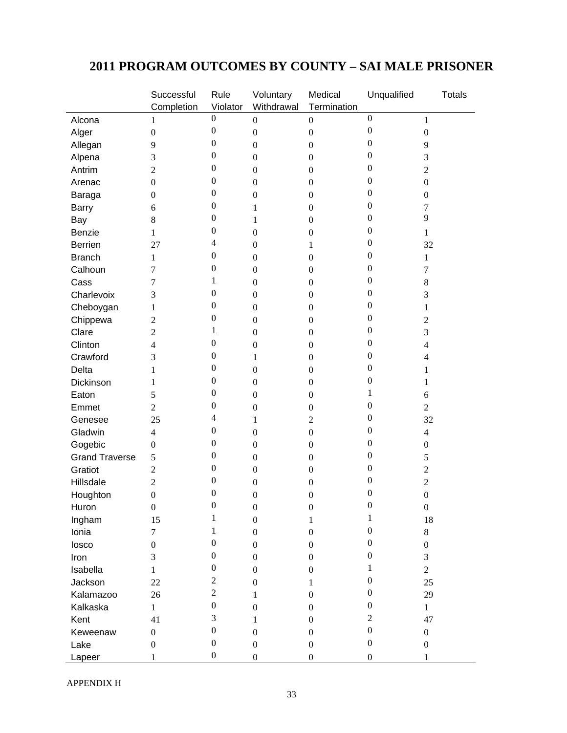# **2011 PROGRAM OUTCOMES BY COUNTY – SAI MALE PRISONER**

| Completion<br>Violator<br>Withdrawal<br>Termination<br>$\boldsymbol{0}$<br>$\boldsymbol{0}$<br>Alcona<br>$\boldsymbol{0}$<br>$\boldsymbol{0}$<br>$\mathbf{1}$<br>1<br>$\boldsymbol{0}$<br>$\boldsymbol{0}$<br>Alger<br>$\boldsymbol{0}$<br>$\boldsymbol{0}$<br>$\boldsymbol{0}$<br>$\boldsymbol{0}$<br>$\boldsymbol{0}$<br>$\boldsymbol{0}$<br>Allegan<br>9<br>$\boldsymbol{0}$<br>$\boldsymbol{0}$<br>9<br>0<br>0<br>Alpena<br>3<br>$\boldsymbol{0}$<br>$\boldsymbol{0}$<br>3<br>$\boldsymbol{0}$<br>0<br>Antrim<br>2<br>$\boldsymbol{0}$<br>$\boldsymbol{0}$<br>$\overline{c}$<br>0<br>0<br>$\boldsymbol{0}$<br>$\boldsymbol{0}$<br>$\boldsymbol{0}$<br>$\boldsymbol{0}$<br>Arenac<br>$\boldsymbol{0}$<br>0<br>$\boldsymbol{0}$<br>Baraga<br>$\boldsymbol{0}$<br>$\boldsymbol{0}$<br>$\overline{0}$<br>$\boldsymbol{0}$<br>0<br><b>Barry</b><br>$\boldsymbol{0}$<br>6<br>1<br>7<br>9<br>$\boldsymbol{0}$<br>0<br>8<br>$\mathbf{1}$<br>$\boldsymbol{0}$<br>Bay<br>$\boldsymbol{0}$<br>$\boldsymbol{0}$<br>Benzie<br>$\boldsymbol{0}$<br>1<br>$\boldsymbol{0}$<br>1<br>$\overline{\mathbf{4}}$<br>$\boldsymbol{0}$<br><b>Berrien</b><br>27<br>$\boldsymbol{0}$<br>1<br>32<br>$\boldsymbol{0}$<br>0<br><b>Branch</b><br>$\boldsymbol{0}$<br>$\boldsymbol{0}$<br>1<br>1<br>$\boldsymbol{0}$<br>0<br>Calhoun<br>7<br>$\boldsymbol{0}$<br>$\boldsymbol{0}$<br>7<br>1<br>0<br>Cass<br>7<br>$\boldsymbol{0}$<br>8<br>$\boldsymbol{0}$<br>$\boldsymbol{0}$<br>0<br>Charlevoix<br>3<br>$\boldsymbol{0}$<br>$\boldsymbol{0}$<br>3<br>0<br>$\overline{0}$<br>Cheboygan<br>$\boldsymbol{0}$<br>$\boldsymbol{0}$<br>1<br>1<br>$\boldsymbol{0}$<br>0<br>Chippewa<br>$\overline{2}$<br>$\boldsymbol{0}$<br>$\boldsymbol{0}$<br>$\overline{c}$<br>$\boldsymbol{0}$<br>1<br>Clare<br>2<br>$\boldsymbol{0}$<br>$\boldsymbol{0}$<br>3<br>$\boldsymbol{0}$<br>$\boldsymbol{0}$<br>Clinton<br>4<br>$\boldsymbol{0}$<br>$\boldsymbol{0}$<br>$\overline{4}$<br>$\boldsymbol{0}$<br>0<br>Crawford<br>3<br>$\boldsymbol{0}$<br>1<br>4<br>$\boldsymbol{0}$<br>0<br>Delta<br>$\boldsymbol{0}$<br>$\boldsymbol{0}$<br>1<br>1<br>$\boldsymbol{0}$<br>0<br>Dickinson<br>$\boldsymbol{0}$<br>$\boldsymbol{0}$<br>1<br>1<br>$\boldsymbol{0}$<br>1<br>Eaton<br>5<br>$\boldsymbol{0}$<br>$\boldsymbol{0}$<br>6<br>$\boldsymbol{0}$<br>0<br>Emmet<br>$\overline{2}$<br>$\boldsymbol{0}$<br>$\boldsymbol{0}$<br>$\overline{2}$<br>$\overline{\mathbf{4}}$<br>0<br>Genesee<br>25<br>$\overline{c}$<br>32<br>1<br>$\boldsymbol{0}$<br>$\boldsymbol{0}$<br>Gladwin<br>$\overline{4}$<br>$\boldsymbol{0}$<br>$\boldsymbol{0}$<br>$\overline{4}$<br>$\boldsymbol{0}$<br>$\boldsymbol{0}$<br>Gogebic<br>$\boldsymbol{0}$<br>$\boldsymbol{0}$<br>$\mathbf{0}$<br>$\boldsymbol{0}$<br>0<br>0<br><b>Grand Traverse</b><br>5<br>$\boldsymbol{0}$<br>$\boldsymbol{0}$<br>5<br>$\boldsymbol{0}$<br>0<br>Gratiot<br>$\overline{2}$<br>$\boldsymbol{0}$<br>$\boldsymbol{0}$<br>$\overline{c}$<br>$\boldsymbol{0}$<br>0<br>Hillsdale<br>2<br>$\boldsymbol{0}$<br>$\sqrt{2}$<br>$\boldsymbol{0}$<br>$\boldsymbol{0}$<br>$\boldsymbol{0}$<br>Houghton<br>$\boldsymbol{0}$<br>$\boldsymbol{0}$<br>$\boldsymbol{0}$<br>$\boldsymbol{0}$<br>Huron<br>$\boldsymbol{0}$<br>0<br>$\boldsymbol{0}$<br>$\boldsymbol{0}$<br>$\mathbf 0$<br>$\boldsymbol{0}$<br>$\mathbf{1}$<br>1<br>15<br>$18\,$<br>Ingham<br>$\boldsymbol{0}$<br>$\mathbf{1}$<br>1<br>$\boldsymbol{0}$<br>Ionia<br>$\boldsymbol{0}$<br>$\boldsymbol{0}$<br>$8\,$<br>7<br>$\boldsymbol{0}$<br>$\boldsymbol{0}$<br>losco<br>$\boldsymbol{0}$<br>$\boldsymbol{0}$<br>$\boldsymbol{0}$<br>$\overline{0}$<br>$\boldsymbol{0}$<br>$\overline{0}$<br>Iron<br>3<br>$\boldsymbol{0}$<br>$\boldsymbol{0}$<br>3<br>$\boldsymbol{0}$<br>Isabella<br>1<br>$\overline{2}$<br>$\boldsymbol{0}$<br>$\boldsymbol{0}$<br>$\mathbf{1}$<br>$\overline{c}$<br>$\boldsymbol{0}$<br>Jackson<br>22<br>25<br>$\boldsymbol{0}$<br>1<br>$\overline{c}$<br>$\boldsymbol{0}$<br>Kalamazoo<br>26<br>$\boldsymbol{0}$<br>29<br>1 | Successful | Rule             | Voluntary | Medical | Unqualified | <b>Totals</b> |
|-------------------------------------------------------------------------------------------------------------------------------------------------------------------------------------------------------------------------------------------------------------------------------------------------------------------------------------------------------------------------------------------------------------------------------------------------------------------------------------------------------------------------------------------------------------------------------------------------------------------------------------------------------------------------------------------------------------------------------------------------------------------------------------------------------------------------------------------------------------------------------------------------------------------------------------------------------------------------------------------------------------------------------------------------------------------------------------------------------------------------------------------------------------------------------------------------------------------------------------------------------------------------------------------------------------------------------------------------------------------------------------------------------------------------------------------------------------------------------------------------------------------------------------------------------------------------------------------------------------------------------------------------------------------------------------------------------------------------------------------------------------------------------------------------------------------------------------------------------------------------------------------------------------------------------------------------------------------------------------------------------------------------------------------------------------------------------------------------------------------------------------------------------------------------------------------------------------------------------------------------------------------------------------------------------------------------------------------------------------------------------------------------------------------------------------------------------------------------------------------------------------------------------------------------------------------------------------------------------------------------------------------------------------------------------------------------------------------------------------------------------------------------------------------------------------------------------------------------------------------------------------------------------------------------------------------------------------------------------------------------------------------------------------------------------------------------------------------------------------------------------------------------------------------------------------------------------------------------------------------------------------------------------------------------------------------------------------------------------------------------------------------------------------------------------------------------------------------------------------------------------------------------------------------------------------------------------------------------------------------------------------------------------------------------------------------------------------------------------------------------------------------------------------------------------------------------------------------------------------------------------------------------------------------------------------------------------------------------------------------------------|------------|------------------|-----------|---------|-------------|---------------|
|                                                                                                                                                                                                                                                                                                                                                                                                                                                                                                                                                                                                                                                                                                                                                                                                                                                                                                                                                                                                                                                                                                                                                                                                                                                                                                                                                                                                                                                                                                                                                                                                                                                                                                                                                                                                                                                                                                                                                                                                                                                                                                                                                                                                                                                                                                                                                                                                                                                                                                                                                                                                                                                                                                                                                                                                                                                                                                                                                                                                                                                                                                                                                                                                                                                                                                                                                                                                                                                                                                                                                                                                                                                                                                                                                                                                                                                                                                                                                                                                       |            |                  |           |         |             |               |
|                                                                                                                                                                                                                                                                                                                                                                                                                                                                                                                                                                                                                                                                                                                                                                                                                                                                                                                                                                                                                                                                                                                                                                                                                                                                                                                                                                                                                                                                                                                                                                                                                                                                                                                                                                                                                                                                                                                                                                                                                                                                                                                                                                                                                                                                                                                                                                                                                                                                                                                                                                                                                                                                                                                                                                                                                                                                                                                                                                                                                                                                                                                                                                                                                                                                                                                                                                                                                                                                                                                                                                                                                                                                                                                                                                                                                                                                                                                                                                                                       |            |                  |           |         |             |               |
|                                                                                                                                                                                                                                                                                                                                                                                                                                                                                                                                                                                                                                                                                                                                                                                                                                                                                                                                                                                                                                                                                                                                                                                                                                                                                                                                                                                                                                                                                                                                                                                                                                                                                                                                                                                                                                                                                                                                                                                                                                                                                                                                                                                                                                                                                                                                                                                                                                                                                                                                                                                                                                                                                                                                                                                                                                                                                                                                                                                                                                                                                                                                                                                                                                                                                                                                                                                                                                                                                                                                                                                                                                                                                                                                                                                                                                                                                                                                                                                                       |            |                  |           |         |             |               |
|                                                                                                                                                                                                                                                                                                                                                                                                                                                                                                                                                                                                                                                                                                                                                                                                                                                                                                                                                                                                                                                                                                                                                                                                                                                                                                                                                                                                                                                                                                                                                                                                                                                                                                                                                                                                                                                                                                                                                                                                                                                                                                                                                                                                                                                                                                                                                                                                                                                                                                                                                                                                                                                                                                                                                                                                                                                                                                                                                                                                                                                                                                                                                                                                                                                                                                                                                                                                                                                                                                                                                                                                                                                                                                                                                                                                                                                                                                                                                                                                       |            |                  |           |         |             |               |
|                                                                                                                                                                                                                                                                                                                                                                                                                                                                                                                                                                                                                                                                                                                                                                                                                                                                                                                                                                                                                                                                                                                                                                                                                                                                                                                                                                                                                                                                                                                                                                                                                                                                                                                                                                                                                                                                                                                                                                                                                                                                                                                                                                                                                                                                                                                                                                                                                                                                                                                                                                                                                                                                                                                                                                                                                                                                                                                                                                                                                                                                                                                                                                                                                                                                                                                                                                                                                                                                                                                                                                                                                                                                                                                                                                                                                                                                                                                                                                                                       |            |                  |           |         |             |               |
|                                                                                                                                                                                                                                                                                                                                                                                                                                                                                                                                                                                                                                                                                                                                                                                                                                                                                                                                                                                                                                                                                                                                                                                                                                                                                                                                                                                                                                                                                                                                                                                                                                                                                                                                                                                                                                                                                                                                                                                                                                                                                                                                                                                                                                                                                                                                                                                                                                                                                                                                                                                                                                                                                                                                                                                                                                                                                                                                                                                                                                                                                                                                                                                                                                                                                                                                                                                                                                                                                                                                                                                                                                                                                                                                                                                                                                                                                                                                                                                                       |            |                  |           |         |             |               |
|                                                                                                                                                                                                                                                                                                                                                                                                                                                                                                                                                                                                                                                                                                                                                                                                                                                                                                                                                                                                                                                                                                                                                                                                                                                                                                                                                                                                                                                                                                                                                                                                                                                                                                                                                                                                                                                                                                                                                                                                                                                                                                                                                                                                                                                                                                                                                                                                                                                                                                                                                                                                                                                                                                                                                                                                                                                                                                                                                                                                                                                                                                                                                                                                                                                                                                                                                                                                                                                                                                                                                                                                                                                                                                                                                                                                                                                                                                                                                                                                       |            |                  |           |         |             |               |
|                                                                                                                                                                                                                                                                                                                                                                                                                                                                                                                                                                                                                                                                                                                                                                                                                                                                                                                                                                                                                                                                                                                                                                                                                                                                                                                                                                                                                                                                                                                                                                                                                                                                                                                                                                                                                                                                                                                                                                                                                                                                                                                                                                                                                                                                                                                                                                                                                                                                                                                                                                                                                                                                                                                                                                                                                                                                                                                                                                                                                                                                                                                                                                                                                                                                                                                                                                                                                                                                                                                                                                                                                                                                                                                                                                                                                                                                                                                                                                                                       |            |                  |           |         |             |               |
|                                                                                                                                                                                                                                                                                                                                                                                                                                                                                                                                                                                                                                                                                                                                                                                                                                                                                                                                                                                                                                                                                                                                                                                                                                                                                                                                                                                                                                                                                                                                                                                                                                                                                                                                                                                                                                                                                                                                                                                                                                                                                                                                                                                                                                                                                                                                                                                                                                                                                                                                                                                                                                                                                                                                                                                                                                                                                                                                                                                                                                                                                                                                                                                                                                                                                                                                                                                                                                                                                                                                                                                                                                                                                                                                                                                                                                                                                                                                                                                                       |            |                  |           |         |             |               |
|                                                                                                                                                                                                                                                                                                                                                                                                                                                                                                                                                                                                                                                                                                                                                                                                                                                                                                                                                                                                                                                                                                                                                                                                                                                                                                                                                                                                                                                                                                                                                                                                                                                                                                                                                                                                                                                                                                                                                                                                                                                                                                                                                                                                                                                                                                                                                                                                                                                                                                                                                                                                                                                                                                                                                                                                                                                                                                                                                                                                                                                                                                                                                                                                                                                                                                                                                                                                                                                                                                                                                                                                                                                                                                                                                                                                                                                                                                                                                                                                       |            |                  |           |         |             |               |
|                                                                                                                                                                                                                                                                                                                                                                                                                                                                                                                                                                                                                                                                                                                                                                                                                                                                                                                                                                                                                                                                                                                                                                                                                                                                                                                                                                                                                                                                                                                                                                                                                                                                                                                                                                                                                                                                                                                                                                                                                                                                                                                                                                                                                                                                                                                                                                                                                                                                                                                                                                                                                                                                                                                                                                                                                                                                                                                                                                                                                                                                                                                                                                                                                                                                                                                                                                                                                                                                                                                                                                                                                                                                                                                                                                                                                                                                                                                                                                                                       |            |                  |           |         |             |               |
|                                                                                                                                                                                                                                                                                                                                                                                                                                                                                                                                                                                                                                                                                                                                                                                                                                                                                                                                                                                                                                                                                                                                                                                                                                                                                                                                                                                                                                                                                                                                                                                                                                                                                                                                                                                                                                                                                                                                                                                                                                                                                                                                                                                                                                                                                                                                                                                                                                                                                                                                                                                                                                                                                                                                                                                                                                                                                                                                                                                                                                                                                                                                                                                                                                                                                                                                                                                                                                                                                                                                                                                                                                                                                                                                                                                                                                                                                                                                                                                                       |            |                  |           |         |             |               |
|                                                                                                                                                                                                                                                                                                                                                                                                                                                                                                                                                                                                                                                                                                                                                                                                                                                                                                                                                                                                                                                                                                                                                                                                                                                                                                                                                                                                                                                                                                                                                                                                                                                                                                                                                                                                                                                                                                                                                                                                                                                                                                                                                                                                                                                                                                                                                                                                                                                                                                                                                                                                                                                                                                                                                                                                                                                                                                                                                                                                                                                                                                                                                                                                                                                                                                                                                                                                                                                                                                                                                                                                                                                                                                                                                                                                                                                                                                                                                                                                       |            |                  |           |         |             |               |
|                                                                                                                                                                                                                                                                                                                                                                                                                                                                                                                                                                                                                                                                                                                                                                                                                                                                                                                                                                                                                                                                                                                                                                                                                                                                                                                                                                                                                                                                                                                                                                                                                                                                                                                                                                                                                                                                                                                                                                                                                                                                                                                                                                                                                                                                                                                                                                                                                                                                                                                                                                                                                                                                                                                                                                                                                                                                                                                                                                                                                                                                                                                                                                                                                                                                                                                                                                                                                                                                                                                                                                                                                                                                                                                                                                                                                                                                                                                                                                                                       |            |                  |           |         |             |               |
|                                                                                                                                                                                                                                                                                                                                                                                                                                                                                                                                                                                                                                                                                                                                                                                                                                                                                                                                                                                                                                                                                                                                                                                                                                                                                                                                                                                                                                                                                                                                                                                                                                                                                                                                                                                                                                                                                                                                                                                                                                                                                                                                                                                                                                                                                                                                                                                                                                                                                                                                                                                                                                                                                                                                                                                                                                                                                                                                                                                                                                                                                                                                                                                                                                                                                                                                                                                                                                                                                                                                                                                                                                                                                                                                                                                                                                                                                                                                                                                                       |            |                  |           |         |             |               |
|                                                                                                                                                                                                                                                                                                                                                                                                                                                                                                                                                                                                                                                                                                                                                                                                                                                                                                                                                                                                                                                                                                                                                                                                                                                                                                                                                                                                                                                                                                                                                                                                                                                                                                                                                                                                                                                                                                                                                                                                                                                                                                                                                                                                                                                                                                                                                                                                                                                                                                                                                                                                                                                                                                                                                                                                                                                                                                                                                                                                                                                                                                                                                                                                                                                                                                                                                                                                                                                                                                                                                                                                                                                                                                                                                                                                                                                                                                                                                                                                       |            |                  |           |         |             |               |
|                                                                                                                                                                                                                                                                                                                                                                                                                                                                                                                                                                                                                                                                                                                                                                                                                                                                                                                                                                                                                                                                                                                                                                                                                                                                                                                                                                                                                                                                                                                                                                                                                                                                                                                                                                                                                                                                                                                                                                                                                                                                                                                                                                                                                                                                                                                                                                                                                                                                                                                                                                                                                                                                                                                                                                                                                                                                                                                                                                                                                                                                                                                                                                                                                                                                                                                                                                                                                                                                                                                                                                                                                                                                                                                                                                                                                                                                                                                                                                                                       |            |                  |           |         |             |               |
|                                                                                                                                                                                                                                                                                                                                                                                                                                                                                                                                                                                                                                                                                                                                                                                                                                                                                                                                                                                                                                                                                                                                                                                                                                                                                                                                                                                                                                                                                                                                                                                                                                                                                                                                                                                                                                                                                                                                                                                                                                                                                                                                                                                                                                                                                                                                                                                                                                                                                                                                                                                                                                                                                                                                                                                                                                                                                                                                                                                                                                                                                                                                                                                                                                                                                                                                                                                                                                                                                                                                                                                                                                                                                                                                                                                                                                                                                                                                                                                                       |            |                  |           |         |             |               |
|                                                                                                                                                                                                                                                                                                                                                                                                                                                                                                                                                                                                                                                                                                                                                                                                                                                                                                                                                                                                                                                                                                                                                                                                                                                                                                                                                                                                                                                                                                                                                                                                                                                                                                                                                                                                                                                                                                                                                                                                                                                                                                                                                                                                                                                                                                                                                                                                                                                                                                                                                                                                                                                                                                                                                                                                                                                                                                                                                                                                                                                                                                                                                                                                                                                                                                                                                                                                                                                                                                                                                                                                                                                                                                                                                                                                                                                                                                                                                                                                       |            |                  |           |         |             |               |
|                                                                                                                                                                                                                                                                                                                                                                                                                                                                                                                                                                                                                                                                                                                                                                                                                                                                                                                                                                                                                                                                                                                                                                                                                                                                                                                                                                                                                                                                                                                                                                                                                                                                                                                                                                                                                                                                                                                                                                                                                                                                                                                                                                                                                                                                                                                                                                                                                                                                                                                                                                                                                                                                                                                                                                                                                                                                                                                                                                                                                                                                                                                                                                                                                                                                                                                                                                                                                                                                                                                                                                                                                                                                                                                                                                                                                                                                                                                                                                                                       |            |                  |           |         |             |               |
|                                                                                                                                                                                                                                                                                                                                                                                                                                                                                                                                                                                                                                                                                                                                                                                                                                                                                                                                                                                                                                                                                                                                                                                                                                                                                                                                                                                                                                                                                                                                                                                                                                                                                                                                                                                                                                                                                                                                                                                                                                                                                                                                                                                                                                                                                                                                                                                                                                                                                                                                                                                                                                                                                                                                                                                                                                                                                                                                                                                                                                                                                                                                                                                                                                                                                                                                                                                                                                                                                                                                                                                                                                                                                                                                                                                                                                                                                                                                                                                                       |            |                  |           |         |             |               |
|                                                                                                                                                                                                                                                                                                                                                                                                                                                                                                                                                                                                                                                                                                                                                                                                                                                                                                                                                                                                                                                                                                                                                                                                                                                                                                                                                                                                                                                                                                                                                                                                                                                                                                                                                                                                                                                                                                                                                                                                                                                                                                                                                                                                                                                                                                                                                                                                                                                                                                                                                                                                                                                                                                                                                                                                                                                                                                                                                                                                                                                                                                                                                                                                                                                                                                                                                                                                                                                                                                                                                                                                                                                                                                                                                                                                                                                                                                                                                                                                       |            |                  |           |         |             |               |
|                                                                                                                                                                                                                                                                                                                                                                                                                                                                                                                                                                                                                                                                                                                                                                                                                                                                                                                                                                                                                                                                                                                                                                                                                                                                                                                                                                                                                                                                                                                                                                                                                                                                                                                                                                                                                                                                                                                                                                                                                                                                                                                                                                                                                                                                                                                                                                                                                                                                                                                                                                                                                                                                                                                                                                                                                                                                                                                                                                                                                                                                                                                                                                                                                                                                                                                                                                                                                                                                                                                                                                                                                                                                                                                                                                                                                                                                                                                                                                                                       |            |                  |           |         |             |               |
|                                                                                                                                                                                                                                                                                                                                                                                                                                                                                                                                                                                                                                                                                                                                                                                                                                                                                                                                                                                                                                                                                                                                                                                                                                                                                                                                                                                                                                                                                                                                                                                                                                                                                                                                                                                                                                                                                                                                                                                                                                                                                                                                                                                                                                                                                                                                                                                                                                                                                                                                                                                                                                                                                                                                                                                                                                                                                                                                                                                                                                                                                                                                                                                                                                                                                                                                                                                                                                                                                                                                                                                                                                                                                                                                                                                                                                                                                                                                                                                                       |            |                  |           |         |             |               |
|                                                                                                                                                                                                                                                                                                                                                                                                                                                                                                                                                                                                                                                                                                                                                                                                                                                                                                                                                                                                                                                                                                                                                                                                                                                                                                                                                                                                                                                                                                                                                                                                                                                                                                                                                                                                                                                                                                                                                                                                                                                                                                                                                                                                                                                                                                                                                                                                                                                                                                                                                                                                                                                                                                                                                                                                                                                                                                                                                                                                                                                                                                                                                                                                                                                                                                                                                                                                                                                                                                                                                                                                                                                                                                                                                                                                                                                                                                                                                                                                       |            |                  |           |         |             |               |
|                                                                                                                                                                                                                                                                                                                                                                                                                                                                                                                                                                                                                                                                                                                                                                                                                                                                                                                                                                                                                                                                                                                                                                                                                                                                                                                                                                                                                                                                                                                                                                                                                                                                                                                                                                                                                                                                                                                                                                                                                                                                                                                                                                                                                                                                                                                                                                                                                                                                                                                                                                                                                                                                                                                                                                                                                                                                                                                                                                                                                                                                                                                                                                                                                                                                                                                                                                                                                                                                                                                                                                                                                                                                                                                                                                                                                                                                                                                                                                                                       |            |                  |           |         |             |               |
|                                                                                                                                                                                                                                                                                                                                                                                                                                                                                                                                                                                                                                                                                                                                                                                                                                                                                                                                                                                                                                                                                                                                                                                                                                                                                                                                                                                                                                                                                                                                                                                                                                                                                                                                                                                                                                                                                                                                                                                                                                                                                                                                                                                                                                                                                                                                                                                                                                                                                                                                                                                                                                                                                                                                                                                                                                                                                                                                                                                                                                                                                                                                                                                                                                                                                                                                                                                                                                                                                                                                                                                                                                                                                                                                                                                                                                                                                                                                                                                                       |            |                  |           |         |             |               |
|                                                                                                                                                                                                                                                                                                                                                                                                                                                                                                                                                                                                                                                                                                                                                                                                                                                                                                                                                                                                                                                                                                                                                                                                                                                                                                                                                                                                                                                                                                                                                                                                                                                                                                                                                                                                                                                                                                                                                                                                                                                                                                                                                                                                                                                                                                                                                                                                                                                                                                                                                                                                                                                                                                                                                                                                                                                                                                                                                                                                                                                                                                                                                                                                                                                                                                                                                                                                                                                                                                                                                                                                                                                                                                                                                                                                                                                                                                                                                                                                       |            |                  |           |         |             |               |
|                                                                                                                                                                                                                                                                                                                                                                                                                                                                                                                                                                                                                                                                                                                                                                                                                                                                                                                                                                                                                                                                                                                                                                                                                                                                                                                                                                                                                                                                                                                                                                                                                                                                                                                                                                                                                                                                                                                                                                                                                                                                                                                                                                                                                                                                                                                                                                                                                                                                                                                                                                                                                                                                                                                                                                                                                                                                                                                                                                                                                                                                                                                                                                                                                                                                                                                                                                                                                                                                                                                                                                                                                                                                                                                                                                                                                                                                                                                                                                                                       |            |                  |           |         |             |               |
|                                                                                                                                                                                                                                                                                                                                                                                                                                                                                                                                                                                                                                                                                                                                                                                                                                                                                                                                                                                                                                                                                                                                                                                                                                                                                                                                                                                                                                                                                                                                                                                                                                                                                                                                                                                                                                                                                                                                                                                                                                                                                                                                                                                                                                                                                                                                                                                                                                                                                                                                                                                                                                                                                                                                                                                                                                                                                                                                                                                                                                                                                                                                                                                                                                                                                                                                                                                                                                                                                                                                                                                                                                                                                                                                                                                                                                                                                                                                                                                                       |            |                  |           |         |             |               |
|                                                                                                                                                                                                                                                                                                                                                                                                                                                                                                                                                                                                                                                                                                                                                                                                                                                                                                                                                                                                                                                                                                                                                                                                                                                                                                                                                                                                                                                                                                                                                                                                                                                                                                                                                                                                                                                                                                                                                                                                                                                                                                                                                                                                                                                                                                                                                                                                                                                                                                                                                                                                                                                                                                                                                                                                                                                                                                                                                                                                                                                                                                                                                                                                                                                                                                                                                                                                                                                                                                                                                                                                                                                                                                                                                                                                                                                                                                                                                                                                       |            |                  |           |         |             |               |
|                                                                                                                                                                                                                                                                                                                                                                                                                                                                                                                                                                                                                                                                                                                                                                                                                                                                                                                                                                                                                                                                                                                                                                                                                                                                                                                                                                                                                                                                                                                                                                                                                                                                                                                                                                                                                                                                                                                                                                                                                                                                                                                                                                                                                                                                                                                                                                                                                                                                                                                                                                                                                                                                                                                                                                                                                                                                                                                                                                                                                                                                                                                                                                                                                                                                                                                                                                                                                                                                                                                                                                                                                                                                                                                                                                                                                                                                                                                                                                                                       |            |                  |           |         |             |               |
|                                                                                                                                                                                                                                                                                                                                                                                                                                                                                                                                                                                                                                                                                                                                                                                                                                                                                                                                                                                                                                                                                                                                                                                                                                                                                                                                                                                                                                                                                                                                                                                                                                                                                                                                                                                                                                                                                                                                                                                                                                                                                                                                                                                                                                                                                                                                                                                                                                                                                                                                                                                                                                                                                                                                                                                                                                                                                                                                                                                                                                                                                                                                                                                                                                                                                                                                                                                                                                                                                                                                                                                                                                                                                                                                                                                                                                                                                                                                                                                                       |            |                  |           |         |             |               |
|                                                                                                                                                                                                                                                                                                                                                                                                                                                                                                                                                                                                                                                                                                                                                                                                                                                                                                                                                                                                                                                                                                                                                                                                                                                                                                                                                                                                                                                                                                                                                                                                                                                                                                                                                                                                                                                                                                                                                                                                                                                                                                                                                                                                                                                                                                                                                                                                                                                                                                                                                                                                                                                                                                                                                                                                                                                                                                                                                                                                                                                                                                                                                                                                                                                                                                                                                                                                                                                                                                                                                                                                                                                                                                                                                                                                                                                                                                                                                                                                       |            |                  |           |         |             |               |
|                                                                                                                                                                                                                                                                                                                                                                                                                                                                                                                                                                                                                                                                                                                                                                                                                                                                                                                                                                                                                                                                                                                                                                                                                                                                                                                                                                                                                                                                                                                                                                                                                                                                                                                                                                                                                                                                                                                                                                                                                                                                                                                                                                                                                                                                                                                                                                                                                                                                                                                                                                                                                                                                                                                                                                                                                                                                                                                                                                                                                                                                                                                                                                                                                                                                                                                                                                                                                                                                                                                                                                                                                                                                                                                                                                                                                                                                                                                                                                                                       |            |                  |           |         |             |               |
|                                                                                                                                                                                                                                                                                                                                                                                                                                                                                                                                                                                                                                                                                                                                                                                                                                                                                                                                                                                                                                                                                                                                                                                                                                                                                                                                                                                                                                                                                                                                                                                                                                                                                                                                                                                                                                                                                                                                                                                                                                                                                                                                                                                                                                                                                                                                                                                                                                                                                                                                                                                                                                                                                                                                                                                                                                                                                                                                                                                                                                                                                                                                                                                                                                                                                                                                                                                                                                                                                                                                                                                                                                                                                                                                                                                                                                                                                                                                                                                                       |            |                  |           |         |             |               |
|                                                                                                                                                                                                                                                                                                                                                                                                                                                                                                                                                                                                                                                                                                                                                                                                                                                                                                                                                                                                                                                                                                                                                                                                                                                                                                                                                                                                                                                                                                                                                                                                                                                                                                                                                                                                                                                                                                                                                                                                                                                                                                                                                                                                                                                                                                                                                                                                                                                                                                                                                                                                                                                                                                                                                                                                                                                                                                                                                                                                                                                                                                                                                                                                                                                                                                                                                                                                                                                                                                                                                                                                                                                                                                                                                                                                                                                                                                                                                                                                       |            |                  |           |         |             |               |
|                                                                                                                                                                                                                                                                                                                                                                                                                                                                                                                                                                                                                                                                                                                                                                                                                                                                                                                                                                                                                                                                                                                                                                                                                                                                                                                                                                                                                                                                                                                                                                                                                                                                                                                                                                                                                                                                                                                                                                                                                                                                                                                                                                                                                                                                                                                                                                                                                                                                                                                                                                                                                                                                                                                                                                                                                                                                                                                                                                                                                                                                                                                                                                                                                                                                                                                                                                                                                                                                                                                                                                                                                                                                                                                                                                                                                                                                                                                                                                                                       |            |                  |           |         |             |               |
|                                                                                                                                                                                                                                                                                                                                                                                                                                                                                                                                                                                                                                                                                                                                                                                                                                                                                                                                                                                                                                                                                                                                                                                                                                                                                                                                                                                                                                                                                                                                                                                                                                                                                                                                                                                                                                                                                                                                                                                                                                                                                                                                                                                                                                                                                                                                                                                                                                                                                                                                                                                                                                                                                                                                                                                                                                                                                                                                                                                                                                                                                                                                                                                                                                                                                                                                                                                                                                                                                                                                                                                                                                                                                                                                                                                                                                                                                                                                                                                                       |            |                  |           |         |             |               |
|                                                                                                                                                                                                                                                                                                                                                                                                                                                                                                                                                                                                                                                                                                                                                                                                                                                                                                                                                                                                                                                                                                                                                                                                                                                                                                                                                                                                                                                                                                                                                                                                                                                                                                                                                                                                                                                                                                                                                                                                                                                                                                                                                                                                                                                                                                                                                                                                                                                                                                                                                                                                                                                                                                                                                                                                                                                                                                                                                                                                                                                                                                                                                                                                                                                                                                                                                                                                                                                                                                                                                                                                                                                                                                                                                                                                                                                                                                                                                                                                       |            |                  |           |         |             |               |
| $\boldsymbol{0}$<br>Kalkaska<br>$\mathbf{1}$<br>$\boldsymbol{0}$<br>$\boldsymbol{0}$<br>$\mathbf{1}$                                                                                                                                                                                                                                                                                                                                                                                                                                                                                                                                                                                                                                                                                                                                                                                                                                                                                                                                                                                                                                                                                                                                                                                                                                                                                                                                                                                                                                                                                                                                                                                                                                                                                                                                                                                                                                                                                                                                                                                                                                                                                                                                                                                                                                                                                                                                                                                                                                                                                                                                                                                                                                                                                                                                                                                                                                                                                                                                                                                                                                                                                                                                                                                                                                                                                                                                                                                                                                                                                                                                                                                                                                                                                                                                                                                                                                                                                                  |            | $\boldsymbol{0}$ |           |         |             |               |
| 3<br>$\overline{2}$<br>Kent<br>41<br>47<br>$\mathbf{1}$<br>$\boldsymbol{0}$                                                                                                                                                                                                                                                                                                                                                                                                                                                                                                                                                                                                                                                                                                                                                                                                                                                                                                                                                                                                                                                                                                                                                                                                                                                                                                                                                                                                                                                                                                                                                                                                                                                                                                                                                                                                                                                                                                                                                                                                                                                                                                                                                                                                                                                                                                                                                                                                                                                                                                                                                                                                                                                                                                                                                                                                                                                                                                                                                                                                                                                                                                                                                                                                                                                                                                                                                                                                                                                                                                                                                                                                                                                                                                                                                                                                                                                                                                                           |            |                  |           |         |             |               |
| $\boldsymbol{0}$<br>$\boldsymbol{0}$<br>Keweenaw<br>$\boldsymbol{0}$<br>$\boldsymbol{0}$<br>$\boldsymbol{0}$<br>$\overline{0}$                                                                                                                                                                                                                                                                                                                                                                                                                                                                                                                                                                                                                                                                                                                                                                                                                                                                                                                                                                                                                                                                                                                                                                                                                                                                                                                                                                                                                                                                                                                                                                                                                                                                                                                                                                                                                                                                                                                                                                                                                                                                                                                                                                                                                                                                                                                                                                                                                                                                                                                                                                                                                                                                                                                                                                                                                                                                                                                                                                                                                                                                                                                                                                                                                                                                                                                                                                                                                                                                                                                                                                                                                                                                                                                                                                                                                                                                        |            |                  |           |         |             |               |
| $\boldsymbol{0}$<br>$\boldsymbol{0}$<br>Lake<br>$\boldsymbol{0}$<br>$\boldsymbol{0}$<br>$\boldsymbol{0}$<br>$\boldsymbol{0}$                                                                                                                                                                                                                                                                                                                                                                                                                                                                                                                                                                                                                                                                                                                                                                                                                                                                                                                                                                                                                                                                                                                                                                                                                                                                                                                                                                                                                                                                                                                                                                                                                                                                                                                                                                                                                                                                                                                                                                                                                                                                                                                                                                                                                                                                                                                                                                                                                                                                                                                                                                                                                                                                                                                                                                                                                                                                                                                                                                                                                                                                                                                                                                                                                                                                                                                                                                                                                                                                                                                                                                                                                                                                                                                                                                                                                                                                          |            |                  |           |         |             |               |
| $\boldsymbol{0}$<br>$\boldsymbol{0}$<br>$\boldsymbol{0}$<br>Lapeer<br>$\boldsymbol{0}$<br>1<br>1                                                                                                                                                                                                                                                                                                                                                                                                                                                                                                                                                                                                                                                                                                                                                                                                                                                                                                                                                                                                                                                                                                                                                                                                                                                                                                                                                                                                                                                                                                                                                                                                                                                                                                                                                                                                                                                                                                                                                                                                                                                                                                                                                                                                                                                                                                                                                                                                                                                                                                                                                                                                                                                                                                                                                                                                                                                                                                                                                                                                                                                                                                                                                                                                                                                                                                                                                                                                                                                                                                                                                                                                                                                                                                                                                                                                                                                                                                      |            |                  |           |         |             |               |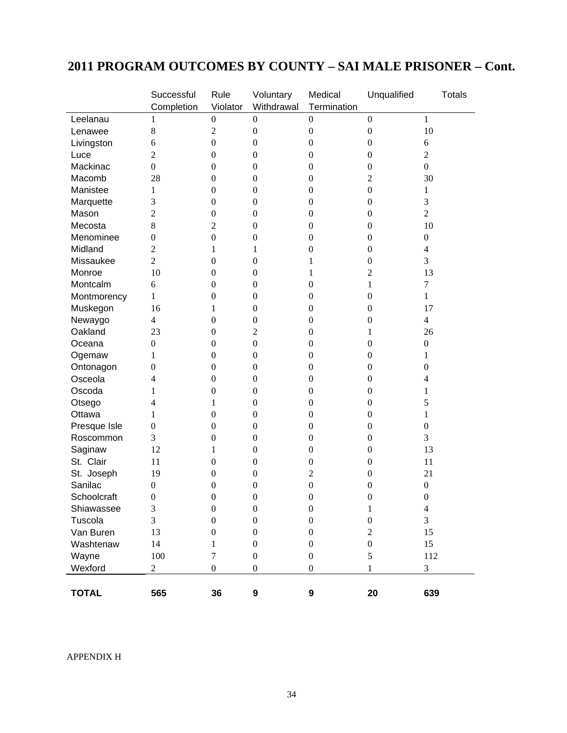# **2011 PROGRAM OUTCOMES BY COUNTY – SAI MALE PRISONER – Cont.**

|              | Successful       | Rule             | Voluntary        | Medical          | Unqualified      | <b>Totals</b>    |
|--------------|------------------|------------------|------------------|------------------|------------------|------------------|
|              | Completion       | Violator         | Withdrawal       | Termination      |                  |                  |
| Leelanau     | 1                | $\boldsymbol{0}$ | $\overline{0}$   | $\boldsymbol{0}$ | $\boldsymbol{0}$ | 1                |
| Lenawee      | $8\,$            | $\overline{2}$   | $\boldsymbol{0}$ | $\boldsymbol{0}$ | $\boldsymbol{0}$ | 10               |
| Livingston   | 6                | $\boldsymbol{0}$ | $\boldsymbol{0}$ | $\boldsymbol{0}$ | $\boldsymbol{0}$ | 6                |
| Luce         | $\overline{c}$   | $\boldsymbol{0}$ | $\boldsymbol{0}$ | $\boldsymbol{0}$ | $\boldsymbol{0}$ | $\mathfrak{2}$   |
| Mackinac     | $\overline{0}$   | $\theta$         | $\boldsymbol{0}$ | $\boldsymbol{0}$ | $\boldsymbol{0}$ | $\boldsymbol{0}$ |
| Macomb       | 28               | $\boldsymbol{0}$ | $\boldsymbol{0}$ | $\boldsymbol{0}$ | 2                | 30               |
| Manistee     | 1                | $\boldsymbol{0}$ | $\boldsymbol{0}$ | $\boldsymbol{0}$ | $\boldsymbol{0}$ | 1                |
| Marquette    | 3                | $\boldsymbol{0}$ | $\boldsymbol{0}$ | 0                | $\boldsymbol{0}$ | 3                |
| Mason        | $\overline{c}$   | $\boldsymbol{0}$ | $\boldsymbol{0}$ | 0                | $\boldsymbol{0}$ | $\overline{2}$   |
| Mecosta      | 8                | 2                | $\boldsymbol{0}$ | $\boldsymbol{0}$ | $\boldsymbol{0}$ | 10               |
| Menominee    | $\boldsymbol{0}$ | $\boldsymbol{0}$ | $\boldsymbol{0}$ | $\boldsymbol{0}$ | $\boldsymbol{0}$ | $\boldsymbol{0}$ |
| Midland      | 2                | 1                | 1                | $\boldsymbol{0}$ | $\boldsymbol{0}$ | $\overline{4}$   |
| Missaukee    | $\overline{2}$   | $\boldsymbol{0}$ | $\boldsymbol{0}$ | 1                | $\boldsymbol{0}$ | 3                |
| Monroe       | 10               | $\boldsymbol{0}$ | $\boldsymbol{0}$ | 1                | 2                | 13               |
| Montcalm     | 6                | $\boldsymbol{0}$ | $\boldsymbol{0}$ | $\boldsymbol{0}$ | 1                | $\overline{7}$   |
| Montmorency  | 1                | $\boldsymbol{0}$ | $\boldsymbol{0}$ | $\boldsymbol{0}$ | $\boldsymbol{0}$ | 1                |
| Muskegon     | 16               | $\mathbf{1}$     | $\boldsymbol{0}$ | $\boldsymbol{0}$ | $\boldsymbol{0}$ | 17               |
| Newaygo      | $\overline{4}$   | $\boldsymbol{0}$ | $\boldsymbol{0}$ | $\boldsymbol{0}$ | $\boldsymbol{0}$ | $\overline{4}$   |
| Oakland      | 23               | $\boldsymbol{0}$ | $\overline{c}$   | $\boldsymbol{0}$ | 1                | 26               |
| Oceana       | $\boldsymbol{0}$ | $\boldsymbol{0}$ | $\boldsymbol{0}$ | $\boldsymbol{0}$ | $\boldsymbol{0}$ | $\boldsymbol{0}$ |
| Ogemaw       | 1                | $\boldsymbol{0}$ | $\boldsymbol{0}$ | $\boldsymbol{0}$ | $\boldsymbol{0}$ | 1                |
| Ontonagon    | $\boldsymbol{0}$ | $\boldsymbol{0}$ | $\boldsymbol{0}$ | $\boldsymbol{0}$ | $\boldsymbol{0}$ | $\boldsymbol{0}$ |
| Osceola      | 4                | $\boldsymbol{0}$ | $\boldsymbol{0}$ | $\boldsymbol{0}$ | $\boldsymbol{0}$ | 4                |
| Oscoda       | 1                | $\boldsymbol{0}$ | $\boldsymbol{0}$ | 0                | $\boldsymbol{0}$ |                  |
| Otsego       | 4                | 1                | $\boldsymbol{0}$ | 0                | $\boldsymbol{0}$ | 5                |
| Ottawa       | 1                | $\boldsymbol{0}$ | $\boldsymbol{0}$ | $\boldsymbol{0}$ | $\boldsymbol{0}$ | 1                |
| Presque Isle | $\boldsymbol{0}$ | $\boldsymbol{0}$ | $\boldsymbol{0}$ | $\boldsymbol{0}$ | $\boldsymbol{0}$ | $\boldsymbol{0}$ |
| Roscommon    | 3                | $\boldsymbol{0}$ | $\boldsymbol{0}$ | $\boldsymbol{0}$ | $\boldsymbol{0}$ | 3                |
| Saginaw      | 12               | 1                | $\boldsymbol{0}$ | $\boldsymbol{0}$ | $\boldsymbol{0}$ | 13               |
| St. Clair    | 11               | $\boldsymbol{0}$ | $\boldsymbol{0}$ | $\boldsymbol{0}$ | $\boldsymbol{0}$ | 11               |
| St. Joseph   | 19               | $\boldsymbol{0}$ | $\boldsymbol{0}$ | $\overline{2}$   | $\boldsymbol{0}$ | 21               |
| Sanilac      | $\boldsymbol{0}$ | $\boldsymbol{0}$ | $\boldsymbol{0}$ | $\boldsymbol{0}$ | $\boldsymbol{0}$ | $\boldsymbol{0}$ |
| Schoolcraft  | $\mathbf{0}$     | $\boldsymbol{0}$ | $\overline{0}$   | $\boldsymbol{0}$ | $\boldsymbol{0}$ | $\boldsymbol{0}$ |
| Shiawassee   | 3                | $\boldsymbol{0}$ | $\boldsymbol{0}$ | $\boldsymbol{0}$ | $\mathbf{1}$     | $\overline{4}$   |
| Tuscola      | 3                | $\boldsymbol{0}$ | $\boldsymbol{0}$ | $\boldsymbol{0}$ | $\boldsymbol{0}$ | 3                |
| Van Buren    | 13               | $\boldsymbol{0}$ | $\boldsymbol{0}$ | $\boldsymbol{0}$ | $\mathfrak{2}$   | 15               |
| Washtenaw    | 14               | 1                | $\boldsymbol{0}$ | $\boldsymbol{0}$ | $\boldsymbol{0}$ | 15               |
| Wayne        | $100\,$          | $\tau$           | $\boldsymbol{0}$ | $\boldsymbol{0}$ | 5                | 112              |
| Wexford      | $\overline{c}$   | $\boldsymbol{0}$ | $\boldsymbol{0}$ | $\boldsymbol{0}$ | 1                | $\mathfrak{Z}$   |
|              |                  |                  |                  |                  |                  |                  |
| <b>TOTAL</b> | 565              | 36               | $\boldsymbol{9}$ | 9                | 20               | 639              |

APPENDIX H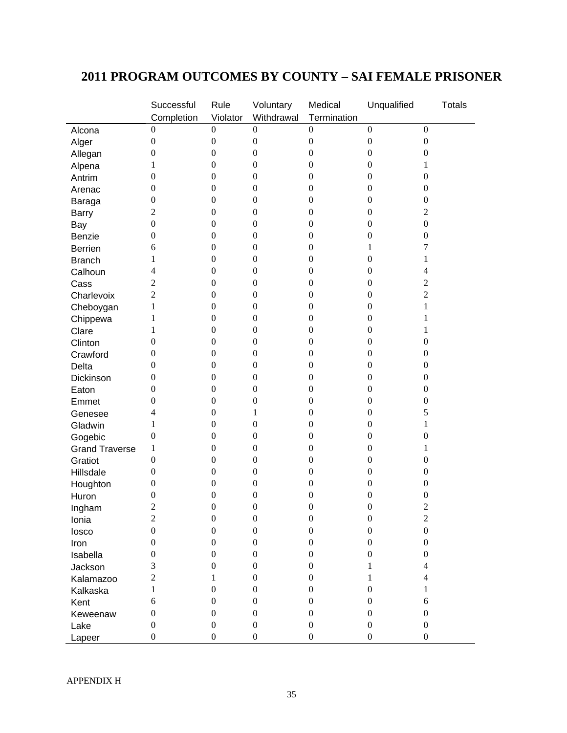# **2011 PROGRAM OUTCOMES BY COUNTY – SAI FEMALE PRISONER**

|                       | Successful       | Rule             | Voluntary        | Medical          | Unqualified      | <b>Totals</b>    |
|-----------------------|------------------|------------------|------------------|------------------|------------------|------------------|
|                       | Completion       | Violator         | Withdrawal       | Termination      |                  |                  |
| Alcona                | $\boldsymbol{0}$ | $\boldsymbol{0}$ | $\boldsymbol{0}$ | $\boldsymbol{0}$ | $\boldsymbol{0}$ | $\boldsymbol{0}$ |
| Alger                 | $\boldsymbol{0}$ | $\boldsymbol{0}$ | $\boldsymbol{0}$ | $\boldsymbol{0}$ | $\boldsymbol{0}$ | $\boldsymbol{0}$ |
| Allegan               | $\boldsymbol{0}$ | $\boldsymbol{0}$ | $\boldsymbol{0}$ | $\boldsymbol{0}$ | $\boldsymbol{0}$ | $\boldsymbol{0}$ |
| Alpena                | 1                | $\boldsymbol{0}$ | $\boldsymbol{0}$ | $\boldsymbol{0}$ | 0                | 1                |
| Antrim                | $\boldsymbol{0}$ | $\boldsymbol{0}$ | $\boldsymbol{0}$ | $\boldsymbol{0}$ | 0                | $\boldsymbol{0}$ |
| Arenac                | $\boldsymbol{0}$ | $\boldsymbol{0}$ | $\boldsymbol{0}$ | $\boldsymbol{0}$ | 0                | $\boldsymbol{0}$ |
| Baraga                | $\boldsymbol{0}$ | $\boldsymbol{0}$ | $\boldsymbol{0}$ | $\boldsymbol{0}$ | 0                | $\boldsymbol{0}$ |
| <b>Barry</b>          | 2                | $\boldsymbol{0}$ | $\boldsymbol{0}$ | $\boldsymbol{0}$ | 0                | $\mathfrak{2}$   |
| Bay                   | $\boldsymbol{0}$ | $\boldsymbol{0}$ | $\boldsymbol{0}$ | $\boldsymbol{0}$ | $\boldsymbol{0}$ | $\boldsymbol{0}$ |
| Benzie                | $\boldsymbol{0}$ | $\boldsymbol{0}$ | $\boldsymbol{0}$ | $\boldsymbol{0}$ | 0                | $\boldsymbol{0}$ |
| <b>Berrien</b>        | 6                | $\boldsymbol{0}$ | $\boldsymbol{0}$ | $\boldsymbol{0}$ | 1                | 7                |
| <b>Branch</b>         | 1                | $\boldsymbol{0}$ | $\boldsymbol{0}$ | $\boldsymbol{0}$ | 0                | 1                |
| Calhoun               | 4                | $\boldsymbol{0}$ | $\boldsymbol{0}$ | $\boldsymbol{0}$ | 0                | 4                |
| Cass                  | 2                | $\boldsymbol{0}$ | $\boldsymbol{0}$ | $\boldsymbol{0}$ | 0                | 2                |
| Charlevoix            | $\overline{2}$   | $\boldsymbol{0}$ | $\boldsymbol{0}$ | $\boldsymbol{0}$ | $\boldsymbol{0}$ | $\overline{2}$   |
| Cheboygan             | 1                | $\boldsymbol{0}$ | $\boldsymbol{0}$ | $\boldsymbol{0}$ | $\boldsymbol{0}$ | 1                |
| Chippewa              | 1                | $\boldsymbol{0}$ | $\boldsymbol{0}$ | $\boldsymbol{0}$ | $\boldsymbol{0}$ | 1                |
| Clare                 | 1                | $\boldsymbol{0}$ | $\boldsymbol{0}$ | $\boldsymbol{0}$ | $\boldsymbol{0}$ | 1                |
| Clinton               | $\boldsymbol{0}$ | $\boldsymbol{0}$ | $\boldsymbol{0}$ | $\boldsymbol{0}$ | $\boldsymbol{0}$ | $\boldsymbol{0}$ |
| Crawford              | $\boldsymbol{0}$ | $\boldsymbol{0}$ | $\boldsymbol{0}$ | $\boldsymbol{0}$ | $\boldsymbol{0}$ | $\boldsymbol{0}$ |
| <b>Delta</b>          | $\overline{0}$   | $\boldsymbol{0}$ | $\boldsymbol{0}$ | $\boldsymbol{0}$ | 0                | $\boldsymbol{0}$ |
| Dickinson             | $\boldsymbol{0}$ | $\boldsymbol{0}$ | $\boldsymbol{0}$ | $\boldsymbol{0}$ | 0                | $\boldsymbol{0}$ |
| Eaton                 | $\theta$         | $\boldsymbol{0}$ | $\boldsymbol{0}$ | $\boldsymbol{0}$ | 0                | $\boldsymbol{0}$ |
| Emmet                 | 0                | $\boldsymbol{0}$ | $\boldsymbol{0}$ | $\boldsymbol{0}$ | 0                | $\boldsymbol{0}$ |
| Genesee               | 4                | $\boldsymbol{0}$ | 1                | $\boldsymbol{0}$ | 0                | 5                |
| Gladwin               | 1                | $\boldsymbol{0}$ | $\boldsymbol{0}$ | $\boldsymbol{0}$ | 0                | 1                |
| Gogebic               | $\boldsymbol{0}$ | $\boldsymbol{0}$ | $\boldsymbol{0}$ | $\boldsymbol{0}$ | 0                | $\boldsymbol{0}$ |
| <b>Grand Traverse</b> | 1                | $\boldsymbol{0}$ | $\boldsymbol{0}$ | $\boldsymbol{0}$ | 0                | 1                |
| Gratiot               | $\boldsymbol{0}$ | $\boldsymbol{0}$ | $\boldsymbol{0}$ | $\boldsymbol{0}$ | 0                | $\boldsymbol{0}$ |
| Hillsdale             | $\boldsymbol{0}$ | $\boldsymbol{0}$ | $\boldsymbol{0}$ | $\boldsymbol{0}$ | 0                | $\boldsymbol{0}$ |
| Houghton              | $\boldsymbol{0}$ | $\boldsymbol{0}$ | $\boldsymbol{0}$ | $\boldsymbol{0}$ | $\boldsymbol{0}$ | $\boldsymbol{0}$ |
| Huron                 | $\boldsymbol{0}$ | $\boldsymbol{0}$ | $\boldsymbol{0}$ | $\boldsymbol{0}$ | $\boldsymbol{0}$ | $\boldsymbol{0}$ |
| Ingham                | $\overline{2}$   | $\boldsymbol{0}$ | $\boldsymbol{0}$ | $\boldsymbol{0}$ | $\boldsymbol{0}$ | $\overline{2}$   |
| Ionia                 | $\mathfrak{2}$   | $\boldsymbol{0}$ | $\boldsymbol{0}$ | $\boldsymbol{0}$ | $\boldsymbol{0}$ | $\mathfrak{2}$   |
| losco                 | $\mathbf{0}$     | $\boldsymbol{0}$ | $\boldsymbol{0}$ | $\boldsymbol{0}$ | $\boldsymbol{0}$ | $\boldsymbol{0}$ |
| Iron                  | $\boldsymbol{0}$ | $\boldsymbol{0}$ | $\boldsymbol{0}$ | $\boldsymbol{0}$ | $\boldsymbol{0}$ | $\boldsymbol{0}$ |
| Isabella              | $\boldsymbol{0}$ | $\mathbf{0}$     | $\mathbf{0}$     | $\boldsymbol{0}$ | $\boldsymbol{0}$ | $\boldsymbol{0}$ |
| Jackson               | 3                | $\boldsymbol{0}$ | $\boldsymbol{0}$ | $\boldsymbol{0}$ | 1                | 4                |
| Kalamazoo             | $\overline{2}$   | 1                | $\mathbf{0}$     | $\boldsymbol{0}$ | 1                | 4                |
| Kalkaska              | 1                | $\boldsymbol{0}$ | $\mathbf{0}$     | $\boldsymbol{0}$ | $\boldsymbol{0}$ | 1                |
| Kent                  | 6                | $\boldsymbol{0}$ | $\mathbf{0}$     | $\boldsymbol{0}$ | $\mathbf{0}$     | 6                |
| Keweenaw              | $\boldsymbol{0}$ | $\boldsymbol{0}$ | $\boldsymbol{0}$ | $\boldsymbol{0}$ | $\boldsymbol{0}$ | $\boldsymbol{0}$ |
| Lake                  | $\boldsymbol{0}$ | $\boldsymbol{0}$ | $\boldsymbol{0}$ | $\boldsymbol{0}$ | $\boldsymbol{0}$ | $\boldsymbol{0}$ |
| Lapeer                | $\boldsymbol{0}$ | $\boldsymbol{0}$ | $\boldsymbol{0}$ | $\boldsymbol{0}$ | $\boldsymbol{0}$ | $\boldsymbol{0}$ |
|                       |                  |                  |                  |                  |                  |                  |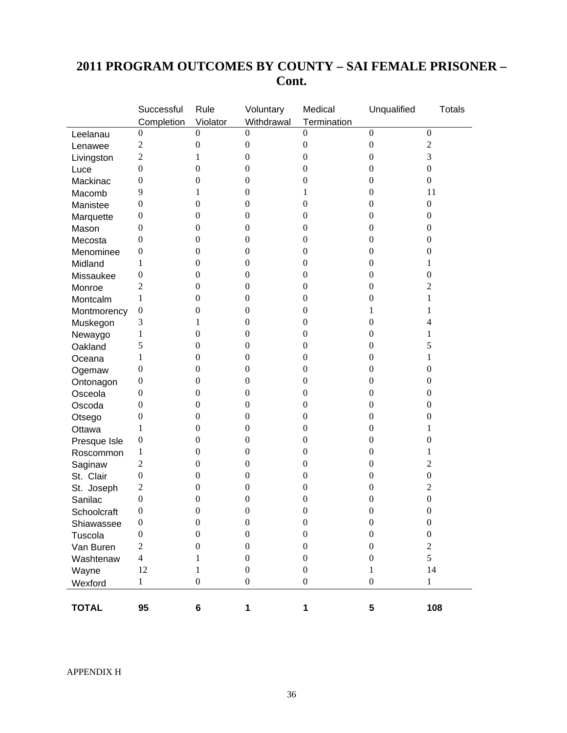# **2011 PROGRAM OUTCOMES BY COUNTY – SAI FEMALE PRISONER – Cont.**

|              | Successful       | Rule             | Voluntary        | Medical          | Unqualified             | <b>Totals</b>    |
|--------------|------------------|------------------|------------------|------------------|-------------------------|------------------|
|              | Completion       | Violator         | Withdrawal       | Termination      |                         |                  |
| Leelanau     | $\boldsymbol{0}$ | $\overline{0}$   | $\theta$         | $\overline{0}$   | $\overline{0}$          | $\boldsymbol{0}$ |
| Lenawee      | $\overline{c}$   | $\boldsymbol{0}$ | $\boldsymbol{0}$ | $\boldsymbol{0}$ | $\boldsymbol{0}$        | $\mathfrak 2$    |
| Livingston   | $\overline{2}$   | 1                | $\boldsymbol{0}$ | $\boldsymbol{0}$ | $\boldsymbol{0}$        | 3                |
| Luce         | $\boldsymbol{0}$ | $\boldsymbol{0}$ | $\overline{0}$   | $\boldsymbol{0}$ | $\boldsymbol{0}$        | $\boldsymbol{0}$ |
| Mackinac     | $\boldsymbol{0}$ | $\boldsymbol{0}$ | $\boldsymbol{0}$ | $\boldsymbol{0}$ | $\boldsymbol{0}$        | $\boldsymbol{0}$ |
| Macomb       | 9                | 1                | $\boldsymbol{0}$ | 1                | $\boldsymbol{0}$        | 11               |
| Manistee     | $\boldsymbol{0}$ | $\boldsymbol{0}$ | $\boldsymbol{0}$ | $\boldsymbol{0}$ | $\boldsymbol{0}$        | $\boldsymbol{0}$ |
| Marquette    | $\boldsymbol{0}$ | $\boldsymbol{0}$ | $\boldsymbol{0}$ | $\boldsymbol{0}$ | $\boldsymbol{0}$        | $\boldsymbol{0}$ |
| Mason        | $\boldsymbol{0}$ | $\boldsymbol{0}$ | $\boldsymbol{0}$ | $\boldsymbol{0}$ | $\boldsymbol{0}$        | $\theta$         |
| Mecosta      | $\theta$         | $\boldsymbol{0}$ | $\boldsymbol{0}$ | $\boldsymbol{0}$ | $\boldsymbol{0}$        | $\boldsymbol{0}$ |
| Menominee    | $\boldsymbol{0}$ | $\boldsymbol{0}$ | $\boldsymbol{0}$ | $\boldsymbol{0}$ | $\boldsymbol{0}$        | $\boldsymbol{0}$ |
| Midland      | 1                | $\boldsymbol{0}$ | $\boldsymbol{0}$ | $\boldsymbol{0}$ | $\boldsymbol{0}$        | 1                |
| Missaukee    | $\boldsymbol{0}$ | $\boldsymbol{0}$ | $\boldsymbol{0}$ | $\boldsymbol{0}$ | $\boldsymbol{0}$        | $\theta$         |
| Monroe       | 2                | $\boldsymbol{0}$ | $\boldsymbol{0}$ | $\boldsymbol{0}$ | $\boldsymbol{0}$        | 2                |
| Montcalm     | 1                | $\boldsymbol{0}$ | $\boldsymbol{0}$ | $\boldsymbol{0}$ | $\boldsymbol{0}$        | 1                |
| Montmorency  | $\boldsymbol{0}$ | $\boldsymbol{0}$ | $\mathbf{0}$     | $\boldsymbol{0}$ | 1                       | 1                |
| Muskegon     | 3                | 1                | $\mathbf{0}$     | $\boldsymbol{0}$ | $\boldsymbol{0}$        | 4                |
| Newaygo      | 1                | $\boldsymbol{0}$ | $\boldsymbol{0}$ | $\boldsymbol{0}$ | $\boldsymbol{0}$        | 1                |
| Oakland      | 5                | $\boldsymbol{0}$ | $\boldsymbol{0}$ | $\boldsymbol{0}$ | $\boldsymbol{0}$        | 5                |
| Oceana       | 1                | $\boldsymbol{0}$ | $\boldsymbol{0}$ | $\boldsymbol{0}$ | $\boldsymbol{0}$        | 1                |
| Ogemaw       | $\boldsymbol{0}$ | $\boldsymbol{0}$ | $\boldsymbol{0}$ | $\boldsymbol{0}$ | $\boldsymbol{0}$        | $\theta$         |
| Ontonagon    | $\boldsymbol{0}$ | $\boldsymbol{0}$ | $\boldsymbol{0}$ | $\boldsymbol{0}$ | $\boldsymbol{0}$        | $\theta$         |
| Osceola      | $\boldsymbol{0}$ | $\boldsymbol{0}$ | $\boldsymbol{0}$ | $\boldsymbol{0}$ | $\boldsymbol{0}$        | $\boldsymbol{0}$ |
| Oscoda       | $\boldsymbol{0}$ | $\boldsymbol{0}$ | $\boldsymbol{0}$ | $\boldsymbol{0}$ | $\boldsymbol{0}$        | $\boldsymbol{0}$ |
| Otsego       | $\boldsymbol{0}$ | $\boldsymbol{0}$ | $\boldsymbol{0}$ | $\boldsymbol{0}$ | $\boldsymbol{0}$        | $\theta$         |
| Ottawa       | 1                | $\boldsymbol{0}$ | $\boldsymbol{0}$ | $\boldsymbol{0}$ | $\boldsymbol{0}$        | 1                |
| Presque Isle | $\boldsymbol{0}$ | $\boldsymbol{0}$ | $\boldsymbol{0}$ | $\boldsymbol{0}$ | $\boldsymbol{0}$        | $\boldsymbol{0}$ |
| Roscommon    | 1                | $\boldsymbol{0}$ | $\boldsymbol{0}$ | $\boldsymbol{0}$ | $\boldsymbol{0}$        | 1                |
| Saginaw      | $\mathfrak{2}$   | $\boldsymbol{0}$ | $\boldsymbol{0}$ | $\boldsymbol{0}$ | $\boldsymbol{0}$        | $\overline{2}$   |
| St. Clair    | $\boldsymbol{0}$ | $\boldsymbol{0}$ | $\boldsymbol{0}$ | $\boldsymbol{0}$ | $\boldsymbol{0}$        | $\boldsymbol{0}$ |
| St. Joseph   | $\overline{c}$   | $\boldsymbol{0}$ | $\boldsymbol{0}$ | $\boldsymbol{0}$ | $\boldsymbol{0}$        | $\overline{c}$   |
| Sanilac      | $\boldsymbol{0}$ | $\boldsymbol{0}$ | $\boldsymbol{0}$ | $\boldsymbol{0}$ | $\boldsymbol{0}$        | $\boldsymbol{0}$ |
| Schoolcraft  | $\boldsymbol{0}$ | $\boldsymbol{0}$ | $\mathbf{0}$     | $\boldsymbol{0}$ | $\boldsymbol{0}$        | $\boldsymbol{0}$ |
| Shiawassee   | $\boldsymbol{0}$ | $\boldsymbol{0}$ | $\boldsymbol{0}$ | $\boldsymbol{0}$ | $\boldsymbol{0}$        | $\boldsymbol{0}$ |
| Tuscola      | $\boldsymbol{0}$ | $\boldsymbol{0}$ | $\boldsymbol{0}$ | $\boldsymbol{0}$ | $\boldsymbol{0}$        | $\boldsymbol{0}$ |
| Van Buren    | $\overline{c}$   | 0                | $\boldsymbol{0}$ | $\boldsymbol{0}$ | $\boldsymbol{0}$        | $\mathbf{2}$     |
| Washtenaw    | 4                | 1                | $\boldsymbol{0}$ | $\boldsymbol{0}$ | $\boldsymbol{0}$        | 5                |
| Wayne        | 12               | 1                | $\boldsymbol{0}$ | $\boldsymbol{0}$ | 1                       | 14               |
| Wexford      | $\mathbf 1$      | $\boldsymbol{0}$ | $\boldsymbol{0}$ | $\boldsymbol{0}$ | $\boldsymbol{0}$        | $\,1$            |
|              |                  |                  |                  |                  |                         |                  |
| <b>TOTAL</b> | 95               | 6                | 1                | 1                | $\overline{\mathbf{5}}$ | 108              |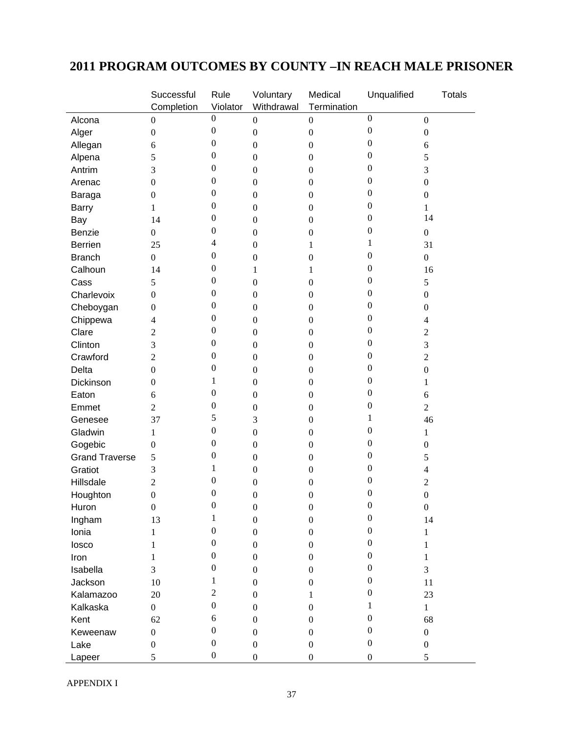# **2011 PROGRAM OUTCOMES BY COUNTY –IN REACH MALE PRISONER**

|                       | Successful               | Rule             | Voluntary        | Medical          | Unqualified      | <b>Totals</b>            |
|-----------------------|--------------------------|------------------|------------------|------------------|------------------|--------------------------|
|                       | Completion               | Violator         | Withdrawal       | Termination      |                  |                          |
| Alcona                | $\boldsymbol{0}$         | $\boldsymbol{0}$ | $\boldsymbol{0}$ | $\boldsymbol{0}$ | $\boldsymbol{0}$ | $\boldsymbol{0}$         |
| Alger                 | $\boldsymbol{0}$         | $\boldsymbol{0}$ | $\boldsymbol{0}$ | $\boldsymbol{0}$ | $\boldsymbol{0}$ | $\boldsymbol{0}$         |
| Allegan               | 6                        | $\boldsymbol{0}$ | $\boldsymbol{0}$ | $\boldsymbol{0}$ | $\boldsymbol{0}$ | 6                        |
| Alpena                | 5                        | $\boldsymbol{0}$ | $\boldsymbol{0}$ | $\boldsymbol{0}$ | $\boldsymbol{0}$ | 5                        |
| Antrim                | 3                        | $\boldsymbol{0}$ | $\boldsymbol{0}$ | $\boldsymbol{0}$ | $\boldsymbol{0}$ | 3                        |
| Arenac                | $\boldsymbol{0}$         | $\boldsymbol{0}$ | $\boldsymbol{0}$ | $\boldsymbol{0}$ | 0                | $\boldsymbol{0}$         |
| Baraga                | $\boldsymbol{0}$         | $\boldsymbol{0}$ | $\boldsymbol{0}$ | $\boldsymbol{0}$ | 0                | $\boldsymbol{0}$         |
| <b>Barry</b>          | 1                        | $\boldsymbol{0}$ | $\boldsymbol{0}$ | $\boldsymbol{0}$ | $\boldsymbol{0}$ | 1                        |
| Bay                   | 14                       | $\boldsymbol{0}$ | $\boldsymbol{0}$ | $\boldsymbol{0}$ | $\boldsymbol{0}$ | 14                       |
| Benzie                | $\boldsymbol{0}$         | $\boldsymbol{0}$ | $\boldsymbol{0}$ | $\boldsymbol{0}$ | $\boldsymbol{0}$ | $\boldsymbol{0}$         |
| <b>Berrien</b>        | 25                       | 4                | $\boldsymbol{0}$ | 1                | 1                | 31                       |
| <b>Branch</b>         | $\mathbf{0}$             | $\boldsymbol{0}$ | $\boldsymbol{0}$ | $\boldsymbol{0}$ | $\boldsymbol{0}$ | $\mathbf{0}$             |
| Calhoun               | 14                       | $\boldsymbol{0}$ | 1                | 1                | $\boldsymbol{0}$ | 16                       |
| Cass                  | 5                        | $\boldsymbol{0}$ | $\boldsymbol{0}$ | $\boldsymbol{0}$ | $\boldsymbol{0}$ | 5                        |
| Charlevoix            | $\boldsymbol{0}$         | $\boldsymbol{0}$ | $\boldsymbol{0}$ | $\boldsymbol{0}$ | $\boldsymbol{0}$ | $\boldsymbol{0}$         |
| Cheboygan             | $\boldsymbol{0}$         | $\boldsymbol{0}$ | $\boldsymbol{0}$ | $\boldsymbol{0}$ | $\boldsymbol{0}$ | $\boldsymbol{0}$         |
| Chippewa              | $\overline{\mathcal{L}}$ | $\boldsymbol{0}$ | $\boldsymbol{0}$ | $\boldsymbol{0}$ | $\boldsymbol{0}$ | 4                        |
| Clare                 | $\overline{2}$           | $\boldsymbol{0}$ | $\boldsymbol{0}$ | $\boldsymbol{0}$ | $\boldsymbol{0}$ | $\mathbf{2}$             |
| Clinton               | 3                        | $\boldsymbol{0}$ | $\boldsymbol{0}$ | $\boldsymbol{0}$ | $\boldsymbol{0}$ | 3                        |
| Crawford              | $\overline{2}$           | $\boldsymbol{0}$ | $\boldsymbol{0}$ | $\boldsymbol{0}$ | $\boldsymbol{0}$ | $\boldsymbol{2}$         |
| Delta                 | $\boldsymbol{0}$         | $\boldsymbol{0}$ | $\boldsymbol{0}$ | $\boldsymbol{0}$ | $\boldsymbol{0}$ | $\boldsymbol{0}$         |
| Dickinson             | $\Omega$                 | 1                | $\boldsymbol{0}$ | $\boldsymbol{0}$ | 0                | 1                        |
| Eaton                 | 6                        | $\boldsymbol{0}$ | $\boldsymbol{0}$ | $\boldsymbol{0}$ | 0                | 6                        |
| Emmet                 | $\overline{2}$           | $\boldsymbol{0}$ | $\boldsymbol{0}$ | $\boldsymbol{0}$ | $\boldsymbol{0}$ | $\overline{2}$           |
| Genesee               | 37                       | 5                | 3                | $\boldsymbol{0}$ | 1                | 46                       |
| Gladwin               | 1                        | $\boldsymbol{0}$ | $\boldsymbol{0}$ | $\boldsymbol{0}$ | $\boldsymbol{0}$ | 1                        |
| Gogebic               | $\boldsymbol{0}$         | $\boldsymbol{0}$ | $\boldsymbol{0}$ | $\boldsymbol{0}$ | $\boldsymbol{0}$ | $\boldsymbol{0}$         |
| <b>Grand Traverse</b> | 5                        | $\boldsymbol{0}$ | $\boldsymbol{0}$ | $\boldsymbol{0}$ | $\boldsymbol{0}$ | 5                        |
| Gratiot               | 3                        | 1                | $\boldsymbol{0}$ | $\boldsymbol{0}$ | $\boldsymbol{0}$ | $\overline{\mathcal{L}}$ |
| Hillsdale             | $\overline{2}$           | $\boldsymbol{0}$ | $\boldsymbol{0}$ | $\boldsymbol{0}$ | $\boldsymbol{0}$ | $\overline{2}$           |
| Houghton              | $\boldsymbol{0}$         | $\boldsymbol{0}$ | $\boldsymbol{0}$ | $\boldsymbol{0}$ | $\boldsymbol{0}$ | $\boldsymbol{0}$         |
| Huron                 | $\boldsymbol{0}$         | $\boldsymbol{0}$ | $\boldsymbol{0}$ | $\boldsymbol{0}$ | $\boldsymbol{0}$ | $\boldsymbol{0}$         |
| Ingham                | 13                       | $\,1$            | $\boldsymbol{0}$ | $\boldsymbol{0}$ | $\boldsymbol{0}$ | 14                       |
| Ionia                 | 1                        | $\boldsymbol{0}$ | $\boldsymbol{0}$ | $\boldsymbol{0}$ | $\boldsymbol{0}$ | $\mathbf{1}$             |
| losco                 | 1                        | $\boldsymbol{0}$ | $\boldsymbol{0}$ | $\boldsymbol{0}$ | $\boldsymbol{0}$ | 1                        |
| Iron                  | 1                        | $\boldsymbol{0}$ | $\boldsymbol{0}$ | $\boldsymbol{0}$ | $\boldsymbol{0}$ | 1                        |
| Isabella              | 3                        | $\boldsymbol{0}$ | $\boldsymbol{0}$ | $\boldsymbol{0}$ | $\boldsymbol{0}$ | 3                        |
| Jackson               | 10                       | $\mathbf{1}$     | $\mathbf{0}$     | $\overline{0}$   | $\boldsymbol{0}$ | 11                       |
| Kalamazoo             | 20                       | $\sqrt{2}$       | $\mathbf{0}$     | 1                | $\boldsymbol{0}$ | 23                       |
| Kalkaska              | $\overline{0}$           | $\boldsymbol{0}$ | $\overline{0}$   | $\boldsymbol{0}$ | 1                | $\mathbf{1}$             |
| Kent                  | 62                       | 6                | $\boldsymbol{0}$ | $\boldsymbol{0}$ | $\boldsymbol{0}$ | 68                       |
| Keweenaw              | $\boldsymbol{0}$         | $\boldsymbol{0}$ | $\boldsymbol{0}$ | $\overline{0}$   | $\boldsymbol{0}$ | $\overline{0}$           |
| Lake                  | $\Omega$                 | $\boldsymbol{0}$ | $\boldsymbol{0}$ | $\boldsymbol{0}$ | $\boldsymbol{0}$ | $\overline{0}$           |
| Lapeer                | 5                        | $\boldsymbol{0}$ | $\boldsymbol{0}$ | $\boldsymbol{0}$ | $\boldsymbol{0}$ | 5                        |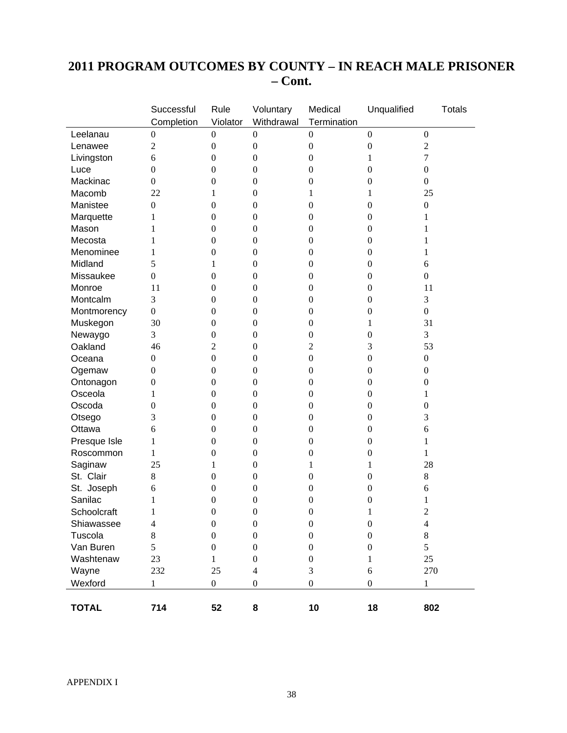# **2011 PROGRAM OUTCOMES BY COUNTY – IN REACH MALE PRISONER – Cont.**

|              | Successful       | Rule             | Voluntary        | Medical          | Unqualified      | <b>Totals</b>    |
|--------------|------------------|------------------|------------------|------------------|------------------|------------------|
|              | Completion       | Violator         | Withdrawal       | Termination      |                  |                  |
| Leelanau     | $\boldsymbol{0}$ | $\boldsymbol{0}$ | $\boldsymbol{0}$ | $\boldsymbol{0}$ | $\boldsymbol{0}$ | $\boldsymbol{0}$ |
| Lenawee      | $\mathfrak{2}$   | $\boldsymbol{0}$ | $\boldsymbol{0}$ | $\boldsymbol{0}$ | $\boldsymbol{0}$ | $\overline{2}$   |
| Livingston   | 6                | $\boldsymbol{0}$ | $\boldsymbol{0}$ | $\boldsymbol{0}$ | 1                | 7                |
| Luce         | $\boldsymbol{0}$ | $\boldsymbol{0}$ | $\boldsymbol{0}$ | $\boldsymbol{0}$ | $\boldsymbol{0}$ | $\boldsymbol{0}$ |
| Mackinac     | $\boldsymbol{0}$ | $\boldsymbol{0}$ | $\boldsymbol{0}$ | $\boldsymbol{0}$ | $\boldsymbol{0}$ | $\boldsymbol{0}$ |
| Macomb       | 22               | 1                | $\boldsymbol{0}$ | 1                | 1                | 25               |
| Manistee     | $\boldsymbol{0}$ | $\boldsymbol{0}$ | $\boldsymbol{0}$ | $\boldsymbol{0}$ | $\boldsymbol{0}$ | $\boldsymbol{0}$ |
| Marquette    | 1                | $\boldsymbol{0}$ | $\boldsymbol{0}$ | $\boldsymbol{0}$ | $\boldsymbol{0}$ | 1                |
| Mason        | 1                | $\boldsymbol{0}$ | $\boldsymbol{0}$ | $\boldsymbol{0}$ | $\boldsymbol{0}$ | 1                |
| Mecosta      | 1                | $\boldsymbol{0}$ | $\boldsymbol{0}$ | $\boldsymbol{0}$ | $\boldsymbol{0}$ | 1                |
| Menominee    | 1                | $\boldsymbol{0}$ | $\boldsymbol{0}$ | $\boldsymbol{0}$ | $\overline{0}$   | 1                |
| Midland      | 5                | 1                | $\boldsymbol{0}$ | $\boldsymbol{0}$ | $\boldsymbol{0}$ | 6                |
| Missaukee    | $\boldsymbol{0}$ | $\boldsymbol{0}$ | $\boldsymbol{0}$ | $\boldsymbol{0}$ | $\boldsymbol{0}$ | $\boldsymbol{0}$ |
| Monroe       | 11               | $\boldsymbol{0}$ | $\boldsymbol{0}$ | $\boldsymbol{0}$ | $\boldsymbol{0}$ | 11               |
| Montcalm     | 3                | $\boldsymbol{0}$ | $\boldsymbol{0}$ | $\boldsymbol{0}$ | $\mathbf{0}$     | 3                |
| Montmorency  | $\boldsymbol{0}$ | $\boldsymbol{0}$ | $\boldsymbol{0}$ | $\boldsymbol{0}$ | $\boldsymbol{0}$ | $\boldsymbol{0}$ |
| Muskegon     | 30               | $\boldsymbol{0}$ | $\boldsymbol{0}$ | $\boldsymbol{0}$ | 1                | 31               |
| Newaygo      | 3                | $\boldsymbol{0}$ | $\boldsymbol{0}$ | $\boldsymbol{0}$ | $\boldsymbol{0}$ | 3                |
| Oakland      | 46               | $\overline{c}$   | $\boldsymbol{0}$ | $\overline{c}$   | 3                | 53               |
| Oceana       | $\boldsymbol{0}$ | $\boldsymbol{0}$ | $\boldsymbol{0}$ | $\boldsymbol{0}$ | $\boldsymbol{0}$ | $\boldsymbol{0}$ |
| Ogemaw       | $\boldsymbol{0}$ | $\boldsymbol{0}$ | $\boldsymbol{0}$ | $\boldsymbol{0}$ | $\boldsymbol{0}$ | $\boldsymbol{0}$ |
| Ontonagon    | $\boldsymbol{0}$ | $\boldsymbol{0}$ | $\boldsymbol{0}$ | $\boldsymbol{0}$ | $\boldsymbol{0}$ | $\boldsymbol{0}$ |
| Osceola      | 1                | $\boldsymbol{0}$ | $\boldsymbol{0}$ | $\boldsymbol{0}$ | $\boldsymbol{0}$ | 1                |
| Oscoda       | $\boldsymbol{0}$ | $\boldsymbol{0}$ | $\boldsymbol{0}$ | $\boldsymbol{0}$ | $\boldsymbol{0}$ | $\boldsymbol{0}$ |
| Otsego       | 3                | $\boldsymbol{0}$ | $\boldsymbol{0}$ | $\boldsymbol{0}$ | $\boldsymbol{0}$ | 3                |
| Ottawa       | 6                | $\boldsymbol{0}$ | $\boldsymbol{0}$ | $\boldsymbol{0}$ | $\boldsymbol{0}$ | 6                |
| Presque Isle | 1                | $\boldsymbol{0}$ | $\boldsymbol{0}$ | $\boldsymbol{0}$ | $\overline{0}$   | 1                |
| Roscommon    | 1                | $\boldsymbol{0}$ | $\boldsymbol{0}$ | $\boldsymbol{0}$ | $\boldsymbol{0}$ | 1                |
| Saginaw      | 25               | 1                | $\boldsymbol{0}$ | $\mathbf{1}$     | 1                | 28               |
| St. Clair    | $8\,$            | $\boldsymbol{0}$ | $\boldsymbol{0}$ | $\boldsymbol{0}$ | $\boldsymbol{0}$ | $8\,$            |
| St. Joseph   | 6                | $\boldsymbol{0}$ | $\boldsymbol{0}$ | $\boldsymbol{0}$ | $\boldsymbol{0}$ | 6                |
| Sanilac      | 1                | $\boldsymbol{0}$ | $\boldsymbol{0}$ | $\boldsymbol{0}$ | $\boldsymbol{0}$ | 1                |
| Schoolcraft  | 1                | $\mathbf{0}$     | $\boldsymbol{0}$ | $\boldsymbol{0}$ | 1                | $\overline{2}$   |
| Shiawassee   | $\overline{4}$   | $\boldsymbol{0}$ | $\boldsymbol{0}$ | $\boldsymbol{0}$ | $\boldsymbol{0}$ | $\overline{4}$   |
| Tuscola      | 8                | $\boldsymbol{0}$ | $\boldsymbol{0}$ | $\boldsymbol{0}$ | $\boldsymbol{0}$ | $8\,$            |
| Van Buren    | 5                | $\boldsymbol{0}$ | $\boldsymbol{0}$ | $\boldsymbol{0}$ | $\boldsymbol{0}$ | 5                |
| Washtenaw    | 23               | $\mathbf{1}$     | $\boldsymbol{0}$ | $\boldsymbol{0}$ | 1                | 25               |
| Wayne        | 232              | 25               | $\overline{4}$   | 3                | 6                | 270              |
| Wexford      | 1                | $\boldsymbol{0}$ | $\boldsymbol{0}$ | $\boldsymbol{0}$ | $\boldsymbol{0}$ | $\mathbf{1}$     |
|              |                  |                  |                  |                  |                  |                  |
| <b>TOTAL</b> | 714              | 52               | 8                | 10               | 18               | 802              |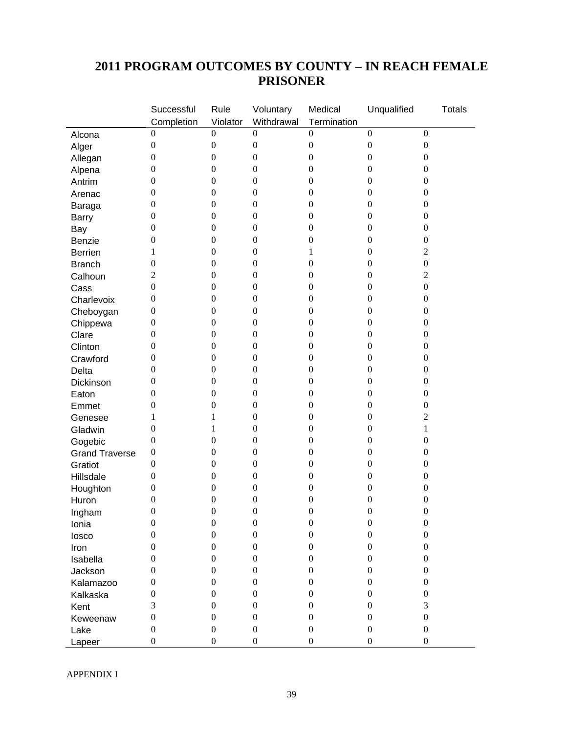# **2011 PROGRAM OUTCOMES BY COUNTY – IN REACH FEMALE PRISONER**

|                                  | Successful       | Rule             | Voluntary        | Medical          | Unqualified                          | <b>Totals</b>    |
|----------------------------------|------------------|------------------|------------------|------------------|--------------------------------------|------------------|
|                                  | Completion       | Violator         | Withdrawal       | Termination      |                                      |                  |
| Alcona                           | $\theta$         | $\boldsymbol{0}$ | $\boldsymbol{0}$ | $\boldsymbol{0}$ | $\boldsymbol{0}$                     | $\boldsymbol{0}$ |
| Alger                            | $\boldsymbol{0}$ | $\boldsymbol{0}$ | $\boldsymbol{0}$ | $\boldsymbol{0}$ | $\boldsymbol{0}$                     | $\boldsymbol{0}$ |
| Allegan                          | $\boldsymbol{0}$ | $\boldsymbol{0}$ | $\boldsymbol{0}$ | $\boldsymbol{0}$ | $\boldsymbol{0}$                     | $\overline{0}$   |
| Alpena                           | $\boldsymbol{0}$ | $\boldsymbol{0}$ | $\boldsymbol{0}$ | $\boldsymbol{0}$ | $\boldsymbol{0}$                     | $\boldsymbol{0}$ |
| Antrim                           | $\boldsymbol{0}$ | $\boldsymbol{0}$ | $\boldsymbol{0}$ | $\boldsymbol{0}$ | $\boldsymbol{0}$                     | $\boldsymbol{0}$ |
| Arenac                           | $\theta$         | $\boldsymbol{0}$ | $\boldsymbol{0}$ | $\boldsymbol{0}$ | $\boldsymbol{0}$                     | $\boldsymbol{0}$ |
| Baraga                           | $\theta$         | $\boldsymbol{0}$ | $\boldsymbol{0}$ | $\boldsymbol{0}$ | $\boldsymbol{0}$                     | $\boldsymbol{0}$ |
| <b>Barry</b>                     | $\boldsymbol{0}$ | $\boldsymbol{0}$ | $\boldsymbol{0}$ | $\boldsymbol{0}$ | $\boldsymbol{0}$                     | $\boldsymbol{0}$ |
| Bay                              | $\mathbf{0}$     | $\boldsymbol{0}$ | $\boldsymbol{0}$ | $\boldsymbol{0}$ | $\boldsymbol{0}$                     | $\boldsymbol{0}$ |
| Benzie                           | $\boldsymbol{0}$ | $\boldsymbol{0}$ | $\boldsymbol{0}$ | $\boldsymbol{0}$ | $\boldsymbol{0}$                     | $\boldsymbol{0}$ |
| <b>Berrien</b>                   | 1                | $\boldsymbol{0}$ | $\boldsymbol{0}$ | $\mathbf{1}$     | $\boldsymbol{0}$                     | $\sqrt{2}$       |
| <b>Branch</b>                    | $\boldsymbol{0}$ | $\boldsymbol{0}$ | $\boldsymbol{0}$ | $\boldsymbol{0}$ | $\boldsymbol{0}$                     | $\boldsymbol{0}$ |
| Calhoun                          | $\overline{2}$   | $\boldsymbol{0}$ | $\boldsymbol{0}$ | $\boldsymbol{0}$ | $\boldsymbol{0}$                     | $\overline{2}$   |
| Cass                             | $\boldsymbol{0}$ | $\boldsymbol{0}$ | $\boldsymbol{0}$ | $\boldsymbol{0}$ | $\boldsymbol{0}$                     | $\boldsymbol{0}$ |
| Charlevoix                       | $\theta$         | $\boldsymbol{0}$ | $\boldsymbol{0}$ | $\boldsymbol{0}$ | $\boldsymbol{0}$                     | $\boldsymbol{0}$ |
| Cheboygan                        | $\boldsymbol{0}$ | $\boldsymbol{0}$ | $\boldsymbol{0}$ | $\boldsymbol{0}$ | $\boldsymbol{0}$                     | $\boldsymbol{0}$ |
| Chippewa                         | $\boldsymbol{0}$ | $\boldsymbol{0}$ | $\boldsymbol{0}$ | $\boldsymbol{0}$ | $\boldsymbol{0}$                     | $\boldsymbol{0}$ |
| Clare                            | $\mathbf{0}$     | $\boldsymbol{0}$ | $\boldsymbol{0}$ | $\boldsymbol{0}$ | $\boldsymbol{0}$                     | $\boldsymbol{0}$ |
| Clinton                          | $\mathbf{0}$     | $\boldsymbol{0}$ | $\boldsymbol{0}$ | $\boldsymbol{0}$ | $\boldsymbol{0}$                     | $\boldsymbol{0}$ |
| Crawford                         | $\boldsymbol{0}$ | $\boldsymbol{0}$ | $\boldsymbol{0}$ | $\boldsymbol{0}$ | $\boldsymbol{0}$                     | $\boldsymbol{0}$ |
| Delta                            | $\theta$         | $\boldsymbol{0}$ | $\boldsymbol{0}$ | $\boldsymbol{0}$ | $\boldsymbol{0}$                     | $\boldsymbol{0}$ |
| Dickinson                        | $\theta$         | $\boldsymbol{0}$ | $\boldsymbol{0}$ | $\boldsymbol{0}$ | $\boldsymbol{0}$                     | $\boldsymbol{0}$ |
| Eaton                            | $\theta$         | $\boldsymbol{0}$ | $\boldsymbol{0}$ | $\boldsymbol{0}$ | $\boldsymbol{0}$                     | $\boldsymbol{0}$ |
| Emmet                            | $\boldsymbol{0}$ | $\boldsymbol{0}$ | $\boldsymbol{0}$ | $\boldsymbol{0}$ | $\boldsymbol{0}$                     | $\boldsymbol{0}$ |
| Genesee                          | 1                | 1                | $\boldsymbol{0}$ | $\boldsymbol{0}$ | $\boldsymbol{0}$                     | $\mathbf{2}$     |
| Gladwin                          | $\mathbf{0}$     | 1                | $\boldsymbol{0}$ | $\boldsymbol{0}$ | $\boldsymbol{0}$                     | $\mathbf{1}$     |
|                                  | $\mathbf{0}$     | $\boldsymbol{0}$ | $\boldsymbol{0}$ | $\boldsymbol{0}$ | $\boldsymbol{0}$                     | $\boldsymbol{0}$ |
| Gogebic<br><b>Grand Traverse</b> | $\boldsymbol{0}$ | $\boldsymbol{0}$ | $\boldsymbol{0}$ | $\boldsymbol{0}$ | $\boldsymbol{0}$                     | $\boldsymbol{0}$ |
| Gratiot                          | $\boldsymbol{0}$ | $\boldsymbol{0}$ | $\boldsymbol{0}$ | $\boldsymbol{0}$ | $\boldsymbol{0}$                     | $\boldsymbol{0}$ |
|                                  | $\boldsymbol{0}$ | $\boldsymbol{0}$ | $\boldsymbol{0}$ | $\boldsymbol{0}$ | $\boldsymbol{0}$                     | $\boldsymbol{0}$ |
| Hillsdale                        | $\boldsymbol{0}$ | $\boldsymbol{0}$ | $\boldsymbol{0}$ | $\boldsymbol{0}$ | $\boldsymbol{0}$                     | $\boldsymbol{0}$ |
| Houghton                         | $\boldsymbol{0}$ | $\boldsymbol{0}$ | $\boldsymbol{0}$ | $\boldsymbol{0}$ | $\boldsymbol{0}$                     | $\boldsymbol{0}$ |
| Huron                            | $\boldsymbol{0}$ | $\boldsymbol{0}$ | $\boldsymbol{0}$ | $\boldsymbol{0}$ | $\boldsymbol{0}$                     | $\boldsymbol{0}$ |
| Ingham                           |                  | $\boldsymbol{0}$ | $\boldsymbol{0}$ | $\boldsymbol{0}$ |                                      |                  |
| Ionia                            | $\boldsymbol{0}$ | $\boldsymbol{0}$ | $\boldsymbol{0}$ | $\boldsymbol{0}$ | $\boldsymbol{0}$<br>$\boldsymbol{0}$ | $\boldsymbol{0}$ |
| losco                            | $\boldsymbol{0}$ |                  |                  |                  |                                      | $\boldsymbol{0}$ |
| Iron                             | $\boldsymbol{0}$ | $\boldsymbol{0}$ | $\boldsymbol{0}$ | $\boldsymbol{0}$ | $\boldsymbol{0}$                     | $\boldsymbol{0}$ |
| Isabella                         | $\mathbf{0}$     | $\boldsymbol{0}$ | $\boldsymbol{0}$ | $\boldsymbol{0}$ | $\boldsymbol{0}$                     | $\boldsymbol{0}$ |
| Jackson                          | $\mathbf{0}$     | $\boldsymbol{0}$ | $\boldsymbol{0}$ | $\boldsymbol{0}$ | $\boldsymbol{0}$                     | $\boldsymbol{0}$ |
| Kalamazoo                        | $\mathbf{0}$     | $\boldsymbol{0}$ | $\boldsymbol{0}$ | $\boldsymbol{0}$ | $\boldsymbol{0}$                     | $\overline{0}$   |
| Kalkaska                         | $\boldsymbol{0}$ | $\boldsymbol{0}$ | $\boldsymbol{0}$ | $\boldsymbol{0}$ | $\boldsymbol{0}$                     | $\overline{0}$   |
| Kent                             | 3                | $\boldsymbol{0}$ | $\boldsymbol{0}$ | $\boldsymbol{0}$ | $\boldsymbol{0}$                     | 3                |
| Keweenaw                         | $\mathbf{0}$     | $\boldsymbol{0}$ | $\boldsymbol{0}$ | $\boldsymbol{0}$ | $\boldsymbol{0}$                     | $\boldsymbol{0}$ |
| Lake                             | $\boldsymbol{0}$ | $\boldsymbol{0}$ | $\boldsymbol{0}$ | $\boldsymbol{0}$ | $\boldsymbol{0}$                     | $\boldsymbol{0}$ |
| Lapeer                           | $\boldsymbol{0}$ | $\boldsymbol{0}$ | $\boldsymbol{0}$ | $\boldsymbol{0}$ | $\boldsymbol{0}$                     | $\boldsymbol{0}$ |

APPENDIX I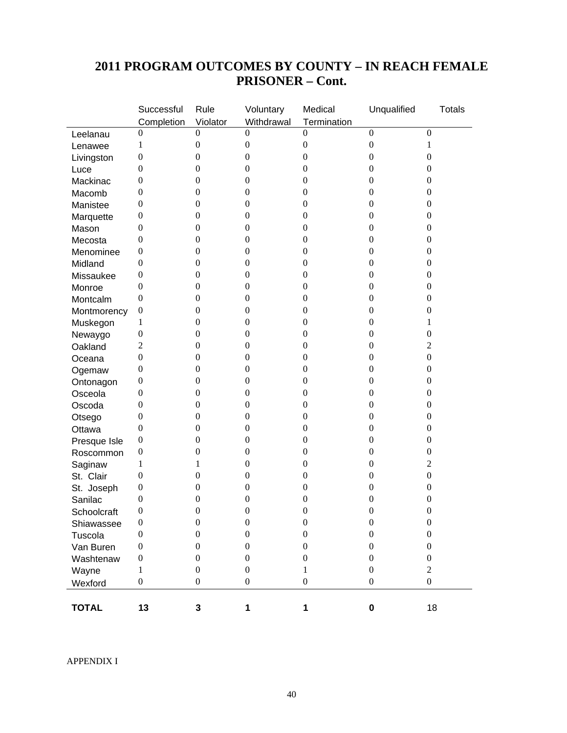|              | Successful       | Rule             | Voluntary        | Medical          | Unqualified      | <b>Totals</b>    |
|--------------|------------------|------------------|------------------|------------------|------------------|------------------|
|              | Completion       | Violator         | Withdrawal       | Termination      |                  |                  |
| Leelanau     | 0                | $\boldsymbol{0}$ | $\Omega$         | 0                | $\mathbf{0}$     | $\boldsymbol{0}$ |
| Lenawee      | 1                | $\boldsymbol{0}$ | $\boldsymbol{0}$ | $\boldsymbol{0}$ | $\boldsymbol{0}$ | 1                |
| Livingston   | $\boldsymbol{0}$ | $\boldsymbol{0}$ | $\boldsymbol{0}$ | $\boldsymbol{0}$ | $\boldsymbol{0}$ | $\boldsymbol{0}$ |
| Luce         | $\mathbf{0}$     | $\boldsymbol{0}$ | $\boldsymbol{0}$ | $\boldsymbol{0}$ | $\boldsymbol{0}$ | $\boldsymbol{0}$ |
| Mackinac     | $\theta$         | $\boldsymbol{0}$ | $\boldsymbol{0}$ | $\boldsymbol{0}$ | $\boldsymbol{0}$ | $\boldsymbol{0}$ |
| Macomb       | $\mathbf{0}$     | $\boldsymbol{0}$ | $\boldsymbol{0}$ | $\boldsymbol{0}$ | $\boldsymbol{0}$ | $\boldsymbol{0}$ |
| Manistee     | $\mathbf{0}$     | $\boldsymbol{0}$ | $\boldsymbol{0}$ | $\boldsymbol{0}$ | $\boldsymbol{0}$ | $\boldsymbol{0}$ |
| Marquette    | $\mathbf{0}$     | $\boldsymbol{0}$ | $\boldsymbol{0}$ | $\boldsymbol{0}$ | $\boldsymbol{0}$ | $\boldsymbol{0}$ |
| Mason        | $\mathbf{0}$     | $\boldsymbol{0}$ | $\boldsymbol{0}$ | $\boldsymbol{0}$ | $\boldsymbol{0}$ | $\boldsymbol{0}$ |
| Mecosta      | $\mathbf{0}$     | $\boldsymbol{0}$ | $\boldsymbol{0}$ | $\boldsymbol{0}$ | $\boldsymbol{0}$ | $\boldsymbol{0}$ |
| Menominee    | $\mathbf{0}$     | $\boldsymbol{0}$ | $\boldsymbol{0}$ | $\boldsymbol{0}$ | $\boldsymbol{0}$ | $\boldsymbol{0}$ |
| Midland      | $\mathbf{0}$     | $\boldsymbol{0}$ | $\boldsymbol{0}$ | $\boldsymbol{0}$ | $\boldsymbol{0}$ | $\boldsymbol{0}$ |
| Missaukee    | 0                | $\boldsymbol{0}$ | $\boldsymbol{0}$ | $\boldsymbol{0}$ | $\boldsymbol{0}$ | $\boldsymbol{0}$ |
| Monroe       | $\mathbf{0}$     | $\boldsymbol{0}$ | $\boldsymbol{0}$ | $\boldsymbol{0}$ | $\boldsymbol{0}$ | $\boldsymbol{0}$ |
| Montcalm     | $\mathbf{0}$     | $\boldsymbol{0}$ | $\boldsymbol{0}$ | $\boldsymbol{0}$ | $\boldsymbol{0}$ | $\boldsymbol{0}$ |
| Montmorency  | $\boldsymbol{0}$ | $\boldsymbol{0}$ | $\boldsymbol{0}$ | $\boldsymbol{0}$ | $\boldsymbol{0}$ | $\boldsymbol{0}$ |
| Muskegon     | 1                | $\boldsymbol{0}$ | $\boldsymbol{0}$ | $\boldsymbol{0}$ | $\boldsymbol{0}$ | 1                |
| Newaygo      | $\boldsymbol{0}$ | $\boldsymbol{0}$ | $\boldsymbol{0}$ | $\boldsymbol{0}$ | $\boldsymbol{0}$ | $\boldsymbol{0}$ |
| Oakland      | $\overline{2}$   | $\boldsymbol{0}$ | $\boldsymbol{0}$ | $\boldsymbol{0}$ | $\boldsymbol{0}$ | 2                |
| Oceana       | $\mathbf{0}$     | $\boldsymbol{0}$ | $\boldsymbol{0}$ | $\boldsymbol{0}$ | $\boldsymbol{0}$ | $\boldsymbol{0}$ |
| Ogemaw       | $\boldsymbol{0}$ | $\boldsymbol{0}$ | $\boldsymbol{0}$ | $\boldsymbol{0}$ | $\boldsymbol{0}$ | $\boldsymbol{0}$ |
| Ontonagon    | $\mathbf{0}$     | $\boldsymbol{0}$ | $\boldsymbol{0}$ | $\boldsymbol{0}$ | $\boldsymbol{0}$ | $\boldsymbol{0}$ |
| Osceola      | $\mathbf{0}$     | $\boldsymbol{0}$ | $\boldsymbol{0}$ | $\boldsymbol{0}$ | $\boldsymbol{0}$ | $\boldsymbol{0}$ |
| Oscoda       | $\mathbf{0}$     | $\boldsymbol{0}$ | $\boldsymbol{0}$ | $\boldsymbol{0}$ | $\boldsymbol{0}$ | $\boldsymbol{0}$ |
| Otsego       | $\boldsymbol{0}$ | $\boldsymbol{0}$ | $\boldsymbol{0}$ | $\boldsymbol{0}$ | $\boldsymbol{0}$ | $\boldsymbol{0}$ |
| Ottawa       | $\boldsymbol{0}$ | $\boldsymbol{0}$ | $\boldsymbol{0}$ | $\boldsymbol{0}$ | $\boldsymbol{0}$ | $\boldsymbol{0}$ |
| Presque Isle | $\mathbf{0}$     | $\boldsymbol{0}$ | $\boldsymbol{0}$ | $\boldsymbol{0}$ | $\boldsymbol{0}$ | $\boldsymbol{0}$ |
| Roscommon    | $\mathbf{0}$     | $\boldsymbol{0}$ | $\boldsymbol{0}$ | $\boldsymbol{0}$ | $\boldsymbol{0}$ | $\boldsymbol{0}$ |
| Saginaw      | 1                | 1                | $\boldsymbol{0}$ | $\boldsymbol{0}$ | $\boldsymbol{0}$ | $\overline{c}$   |
| St. Clair    | $\boldsymbol{0}$ | $\boldsymbol{0}$ | $\boldsymbol{0}$ | $\boldsymbol{0}$ | $\boldsymbol{0}$ | $\boldsymbol{0}$ |
| St. Joseph   | $\boldsymbol{0}$ | $\boldsymbol{0}$ | $\boldsymbol{0}$ | 0                | $\boldsymbol{0}$ | $\boldsymbol{0}$ |
| Sanilac      | $\mathbf{0}$     | $\boldsymbol{0}$ | $\boldsymbol{0}$ | $\boldsymbol{0}$ | $\boldsymbol{0}$ | $\boldsymbol{0}$ |
| Schoolcraft  | $\mathbf{0}$     | $\boldsymbol{0}$ | $\boldsymbol{0}$ | $\boldsymbol{0}$ | $\boldsymbol{0}$ | $\boldsymbol{0}$ |
| Shiawassee   | $\boldsymbol{0}$ | $\boldsymbol{0}$ | $\boldsymbol{0}$ | $\boldsymbol{0}$ | $\boldsymbol{0}$ | $\boldsymbol{0}$ |
| Tuscola      | $\boldsymbol{0}$ | $\boldsymbol{0}$ | $\boldsymbol{0}$ | $\boldsymbol{0}$ | $\boldsymbol{0}$ | $\boldsymbol{0}$ |
| Van Buren    | $\boldsymbol{0}$ | $\boldsymbol{0}$ | $\boldsymbol{0}$ | $\overline{0}$   | $\boldsymbol{0}$ | $\boldsymbol{0}$ |
| Washtenaw    | $\boldsymbol{0}$ | $\boldsymbol{0}$ | $\boldsymbol{0}$ | $\boldsymbol{0}$ | $\boldsymbol{0}$ | $\boldsymbol{0}$ |
| Wayne        | 1                | $\boldsymbol{0}$ | $\boldsymbol{0}$ | $\mathbf{1}$     | $\boldsymbol{0}$ | $\overline{2}$   |
| Wexford      | $\boldsymbol{0}$ | $\boldsymbol{0}$ | $\boldsymbol{0}$ | $\boldsymbol{0}$ | $\boldsymbol{0}$ | $\boldsymbol{0}$ |
|              |                  |                  |                  |                  |                  |                  |
| <b>TOTAL</b> | 13               | 3                | $\mathbf{1}$     | $\mathbf{1}$     | $\pmb{0}$        | 18               |

# **2011 PROGRAM OUTCOMES BY COUNTY – IN REACH FEMALE PRISONER – Cont.**

APPENDIX I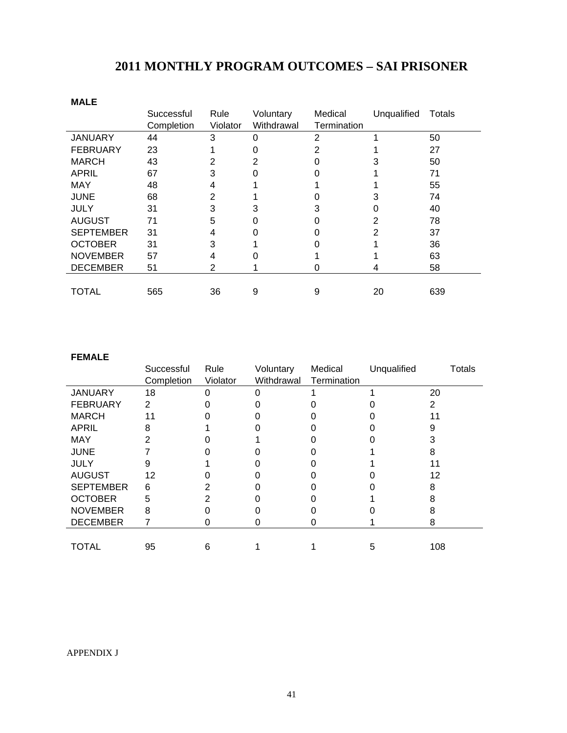# **2011 MONTHLY PROGRAM OUTCOMES – SAI PRISONER**

| <b>MALE</b>      |            |          |            |             |             |        |
|------------------|------------|----------|------------|-------------|-------------|--------|
|                  | Successful | Rule     | Voluntary  | Medical     | Unqualified | Totals |
|                  | Completion | Violator | Withdrawal | Termination |             |        |
| <b>JANUARY</b>   | 44         | 3        | 0          | 2           |             | 50     |
| <b>FEBRUARY</b>  | 23         |          | ი          | 2           |             | 27     |
| <b>MARCH</b>     | 43         | 2        | 2          |             |             | 50     |
| <b>APRIL</b>     | 67         | 3        | 0          |             |             | 71     |
| <b>MAY</b>       | 48         | 4        |            |             |             | 55     |
| <b>JUNE</b>      | 68         | 2        |            |             |             | 74     |
| <b>JULY</b>      | 31         | 3        | 3          |             |             | 40     |
| <b>AUGUST</b>    | 71         | 5        | 0          |             |             | 78     |
| <b>SEPTEMBER</b> | 31         | 4        | ი          |             |             | 37     |
| <b>OCTOBER</b>   | 31         | 3        |            |             |             | 36     |
| <b>NOVEMBER</b>  | 57         | 4        |            |             |             | 63     |
| <b>DECEMBER</b>  | 51         | 2        |            |             | 4           | 58     |
|                  |            |          |            |             |             |        |
| TOTAL            | 565        | 36       | 9          | 9           | 20          | 639    |

#### **FEMALE**

|                  | Successful | Rule     | Voluntary  | Medical     | Unqualified | <b>Totals</b> |
|------------------|------------|----------|------------|-------------|-------------|---------------|
|                  | Completion | Violator | Withdrawal | Termination |             |               |
| <b>JANUARY</b>   | 18         |          |            |             |             | 20            |
| <b>FEBRUARY</b>  | 2          |          |            |             |             | 2             |
| <b>MARCH</b>     |            |          |            |             |             |               |
| APRIL            |            |          |            |             |             |               |
| <b>MAY</b>       |            |          |            |             |             |               |
| <b>JUNE</b>      |            |          |            |             |             |               |
| <b>JULY</b>      |            |          |            |             |             |               |
| <b>AUGUST</b>    | 12         |          |            |             |             | 12            |
| <b>SEPTEMBER</b> | 6          |          |            |             |             |               |
| <b>OCTOBER</b>   | 5          |          |            |             |             |               |
| <b>NOVEMBER</b>  | 8          |          |            |             |             |               |
| <b>DECEMBER</b>  |            |          |            |             |             |               |
|                  |            |          |            |             |             |               |
| <b>TOTAL</b>     | 95         | 6        |            |             | 5           | 108           |

#### APPENDIX J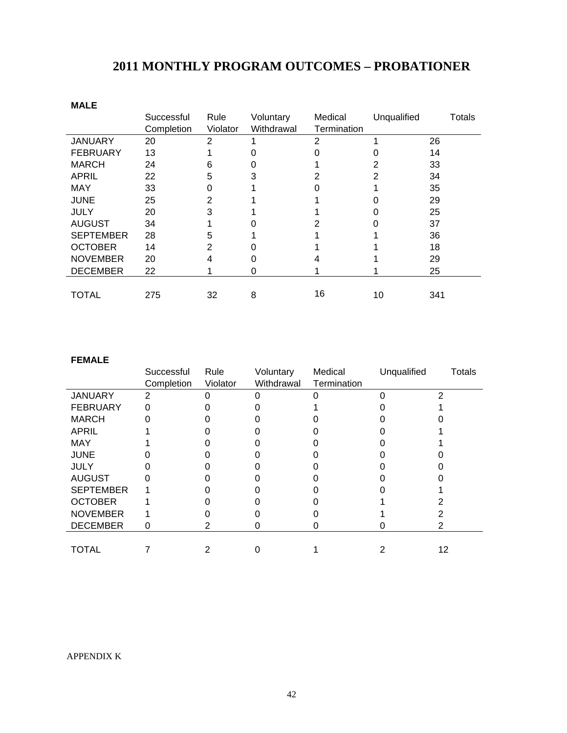| <b>MALE</b>      |            |          |            |             |             |        |
|------------------|------------|----------|------------|-------------|-------------|--------|
|                  | Successful | Rule     | Voluntary  | Medical     | Unqualified | Totals |
|                  | Completion | Violator | Withdrawal | Termination |             |        |
| <b>JANUARY</b>   | 20         | 2        |            | 2           |             | 26     |
| <b>FEBRUARY</b>  | 13         |          |            |             |             | 14     |
| <b>MARCH</b>     | 24         | 6        |            |             |             | 33     |
| APRIL            | 22         | 5        | 3          | 2           | 2           | 34     |
| <b>MAY</b>       | 33         |          |            |             |             | 35     |
| <b>JUNE</b>      | 25         | 2        |            |             |             | 29     |
| <b>JULY</b>      | 20         | 3        |            |             |             | 25     |
| <b>AUGUST</b>    | 34         |          |            |             |             | 37     |
| <b>SEPTEMBER</b> | 28         | 5        |            |             |             | 36     |
| <b>OCTOBER</b>   | 14         | 2        |            |             |             | 18     |
| <b>NOVEMBER</b>  | 20         | 4        |            |             |             | 29     |
| <b>DECEMBER</b>  | 22         |          | 0          |             |             | 25     |
|                  |            |          |            |             |             |        |
| TOTAL            | 275        | 32       | 8          | 16          | 10          | 341    |

### **FEMALE**

|                  | Successful | Rule     | Voluntary  | Medical     | Unqualified | <b>Totals</b> |
|------------------|------------|----------|------------|-------------|-------------|---------------|
|                  | Completion | Violator | Withdrawal | Termination |             |               |
| <b>JANUARY</b>   | 2          |          |            |             |             | っ             |
| <b>FEBRUARY</b>  |            |          |            |             |             |               |
| <b>MARCH</b>     |            |          |            |             |             |               |
| <b>APRIL</b>     |            |          |            |             |             |               |
| <b>MAY</b>       |            |          |            |             |             |               |
| <b>JUNE</b>      |            |          |            |             |             |               |
| <b>JULY</b>      |            |          |            |             |             |               |
| <b>AUGUST</b>    |            |          |            |             |             |               |
| <b>SEPTEMBER</b> |            |          |            |             |             |               |
| <b>OCTOBER</b>   |            |          |            |             |             |               |
| <b>NOVEMBER</b>  |            |          |            |             |             |               |
| <b>DECEMBER</b>  | 0          |          |            |             |             |               |
|                  |            |          |            |             |             |               |
| <b>TOTAL</b>     |            |          |            |             |             | 12            |

#### APPENDIX K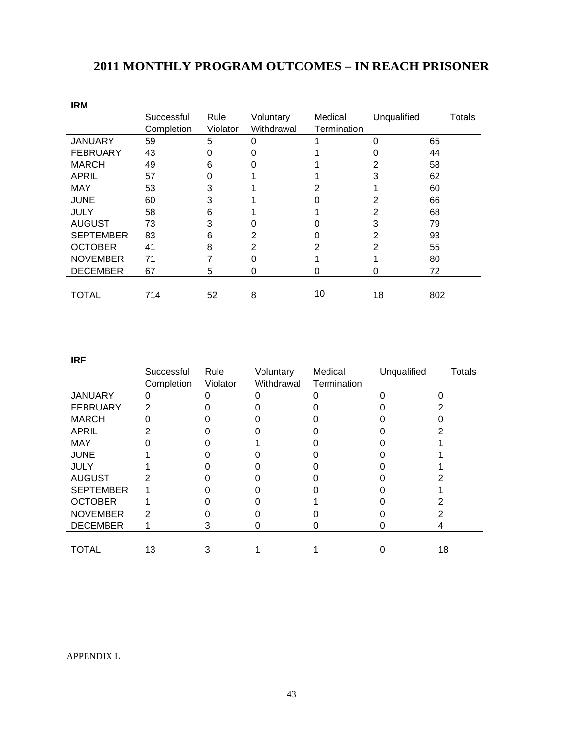# **2011 MONTHLY PROGRAM OUTCOMES – IN REACH PRISONER**

| <b>IRM</b>       |            |          |            |             |             |        |
|------------------|------------|----------|------------|-------------|-------------|--------|
|                  | Successful | Rule     | Voluntary  | Medical     | Unqualified | Totals |
|                  | Completion | Violator | Withdrawal | Termination |             |        |
| <b>JANUARY</b>   | 59         | 5        | 0          |             | 0           | 65     |
| <b>FEBRUARY</b>  | 43         | 0        | O          |             |             | 44     |
| <b>MARCH</b>     | 49         | 6        |            |             | 2           | 58     |
| <b>APRIL</b>     | 57         | ი        |            |             | 3           | 62     |
| <b>MAY</b>       | 53         | 3        |            |             |             | 60     |
| <b>JUNE</b>      | 60         | 3        |            |             |             | 66     |
| <b>JULY</b>      | 58         | 6        |            |             | 2           | 68     |
| <b>AUGUST</b>    | 73         | 3        |            |             | 3           | 79     |
| <b>SEPTEMBER</b> | 83         | 6        | 2          |             | 2           | 93     |
| <b>OCTOBER</b>   | 41         | 8        | 2          | 2           | 2           | 55     |
| <b>NOVEMBER</b>  | 71         |          | 0          |             |             | 80     |
| <b>DECEMBER</b>  | 67         | 5        | 0          | 0           | 0           | 72     |
|                  |            |          |            |             |             |        |
| TOTAL            | 714        | 52       | 8          | 10          | 18          | 802    |

**IRF** 

|                  | Successful<br>Completion | Rule<br>Violator | Voluntary<br>Withdrawal | Medical<br>Termination | Unqualified | <b>Totals</b> |
|------------------|--------------------------|------------------|-------------------------|------------------------|-------------|---------------|
| <b>JANUARY</b>   | Ω                        |                  |                         |                        |             |               |
| <b>FEBRUARY</b>  |                          |                  |                         |                        |             |               |
| <b>MARCH</b>     |                          |                  |                         |                        |             |               |
| <b>APRIL</b>     |                          |                  |                         |                        |             |               |
| <b>MAY</b>       |                          |                  |                         |                        |             |               |
| <b>JUNE</b>      |                          |                  |                         |                        |             |               |
| <b>JULY</b>      |                          |                  |                         |                        |             |               |
| <b>AUGUST</b>    |                          |                  |                         |                        |             |               |
| <b>SEPTEMBER</b> |                          |                  |                         |                        |             |               |
| <b>OCTOBER</b>   |                          |                  |                         |                        |             |               |
| <b>NOVEMBER</b>  |                          |                  |                         |                        |             |               |
| <b>DECEMBER</b>  |                          | З                | U                       | O                      | O)          |               |
|                  |                          |                  |                         |                        |             |               |
| <b>TOTAL</b>     | 13                       |                  |                         |                        |             | 18            |

#### APPENDIX L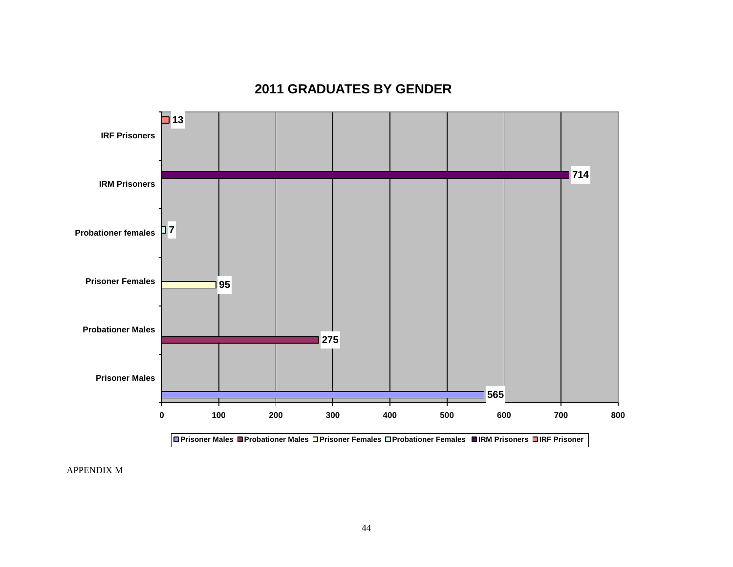# **2011 GRADUATES BY GENDER**



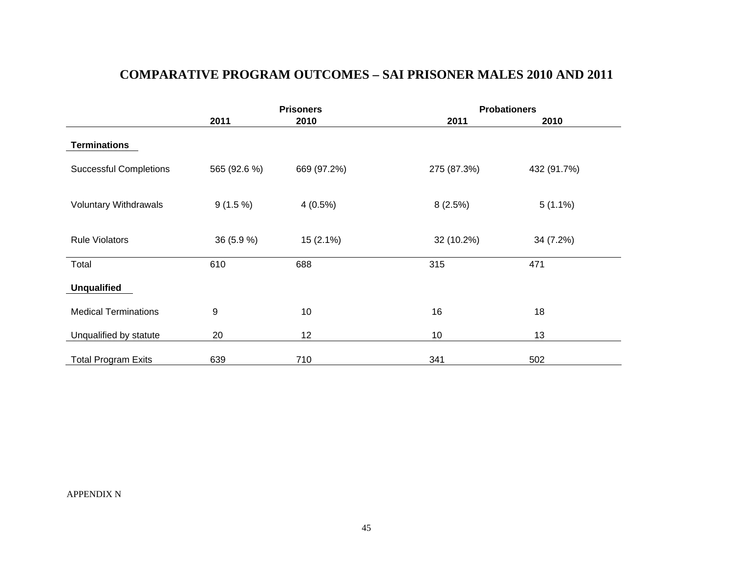# **COMPARATIVE PROGRAM OUTCOMES – SAI PRISONER MALES 2010 AND 2011**

|                               |              | <b>Prisoners</b> | <b>Probationers</b> |             |  |
|-------------------------------|--------------|------------------|---------------------|-------------|--|
|                               | 2011         | 2010             | 2011                | 2010        |  |
| <b>Terminations</b>           |              |                  |                     |             |  |
| <b>Successful Completions</b> | 565 (92.6 %) | 669 (97.2%)      | 275 (87.3%)         | 432 (91.7%) |  |
|                               |              |                  |                     |             |  |
| <b>Voluntary Withdrawals</b>  | $9(1.5\%)$   | $4(0.5\%)$       | 8(2.5%)             | $5(1.1\%)$  |  |
|                               |              |                  |                     |             |  |
| <b>Rule Violators</b>         | 36 (5.9 %)   | $15(2.1\%)$      | 32 (10.2%)          | 34 (7.2%)   |  |
|                               |              |                  |                     |             |  |
| Total                         | 610          | 688              | 315                 | 471         |  |
| <b>Unqualified</b>            |              |                  |                     |             |  |
| <b>Medical Terminations</b>   | 9            | 10               | 16                  | 18          |  |
| Unqualified by statute        | 20           | 12               | 10                  | 13          |  |
| <b>Total Program Exits</b>    | 639          | 710              | 341                 | 502         |  |

APPENDIX N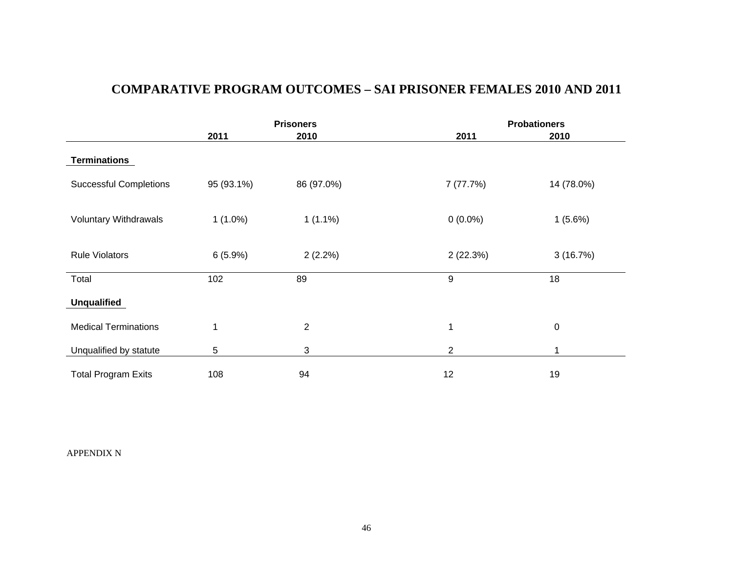# **COMPARATIVE PROGRAM OUTCOMES – SAI PRISONER FEMALES 2010 AND 2011**

|                               |            | <b>Prisoners</b> | <b>Probationers</b> |             |  |
|-------------------------------|------------|------------------|---------------------|-------------|--|
|                               | 2011       | 2010             | 2011                | 2010        |  |
| <b>Terminations</b>           |            |                  |                     |             |  |
| <b>Successful Completions</b> | 95 (93.1%) | 86 (97.0%)       | 7(77.7%)            | 14 (78.0%)  |  |
|                               |            |                  |                     |             |  |
| Voluntary Withdrawals         | $1(1.0\%)$ | $1(1.1\%)$       | $0(0.0\%)$          | $1(5.6\%)$  |  |
|                               |            |                  |                     |             |  |
| <b>Rule Violators</b>         | 6(5.9%)    | $2(2.2\%)$       | 2(22.3%)            | 3(16.7%)    |  |
|                               |            |                  |                     |             |  |
| Total                         | 102        | 89               | 9                   | 18          |  |
| <b>Unqualified</b>            |            |                  |                     |             |  |
| <b>Medical Terminations</b>   | 1          | $\overline{2}$   | $\mathbf{1}$        | $\mathbf 0$ |  |
|                               |            |                  |                     |             |  |
| Unqualified by statute        | 5          | 3                | $\overline{2}$      |             |  |
| <b>Total Program Exits</b>    | 108        | 94               | 12                  | 19          |  |

APPENDIX N